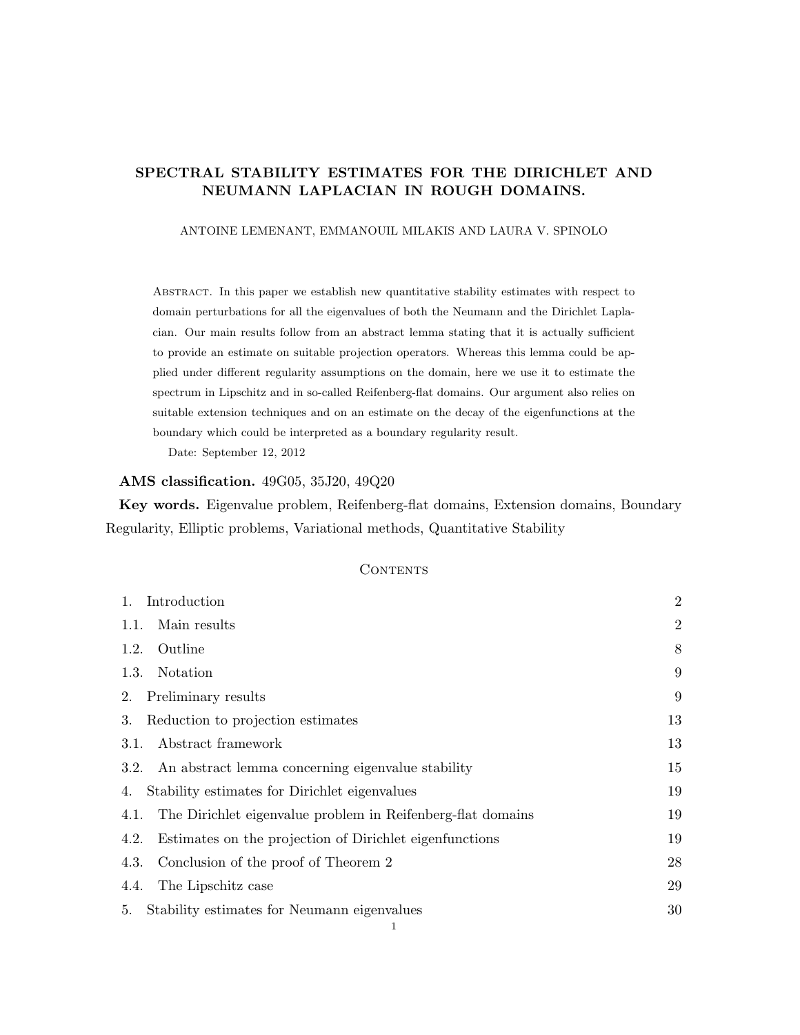# SPECTRAL STABILITY ESTIMATES FOR THE DIRICHLET AND NEUMANN LAPLACIAN IN ROUGH DOMAINS.

ANTOINE LEMENANT, EMMANOUIL MILAKIS AND LAURA V. SPINOLO

Abstract. In this paper we establish new quantitative stability estimates with respect to domain perturbations for all the eigenvalues of both the Neumann and the Dirichlet Laplacian. Our main results follow from an abstract lemma stating that it is actually sufficient to provide an estimate on suitable projection operators. Whereas this lemma could be applied under different regularity assumptions on the domain, here we use it to estimate the spectrum in Lipschitz and in so-called Reifenberg-flat domains. Our argument also relies on suitable extension techniques and on an estimate on the decay of the eigenfunctions at the boundary which could be interpreted as a boundary regularity result.

Date: September 12, 2012

## AMS classification. 49G05, 35J20, 49Q20

Key words. Eigenvalue problem, Reifenberg-flat domains, Extension domains, Boundary Regularity, Elliptic problems, Variational methods, Quantitative Stability

## **CONTENTS**

| Introduction<br>$1_{\cdot}$                                         |                |
|---------------------------------------------------------------------|----------------|
| Main results<br>1.1.                                                | $\overline{2}$ |
| Outline<br>1.2.                                                     | 8              |
| 1.3.<br>Notation                                                    | 9              |
| Preliminary results<br>2.                                           | 9              |
| Reduction to projection estimates<br>3.                             | 13             |
| Abstract framework<br>3.1.                                          | 13             |
| An abstract lemma concerning eigenvalue stability<br>3.2.           | 15             |
| Stability estimates for Dirichlet eigenvalues<br>4.                 | 19             |
| The Dirichlet eigenvalue problem in Reifenberg-flat domains<br>4.1. | 19             |
| Estimates on the projection of Dirichlet eigenfunctions<br>4.2.     | 19             |
| Conclusion of the proof of Theorem 2<br>4.3.                        | 28             |
| The Lipschitz case<br>4.4.                                          | 29             |
| Stability estimates for Neumann eigenvalues<br>5.                   | 30             |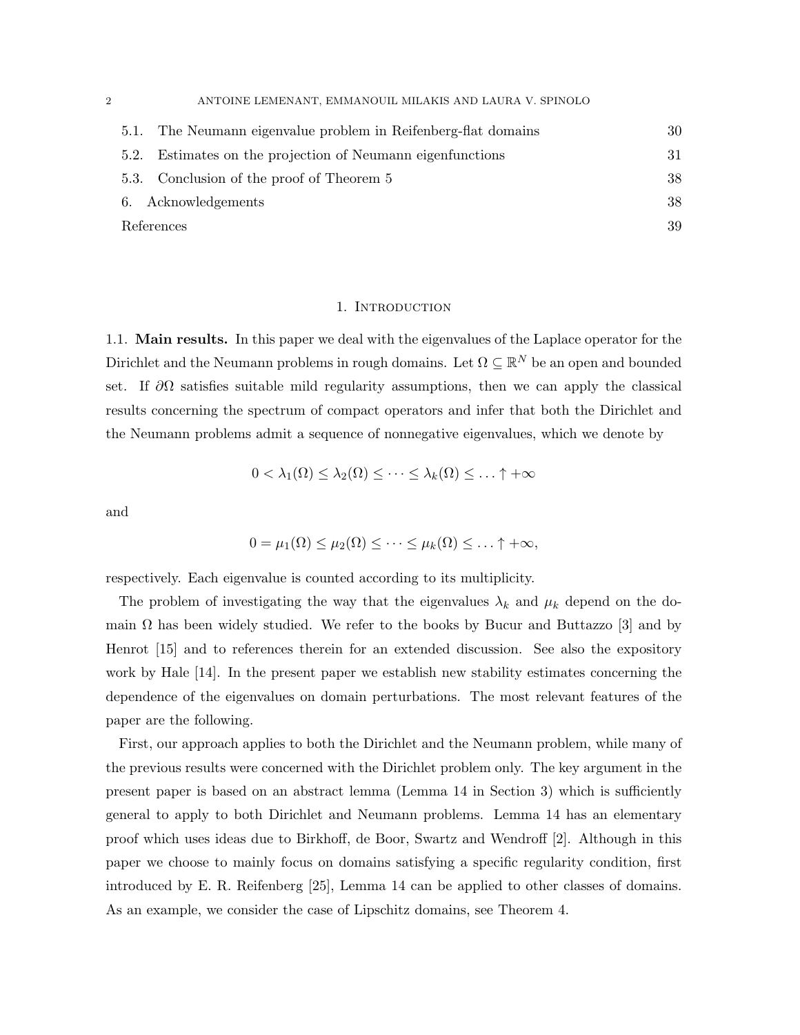| 2 |      | ANTOINE LEMENANT, EMMANOUIL MILAKIS AND LAURA V. SPINOLO       |    |
|---|------|----------------------------------------------------------------|----|
|   |      | 5.1. The Neumann eigenvalue problem in Reifenberg-flat domains | 30 |
|   | 5.2. | Estimates on the projection of Neumann eigenfunctions          | 31 |
|   |      | 5.3. Conclusion of the proof of Theorem 5                      | 38 |
|   |      | 6. Acknowledgements                                            | 38 |
|   |      | References                                                     | 39 |

### 1. INTRODUCTION

1.1. Main results. In this paper we deal with the eigenvalues of the Laplace operator for the Dirichlet and the Neumann problems in rough domains. Let  $\Omega \subseteq \mathbb{R}^N$  be an open and bounded set. If  $\partial\Omega$  satisfies suitable mild regularity assumptions, then we can apply the classical results concerning the spectrum of compact operators and infer that both the Dirichlet and the Neumann problems admit a sequence of nonnegative eigenvalues, which we denote by

$$
0 < \lambda_1(\Omega) \leq \lambda_2(\Omega) \leq \cdots \leq \lambda_k(\Omega) \leq \ldots \uparrow +\infty
$$

and

$$
0 = \mu_1(\Omega) \leq \mu_2(\Omega) \leq \cdots \leq \mu_k(\Omega) \leq \ldots \uparrow +\infty,
$$

respectively. Each eigenvalue is counted according to its multiplicity.

The problem of investigating the way that the eigenvalues  $\lambda_k$  and  $\mu_k$  depend on the domain  $\Omega$  has been widely studied. We refer to the books by Bucur and Buttazzo [3] and by Henrot [15] and to references therein for an extended discussion. See also the expository work by Hale [14]. In the present paper we establish new stability estimates concerning the dependence of the eigenvalues on domain perturbations. The most relevant features of the paper are the following.

First, our approach applies to both the Dirichlet and the Neumann problem, while many of the previous results were concerned with the Dirichlet problem only. The key argument in the present paper is based on an abstract lemma (Lemma 14 in Section 3) which is sufficiently general to apply to both Dirichlet and Neumann problems. Lemma 14 has an elementary proof which uses ideas due to Birkhoff, de Boor, Swartz and Wendroff [2]. Although in this paper we choose to mainly focus on domains satisfying a specific regularity condition, first introduced by E. R. Reifenberg [25], Lemma 14 can be applied to other classes of domains. As an example, we consider the case of Lipschitz domains, see Theorem 4.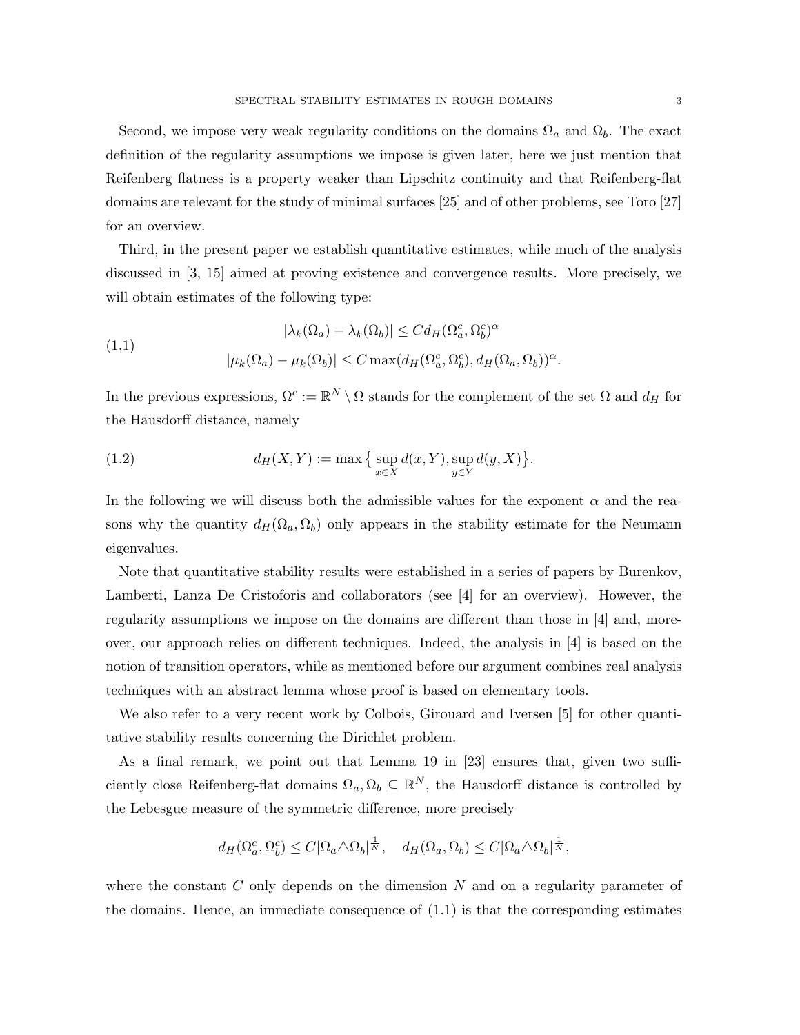Second, we impose very weak regularity conditions on the domains  $\Omega_a$  and  $\Omega_b$ . The exact definition of the regularity assumptions we impose is given later, here we just mention that Reifenberg flatness is a property weaker than Lipschitz continuity and that Reifenberg-flat domains are relevant for the study of minimal surfaces [25] and of other problems, see Toro [27] for an overview.

Third, in the present paper we establish quantitative estimates, while much of the analysis discussed in [3, 15] aimed at proving existence and convergence results. More precisely, we will obtain estimates of the following type:

(1.1) 
$$
|\lambda_k(\Omega_a) - \lambda_k(\Omega_b)| \leq C d_H(\Omega_a^c, \Omega_b^c)^{\alpha}
$$

$$
|\mu_k(\Omega_a) - \mu_k(\Omega_b)| \leq C \max(d_H(\Omega_a^c, \Omega_b^c), d_H(\Omega_a, \Omega_b))^{\alpha}
$$

In the previous expressions,  $\Omega^c := \mathbb{R}^N \setminus \Omega$  stands for the complement of the set  $\Omega$  and  $d_H$  for the Hausdorff distance, namely

(1.2) 
$$
d_H(X, Y) := \max \{ \sup_{x \in X} d(x, Y), \sup_{y \in Y} d(y, X) \}.
$$

In the following we will discuss both the admissible values for the exponent  $\alpha$  and the reasons why the quantity  $d_H(\Omega_a, \Omega_b)$  only appears in the stability estimate for the Neumann eigenvalues.

Note that quantitative stability results were established in a series of papers by Burenkov, Lamberti, Lanza De Cristoforis and collaborators (see [4] for an overview). However, the regularity assumptions we impose on the domains are different than those in [4] and, moreover, our approach relies on different techniques. Indeed, the analysis in [4] is based on the notion of transition operators, while as mentioned before our argument combines real analysis techniques with an abstract lemma whose proof is based on elementary tools.

We also refer to a very recent work by Colbois, Girouard and Iversen [5] for other quantitative stability results concerning the Dirichlet problem.

As a final remark, we point out that Lemma 19 in [23] ensures that, given two sufficiently close Reifenberg-flat domains  $\Omega_a, \Omega_b \subseteq \mathbb{R}^N$ , the Hausdorff distance is controlled by the Lebesgue measure of the symmetric difference, more precisely

$$
d_H(\Omega_a^c, \Omega_b^c) \le C |\Omega_a \triangle \Omega_b|^{\frac{1}{N}}, \quad d_H(\Omega_a, \Omega_b) \le C |\Omega_a \triangle \Omega_b|^{\frac{1}{N}},
$$

where the constant C only depends on the dimension  $N$  and on a regularity parameter of the domains. Hence, an immediate consequence of (1.1) is that the corresponding estimates

.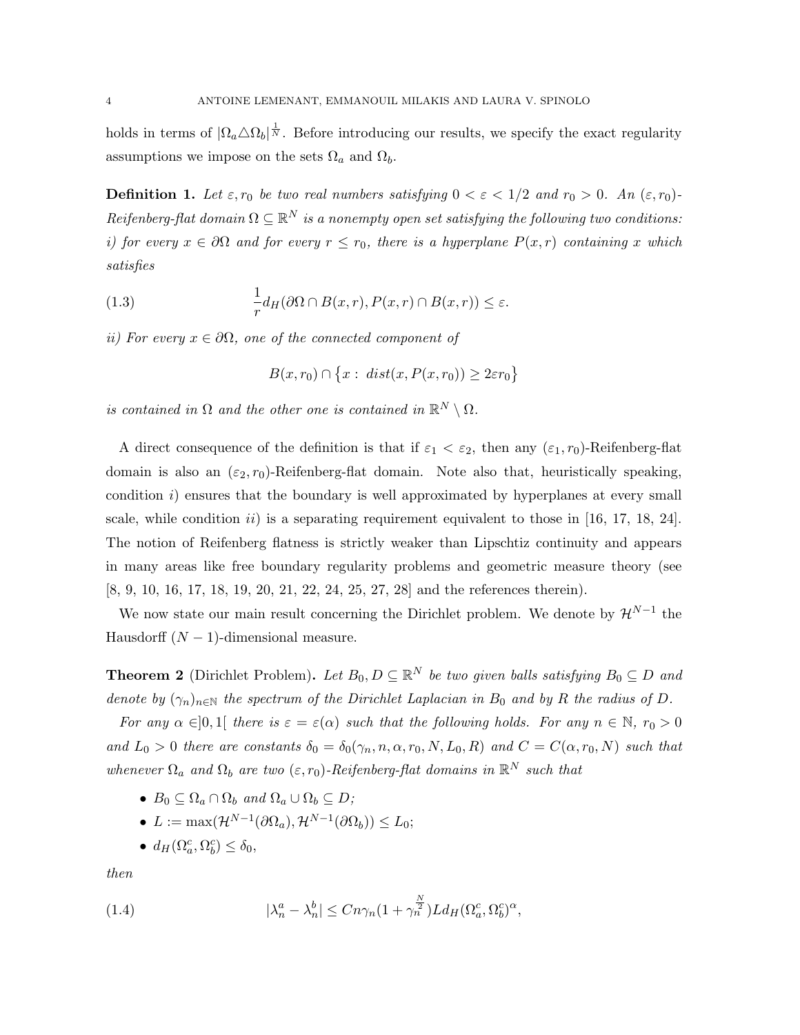holds in terms of  $|\Omega_a \triangle \Omega_b|^{\frac{1}{N}}$ . Before introducing our results, we specify the exact regularity assumptions we impose on the sets  $\Omega_a$  and  $\Omega_b$ .

**Definition 1.** Let  $\varepsilon$ ,  $r_0$  be two real numbers satisfying  $0 < \varepsilon < 1/2$  and  $r_0 > 0$ . An  $(\varepsilon, r_0)$ -Reifenberg-flat domain  $\Omega \subseteq \mathbb{R}^N$  is a nonempty open set satisfying the following two conditions: i) for every  $x \in \partial\Omega$  and for every  $r \leq r_0$ , there is a hyperplane  $P(x,r)$  containing x which satisfies

(1.3) 
$$
\frac{1}{r}d_H(\partial\Omega \cap B(x,r), P(x,r) \cap B(x,r)) \leq \varepsilon.
$$

ii) For every  $x \in \partial \Omega$ , one of the connected component of

$$
B(x,r_0) \cap \{x : dist(x, P(x,r_0)) \ge 2\varepsilon r_0\}
$$

is contained in  $\Omega$  and the other one is contained in  $\mathbb{R}^N \setminus \Omega$ .

A direct consequence of the definition is that if  $\varepsilon_1 < \varepsilon_2$ , then any  $(\varepsilon_1, r_0)$ -Reifenberg-flat domain is also an  $(\varepsilon_2, r_0)$ -Reifenberg-flat domain. Note also that, heuristically speaking, condition i) ensures that the boundary is well approximated by hyperplanes at every small scale, while condition  $ii$ ) is a separating requirement equivalent to those in [16, 17, 18, 24]. The notion of Reifenberg flatness is strictly weaker than Lipschtiz continuity and appears in many areas like free boundary regularity problems and geometric measure theory (see [8, 9, 10, 16, 17, 18, 19, 20, 21, 22, 24, 25, 27, 28] and the references therein).

We now state our main result concerning the Dirichlet problem. We denote by  $\mathcal{H}^{N-1}$  the Hausdorff  $(N-1)$ -dimensional measure.

**Theorem 2** (Dirichlet Problem). Let  $B_0, D \subseteq \mathbb{R}^N$  be two given balls satisfying  $B_0 \subseteq D$  and denote by  $(\gamma_n)_{n\in\mathbb{N}}$  the spectrum of the Dirichlet Laplacian in  $B_0$  and by R the radius of D.

For any  $\alpha \in ]0,1]$  there is  $\varepsilon = \varepsilon(\alpha)$  such that the following holds. For any  $n \in \mathbb{N}$ ,  $r_0 > 0$ and  $L_0 > 0$  there are constants  $\delta_0 = \delta_0(\gamma_n, n, \alpha, r_0, N, L_0, R)$  and  $C = C(\alpha, r_0, N)$  such that whenever  $\Omega_a$  and  $\Omega_b$  are two  $(\varepsilon, r_0)$ -Reifenberg-flat domains in  $\mathbb{R}^N$  such that

- $B_0 \subseteq \Omega_a \cap \Omega_b$  and  $\Omega_a \cup \Omega_b \subseteq D$ ;
- $L := \max(\mathcal{H}^{N-1}(\partial \Omega_a), \mathcal{H}^{N-1}(\partial \Omega_b)) \leq L_0;$
- $d_H(\Omega_a^c, \Omega_b^c) \le \delta_0$ ,

then

(1.4) 
$$
|\lambda_n^a - \lambda_n^b| \leq Cn\gamma_n(1 + \gamma_n^{\frac{N}{2}})L d_H(\Omega_a^c, \Omega_b^c)^{\alpha},
$$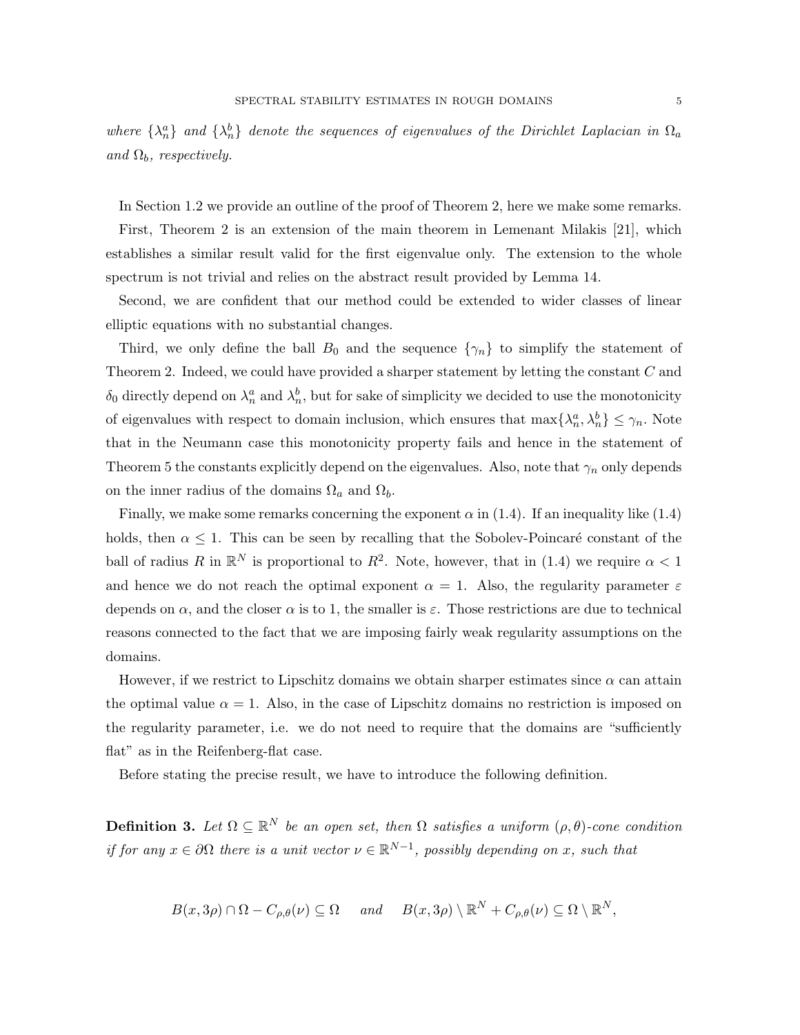where  $\{\lambda_n^a\}$  and  $\{\lambda_n^b\}$  denote the sequences of eigenvalues of the Dirichlet Laplacian in  $\Omega_a$ and  $\Omega_b$ , respectively.

In Section 1.2 we provide an outline of the proof of Theorem 2, here we make some remarks.

First, Theorem 2 is an extension of the main theorem in Lemenant Milakis [21], which establishes a similar result valid for the first eigenvalue only. The extension to the whole spectrum is not trivial and relies on the abstract result provided by Lemma 14.

Second, we are confident that our method could be extended to wider classes of linear elliptic equations with no substantial changes.

Third, we only define the ball  $B_0$  and the sequence  $\{\gamma_n\}$  to simplify the statement of Theorem 2. Indeed, we could have provided a sharper statement by letting the constant  $C$  and  $\delta_0$  directly depend on  $\lambda_n^a$  and  $\lambda_n^b$ , but for sake of simplicity we decided to use the monotonicity of eigenvalues with respect to domain inclusion, which ensures that  $\max\{\lambda_n^a, \lambda_n^b\} \leq \gamma_n$ . Note that in the Neumann case this monotonicity property fails and hence in the statement of Theorem 5 the constants explicitly depend on the eigenvalues. Also, note that  $\gamma_n$  only depends on the inner radius of the domains  $\Omega_a$  and  $\Omega_b$ .

Finally, we make some remarks concerning the exponent  $\alpha$  in (1.4). If an inequality like (1.4) holds, then  $\alpha \leq 1$ . This can be seen by recalling that the Sobolev-Poincaré constant of the ball of radius R in  $\mathbb{R}^N$  is proportional to  $R^2$ . Note, however, that in (1.4) we require  $\alpha < 1$ and hence we do not reach the optimal exponent  $\alpha = 1$ . Also, the regularity parameter  $\varepsilon$ depends on  $\alpha$ , and the closer  $\alpha$  is to 1, the smaller is  $\varepsilon$ . Those restrictions are due to technical reasons connected to the fact that we are imposing fairly weak regularity assumptions on the domains.

However, if we restrict to Lipschitz domains we obtain sharper estimates since  $\alpha$  can attain the optimal value  $\alpha = 1$ . Also, in the case of Lipschitz domains no restriction is imposed on the regularity parameter, i.e. we do not need to require that the domains are "sufficiently flat" as in the Reifenberg-flat case.

Before stating the precise result, we have to introduce the following definition.

**Definition 3.** Let  $\Omega \subseteq \mathbb{R}^N$  be an open set, then  $\Omega$  satisfies a uniform  $(\rho, \theta)$ -cone condition if for any  $x \in \partial\Omega$  there is a unit vector  $\nu \in \mathbb{R}^{N-1}$ , possibly depending on x, such that

$$
B(x,3\rho)\cap\Omega-C_{\rho,\theta}(\nu)\subseteq\Omega\quad\text{ and }\quad B(x,3\rho)\setminus\mathbb{R}^N+C_{\rho,\theta}(\nu)\subseteq\Omega\setminus\mathbb{R}^N,
$$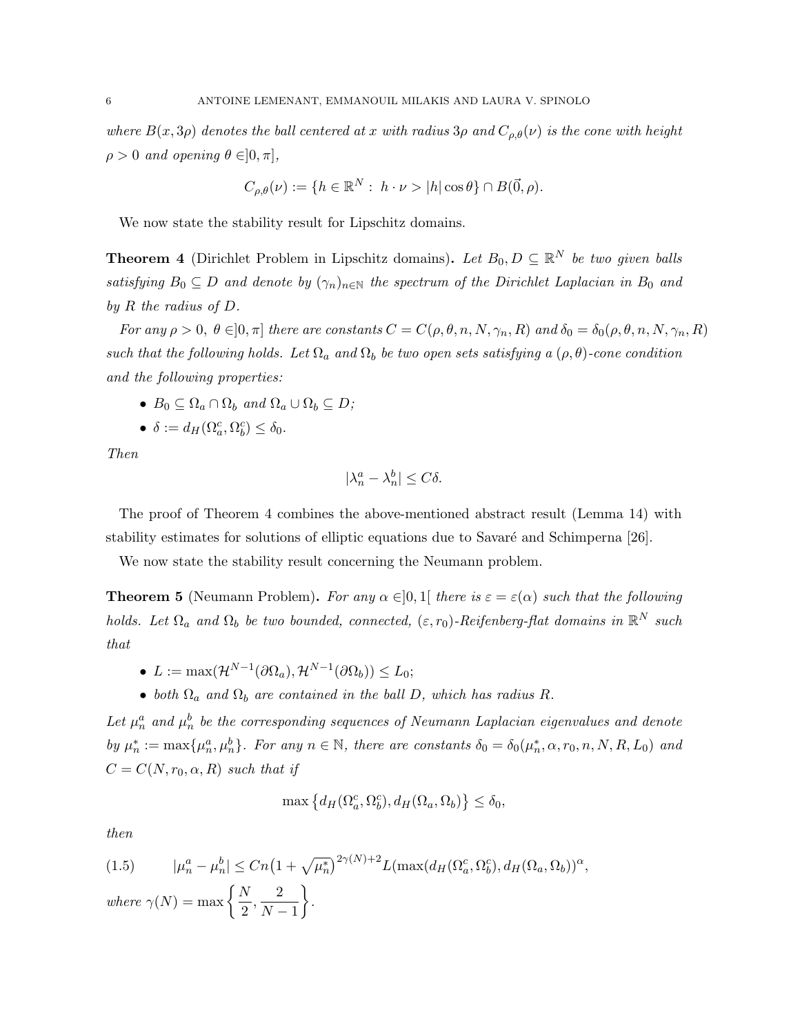where  $B(x, 3\rho)$  denotes the ball centered at x with radius  $3\rho$  and  $C_{\rho,\theta}(\nu)$  is the cone with height  $\rho > 0$  and opening  $\theta \in ]0, \pi]$ ,

$$
C_{\rho,\theta}(\nu) := \{ h \in \mathbb{R}^N : h \cdot \nu > |h| \cos \theta \} \cap B(\vec{0},\rho).
$$

We now state the stability result for Lipschitz domains.

**Theorem 4** (Dirichlet Problem in Lipschitz domains). Let  $B_0, D \subseteq \mathbb{R}^N$  be two given balls satisfying  $B_0 \subseteq D$  and denote by  $(\gamma_n)_{n \in \mathbb{N}}$  the spectrum of the Dirichlet Laplacian in  $B_0$  and by R the radius of D.

For any  $\rho > 0$ ,  $\theta \in ]0, \pi]$  there are constants  $C = C(\rho, \theta, n, N, \gamma_n, R)$  and  $\delta_0 = \delta_0(\rho, \theta, n, N, \gamma_n, R)$ such that the following holds. Let  $\Omega_a$  and  $\Omega_b$  be two open sets satisfying a  $(\rho, \theta)$ -cone condition and the following properties:

- $B_0 \subseteq \Omega_a \cap \Omega_b$  and  $\Omega_a \cup \Omega_b \subseteq D$ ;
- $\delta := d_H(\Omega_a^c, \Omega_b^c) \le \delta_0.$

Then

$$
|\lambda_n^a - \lambda_n^b| \le C\delta.
$$

The proof of Theorem 4 combines the above-mentioned abstract result (Lemma 14) with stability estimates for solutions of elliptic equations due to Savaré and Schimperna [26].

We now state the stability result concerning the Neumann problem.

**Theorem 5** (Neumann Problem). For any  $\alpha \in ]0,1]$  there is  $\varepsilon = \varepsilon(\alpha)$  such that the following holds. Let  $\Omega_a$  and  $\Omega_b$  be two bounded, connected,  $(\varepsilon, r_0)$ -Reifenberg-flat domains in  $\mathbb{R}^N$  such that

- $L := \max(\mathcal{H}^{N-1}(\partial \Omega_a), \mathcal{H}^{N-1}(\partial \Omega_b)) \leq L_0;$
- both  $\Omega_a$  and  $\Omega_b$  are contained in the ball D, which has radius R.

Let  $\mu_n^a$  and  $\mu_n^b$  be the corresponding sequences of Neumann Laplacian eigenvalues and denote by  $\mu_n^* := \max{\{\mu_n^a, \mu_n^b\}}$ . For any  $n \in \mathbb{N}$ , there are constants  $\delta_0 = \delta_0(\mu_n^*, \alpha, r_0, n, N, R, L_0)$  and  $C = C(N, r_0, \alpha, R)$  such that if

$$
\max\left\{d_H(\Omega_a^c, \Omega_b^c), d_H(\Omega_a, \Omega_b)\right\} \le \delta_0,
$$

then

(1.5) 
$$
|\mu_n^a - \mu_n^b| \le Cn\left(1 + \sqrt{\mu_n^*}\right)^{2\gamma(N)+2} L(\max(d_H(\Omega_a^c, \Omega_b^c), d_H(\Omega_a, \Omega_b))^{\alpha},
$$
  
where  $\gamma(N) = \max\left\{\frac{N}{2}, \frac{2}{N-1}\right\}.$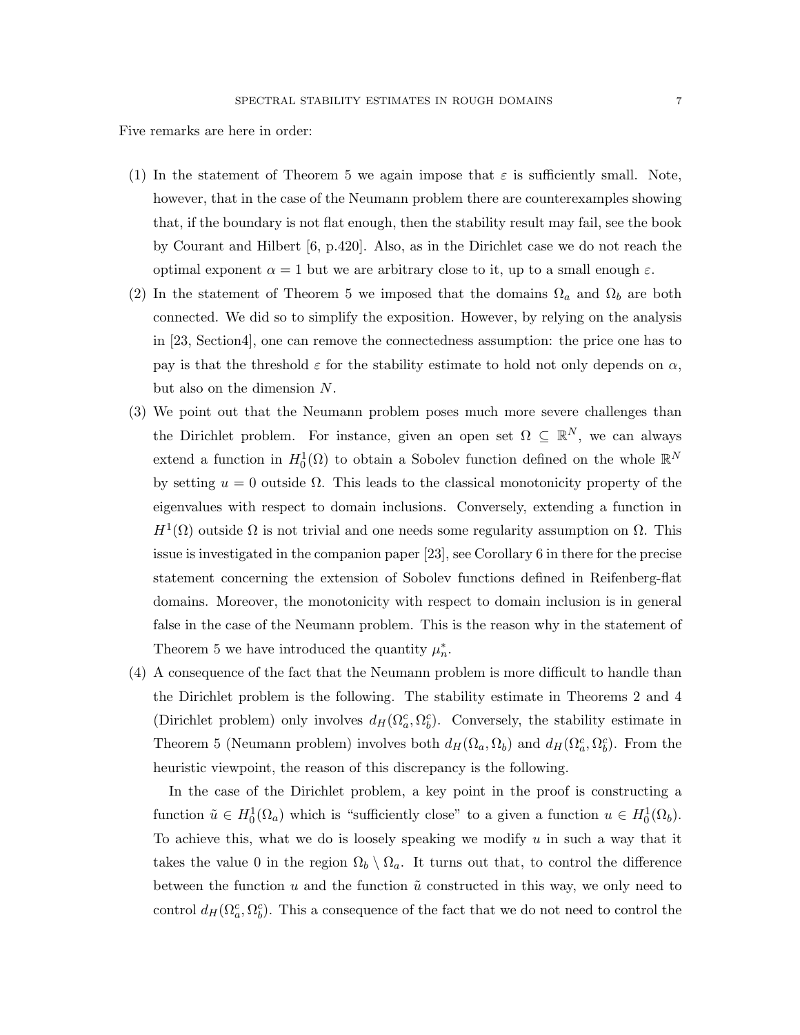Five remarks are here in order:

- (1) In the statement of Theorem 5 we again impose that  $\varepsilon$  is sufficiently small. Note, however, that in the case of the Neumann problem there are counterexamples showing that, if the boundary is not flat enough, then the stability result may fail, see the book by Courant and Hilbert [6, p.420]. Also, as in the Dirichlet case we do not reach the optimal exponent  $\alpha = 1$  but we are arbitrary close to it, up to a small enough ε.
- (2) In the statement of Theorem 5 we imposed that the domains  $\Omega_a$  and  $\Omega_b$  are both connected. We did so to simplify the exposition. However, by relying on the analysis in [23, Section4], one can remove the connectedness assumption: the price one has to pay is that the threshold  $\varepsilon$  for the stability estimate to hold not only depends on  $\alpha$ , but also on the dimension N.
- (3) We point out that the Neumann problem poses much more severe challenges than the Dirichlet problem. For instance, given an open set  $\Omega \subseteq \mathbb{R}^N$ , we can always extend a function in  $H_0^1(\Omega)$  to obtain a Sobolev function defined on the whole  $\mathbb{R}^N$ by setting  $u = 0$  outside  $\Omega$ . This leads to the classical monotonicity property of the eigenvalues with respect to domain inclusions. Conversely, extending a function in  $H^1(\Omega)$  outside  $\Omega$  is not trivial and one needs some regularity assumption on  $\Omega$ . This issue is investigated in the companion paper [23], see Corollary 6 in there for the precise statement concerning the extension of Sobolev functions defined in Reifenberg-flat domains. Moreover, the monotonicity with respect to domain inclusion is in general false in the case of the Neumann problem. This is the reason why in the statement of Theorem 5 we have introduced the quantity  $\mu_n^*$ .
- (4) A consequence of the fact that the Neumann problem is more difficult to handle than the Dirichlet problem is the following. The stability estimate in Theorems 2 and 4 (Dirichlet problem) only involves  $d_H(\Omega_a^c, \Omega_b^c)$ . Conversely, the stability estimate in Theorem 5 (Neumann problem) involves both  $d_H(\Omega_a, \Omega_b)$  and  $d_H(\Omega_a^c, \Omega_b^c)$ . From the heuristic viewpoint, the reason of this discrepancy is the following.

In the case of the Dirichlet problem, a key point in the proof is constructing a function  $\tilde{u} \in H_0^1(\Omega_a)$  which is "sufficiently close" to a given a function  $u \in H_0^1(\Omega_b)$ . To achieve this, what we do is loosely speaking we modify  $u$  in such a way that it takes the value 0 in the region  $\Omega_b \setminus \Omega_a$ . It turns out that, to control the difference between the function u and the function  $\tilde{u}$  constructed in this way, we only need to control  $d_H(\Omega_a^c, \Omega_b^c)$ . This a consequence of the fact that we do not need to control the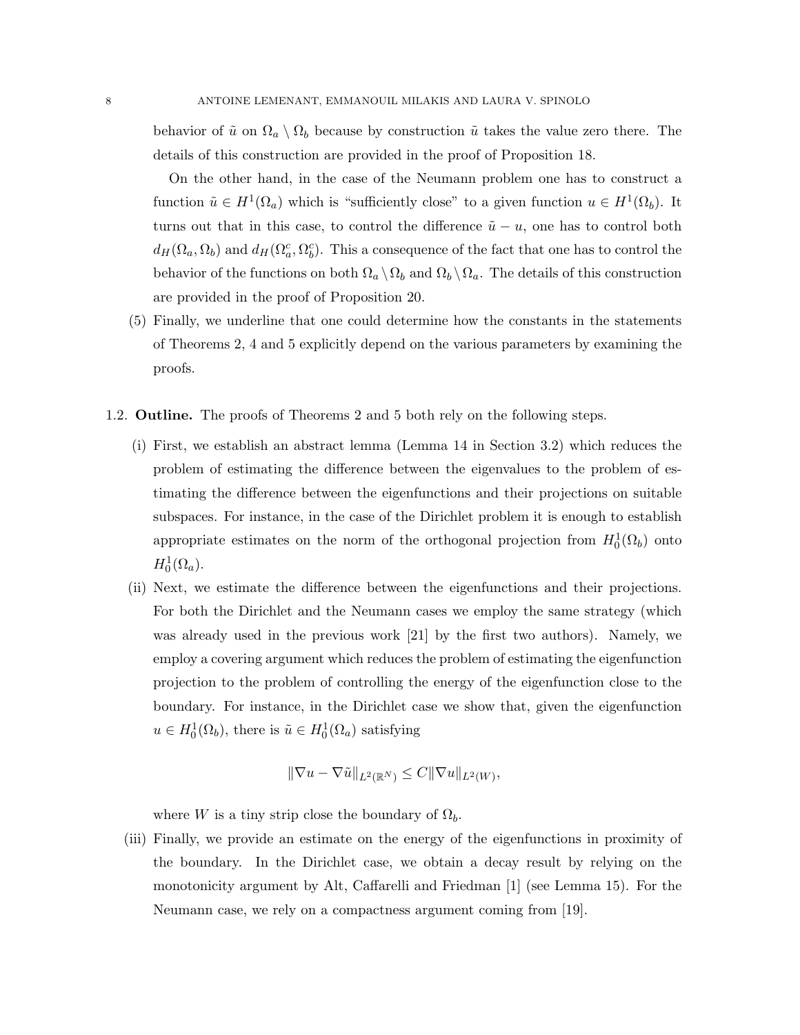behavior of  $\tilde{u}$  on  $\Omega_a \setminus \Omega_b$  because by construction  $\tilde{u}$  takes the value zero there. The details of this construction are provided in the proof of Proposition 18.

On the other hand, in the case of the Neumann problem one has to construct a function  $\tilde{u} \in H^1(\Omega_a)$  which is "sufficiently close" to a given function  $u \in H^1(\Omega_b)$ . It turns out that in this case, to control the difference  $\tilde{u} - u$ , one has to control both  $d_H(\Omega_a, \Omega_b)$  and  $d_H(\Omega_a^c, \Omega_b^c)$ . This a consequence of the fact that one has to control the behavior of the functions on both  $\Omega_a \setminus \Omega_b$  and  $\Omega_b \setminus \Omega_a$ . The details of this construction are provided in the proof of Proposition 20.

- (5) Finally, we underline that one could determine how the constants in the statements of Theorems 2, 4 and 5 explicitly depend on the various parameters by examining the proofs.
- 1.2. Outline. The proofs of Theorems 2 and 5 both rely on the following steps.
	- (i) First, we establish an abstract lemma (Lemma 14 in Section 3.2) which reduces the problem of estimating the difference between the eigenvalues to the problem of estimating the difference between the eigenfunctions and their projections on suitable subspaces. For instance, in the case of the Dirichlet problem it is enough to establish appropriate estimates on the norm of the orthogonal projection from  $H_0^1(\Omega_b)$  onto  $H_0^1(\Omega_a)$ .
	- (ii) Next, we estimate the difference between the eigenfunctions and their projections. For both the Dirichlet and the Neumann cases we employ the same strategy (which was already used in the previous work [21] by the first two authors). Namely, we employ a covering argument which reduces the problem of estimating the eigenfunction projection to the problem of controlling the energy of the eigenfunction close to the boundary. For instance, in the Dirichlet case we show that, given the eigenfunction  $u \in H_0^1(\Omega_b)$ , there is  $\tilde{u} \in H_0^1(\Omega_a)$  satisfying

$$
\|\nabla u - \nabla \tilde{u}\|_{L^2(\mathbb{R}^N)} \leq C \|\nabla u\|_{L^2(W)},
$$

where W is a tiny strip close the boundary of  $\Omega_b$ .

(iii) Finally, we provide an estimate on the energy of the eigenfunctions in proximity of the boundary. In the Dirichlet case, we obtain a decay result by relying on the monotonicity argument by Alt, Caffarelli and Friedman [1] (see Lemma 15). For the Neumann case, we rely on a compactness argument coming from [19].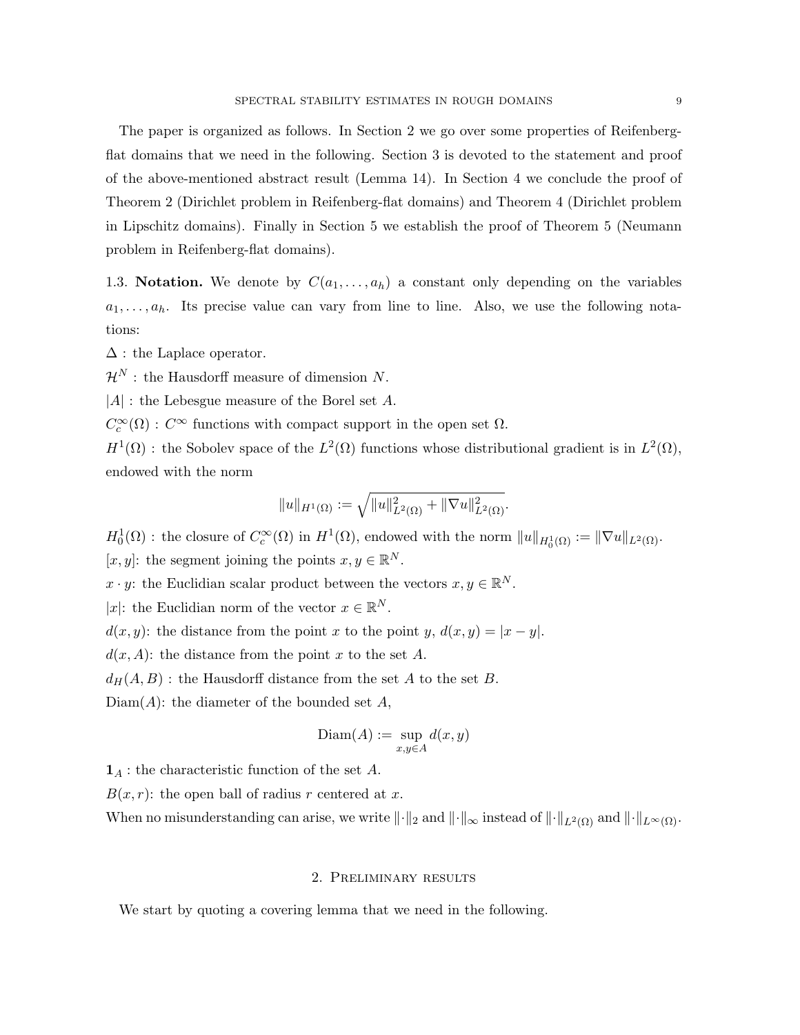The paper is organized as follows. In Section 2 we go over some properties of Reifenbergflat domains that we need in the following. Section 3 is devoted to the statement and proof of the above-mentioned abstract result (Lemma 14). In Section 4 we conclude the proof of Theorem 2 (Dirichlet problem in Reifenberg-flat domains) and Theorem 4 (Dirichlet problem in Lipschitz domains). Finally in Section 5 we establish the proof of Theorem 5 (Neumann problem in Reifenberg-flat domains).

1.3. Notation. We denote by  $C(a_1, \ldots, a_h)$  a constant only depending on the variables  $a_1, \ldots, a_h$ . Its precise value can vary from line to line. Also, we use the following notations:

 $\Delta$ : the Laplace operator.

 $\mathcal{H}^N$ : the Hausdorff measure of dimension N.

 $|A|$ : the Lebesgue measure of the Borel set A.

 $C_c^{\infty}(\Omega)$ :  $C^{\infty}$  functions with compact support in the open set  $\Omega$ .

 $H^1(\Omega)$ : the Sobolev space of the  $L^2(\Omega)$  functions whose distributional gradient is in  $L^2(\Omega)$ , endowed with the norm

$$
||u||_{H^1(\Omega)} := \sqrt{||u||^2_{L^2(\Omega)} + ||\nabla u||^2_{L^2(\Omega)}}.
$$

 $H_0^1(\Omega)$ : the closure of  $C_c^{\infty}(\Omega)$  in  $H^1(\Omega)$ , endowed with the norm  $||u||_{H_0^1(\Omega)} := ||\nabla u||_{L^2(\Omega)}$ .  $[x, y]$ : the segment joining the points  $x, y \in \mathbb{R}^N$ .

 $x \cdot y$ : the Euclidian scalar product between the vectors  $x, y \in \mathbb{R}^N$ .

|x|: the Euclidian norm of the vector  $x \in \mathbb{R}^N$ .

 $d(x, y)$ : the distance from the point x to the point y,  $d(x, y) = |x - y|$ .

 $d(x, A)$ : the distance from the point x to the set A.

 $d_H(A, B)$ : the Hausdorff distance from the set A to the set B.

 $Diam(A)$ : the diameter of the bounded set A,

$$
\mathrm{Diam}(A) := \sup_{x,y \in A} d(x,y)
$$

 $\mathbf{1}_A$ : the characteristic function of the set A.

 $B(x, r)$ : the open ball of radius r centered at x.

When no misunderstanding can arise, we write  $\|\cdot\|_2$  and  $\|\cdot\|_{\infty}$  instead of  $\|\cdot\|_{L^2(\Omega)}$  and  $\|\cdot\|_{L^{\infty}(\Omega)}$ .

## 2. Preliminary results

We start by quoting a covering lemma that we need in the following.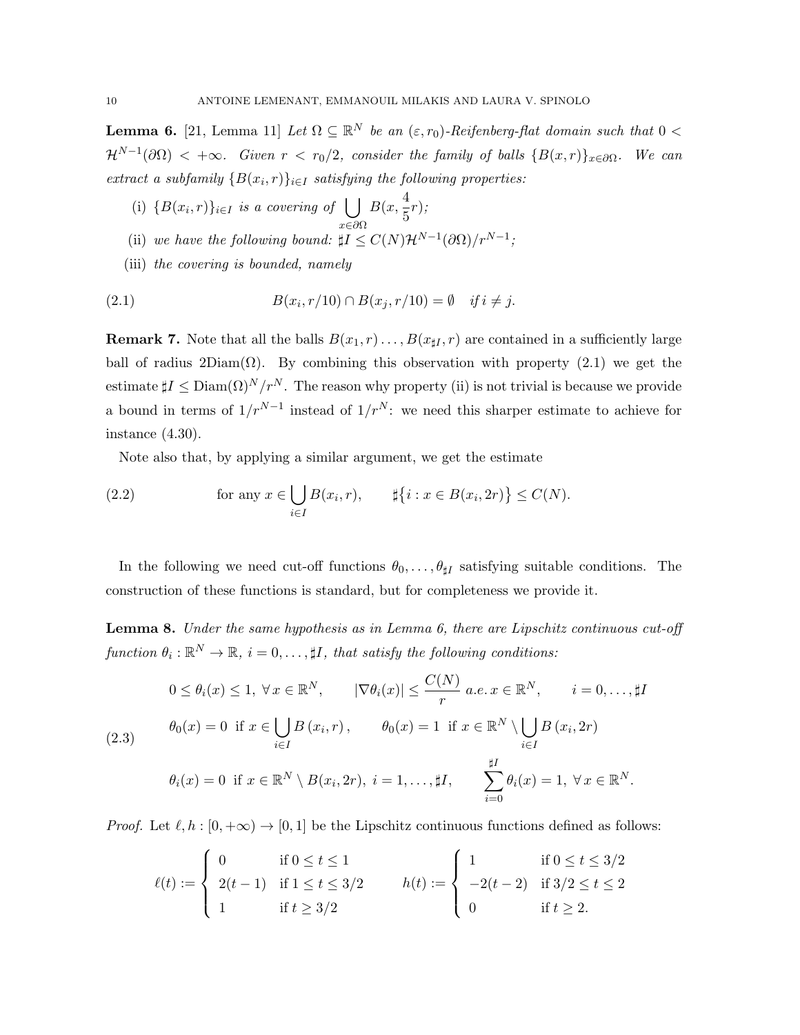**Lemma 6.** [21, Lemma 11] Let  $\Omega \subseteq \mathbb{R}^N$  be an  $(\varepsilon, r_0)$ -Reifenberg-flat domain such that  $0 <$  $\mathcal{H}^{N-1}(\partial\Omega) < +\infty$ . Given  $r < r_0/2$ , consider the family of balls  $\{B(x,r)\}_{x\in\partial\Omega}$ . We can extract a subfamily  $\{B(x_i,r)\}_{i\in I}$  satisfying the following properties:

- (i)  $\{B(x_i,r)\}_{i\in I}$  is a covering of  $\bigcup$ x∈∂Ω  $B(x,\frac{4}{5})$  $\frac{1}{5}r);$
- (ii) we have the following bound:  $\sharp I \leq C(N) \mathcal{H}^{N-1}(\partial \Omega)/r^{N-1}$ ;
- (iii) the covering is bounded, namely

$$
(2.1) \t B(x_i, r/10) \cap B(x_j, r/10) = \emptyset \t if i \neq j.
$$

**Remark 7.** Note that all the balls  $B(x_1, r) \ldots, B(x_{\sharp I}, r)$  are contained in a sufficiently large ball of radius  $2Diam(\Omega)$ . By combining this observation with property (2.1) we get the estimate  $\sharp I \leq \text{Diam}(\Omega)^N/r^N$ . The reason why property (ii) is not trivial is because we provide a bound in terms of  $1/r^{N-1}$  instead of  $1/r^N$ : we need this sharper estimate to achieve for instance (4.30).

Note also that, by applying a similar argument, we get the estimate

(2.2) for any 
$$
x \in \bigcup_{i \in I} B(x_i, r)
$$
,  $\sharp \{i : x \in B(x_i, 2r)\} \le C(N)$ .

In the following we need cut-off functions  $\theta_0, \ldots, \theta_{\sharp I}$  satisfying suitable conditions. The construction of these functions is standard, but for completeness we provide it.

**Lemma 8.** Under the same hypothesis as in Lemma 6, there are Lipschitz continuous cut-off function  $\theta_i : \mathbb{R}^N \to \mathbb{R}, i = 0, \ldots, \sharp I$ , that satisfy the following conditions:

(2.3) 
$$
0 \leq \theta_i(x) \leq 1, \ \forall x \in \mathbb{R}^N, \qquad |\nabla \theta_i(x)| \leq \frac{C(N)}{r} \ a.e. \ x \in \mathbb{R}^N, \qquad i = 0, \dots, \sharp I
$$

$$
\theta_0(x) = 0 \text{ if } x \in \bigcup_{i \in I} B(x_i, r), \qquad \theta_0(x) = 1 \text{ if } x \in \mathbb{R}^N \setminus \bigcup_{i \in I} B(x_i, 2r)
$$

$$
\theta_i(x) = 0 \text{ if } x \in \mathbb{R}^N \setminus B(x_i, 2r), \ i = 1, \dots, \sharp I, \qquad \sum_{i=0}^{\sharp I} \theta_i(x) = 1, \ \forall x \in \mathbb{R}^N.
$$

*Proof.* Let  $\ell, h : [0, +\infty) \to [0, 1]$  be the Lipschitz continuous functions defined as follows:

$$
\ell(t) := \begin{cases} 0 & \text{if } 0 \le t \le 1 \\ 2(t-1) & \text{if } 1 \le t \le 3/2 \\ 1 & \text{if } t \ge 3/2 \end{cases} \qquad h(t) := \begin{cases} 1 & \text{if } 0 \le t \le 3/2 \\ -2(t-2) & \text{if } 3/2 \le t \le 2 \\ 0 & \text{if } t \ge 2. \end{cases}
$$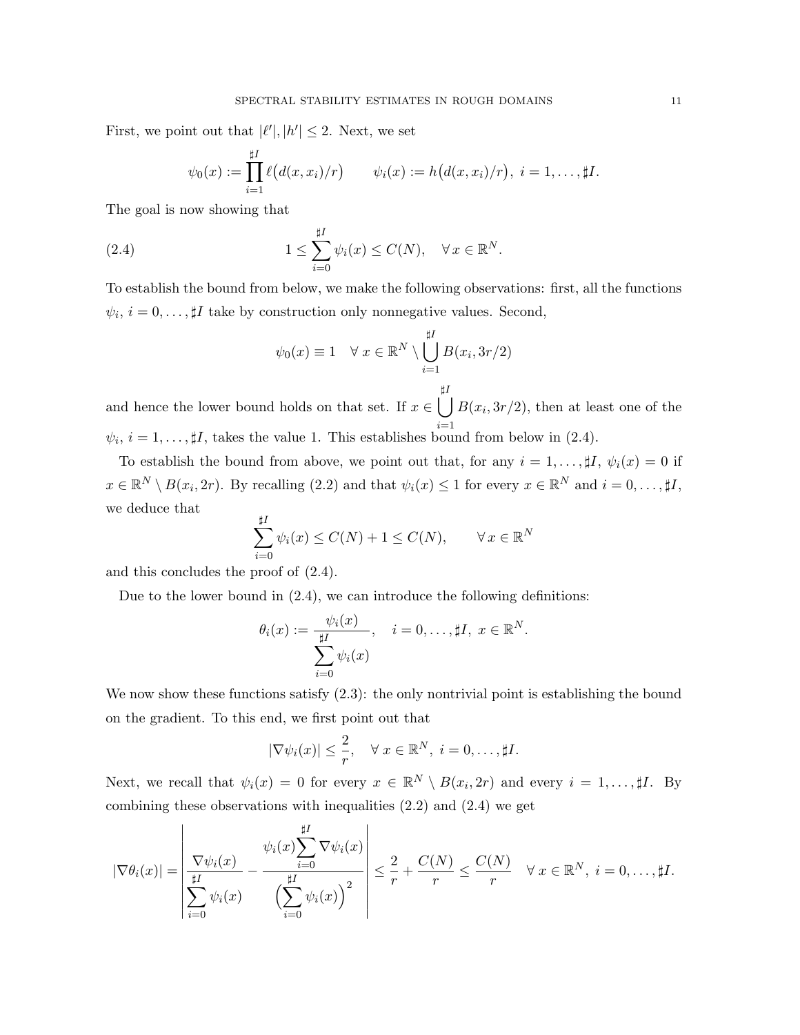First, we point out that  $|\ell'|, |h'| \leq 2$ . Next, we set

$$
\psi_0(x) := \prod_{i=1}^{\sharp I} \ell(d(x, x_i)/r)
$$
  $\psi_i(x) := h(d(x, x_i)/r), i = 1, ..., \sharp I.$ 

The goal is now showing that

(2.4) 
$$
1 \leq \sum_{i=0}^{\sharp I} \psi_i(x) \leq C(N), \quad \forall x \in \mathbb{R}^N.
$$

To establish the bound from below, we make the following observations: first, all the functions  $\psi_i, i = 0, \ldots, \sharp I$  take by construction only nonnegative values. Second,

$$
\psi_0(x) \equiv 1 \quad \forall \ x \in \mathbb{R}^N \setminus \bigcup_{i=1}^{\sharp I} B(x_i, 3r/2)
$$

and hence the lower bound holds on that set. If  $x \in \Box$  $\sharp I$  $i=1$  $B(x_i, 3r/2)$ , then at least one of the  $\psi_i, i = 1, \ldots, \sharp I$ , takes the value 1. This establishes bound from below in (2.4).

To establish the bound from above, we point out that, for any  $i = 1, \ldots, \sharp I$ ,  $\psi_i(x) = 0$  if  $x \in \mathbb{R}^N \setminus B(x_i, 2r)$ . By recalling  $(2.2)$  and that  $\psi_i(x) \leq 1$  for every  $x \in \mathbb{R}^N$  and  $i = 0, \ldots, \sharp I$ , we deduce that

$$
\sum_{i=0}^{\sharp I} \psi_i(x) \le C(N) + 1 \le C(N), \qquad \forall x \in \mathbb{R}^N
$$

and this concludes the proof of (2.4).

Due to the lower bound in (2.4), we can introduce the following definitions:

$$
\theta_i(x) := \frac{\psi_i(x)}{\sum_{i=0}^{\sharp I} \psi_i(x)}, \quad i = 0, \dots, \sharp I, \ x \in \mathbb{R}^N.
$$

We now show these functions satisfy  $(2.3)$ : the only nontrivial point is establishing the bound on the gradient. To this end, we first point out that

$$
|\nabla \psi_i(x)| \leq \frac{2}{r}, \quad \forall \ x \in \mathbb{R}^N, \ i = 0, \dots, \sharp I.
$$

Next, we recall that  $\psi_i(x) = 0$  for every  $x \in \mathbb{R}^N \setminus B(x_i, 2r)$  and every  $i = 1, \ldots, \sharp I$ . By combining these observations with inequalities (2.2) and (2.4) we get

$$
|\nabla \theta_i(x)| = \left| \frac{\nabla \psi_i(x)}{\sum_{i=0}^{\sharp I} \psi_i(x)} - \frac{\psi_i(x) \sum_{i=0}^{\sharp I} \nabla \psi_i(x)}{\left(\sum_{i=0}^{\sharp I} \psi_i(x)\right)^2} \right| \leq \frac{2}{r} + \frac{C(N)}{r} \leq \frac{C(N)}{r} \quad \forall x \in \mathbb{R}^N, \ i = 0, \ldots, \sharp I.
$$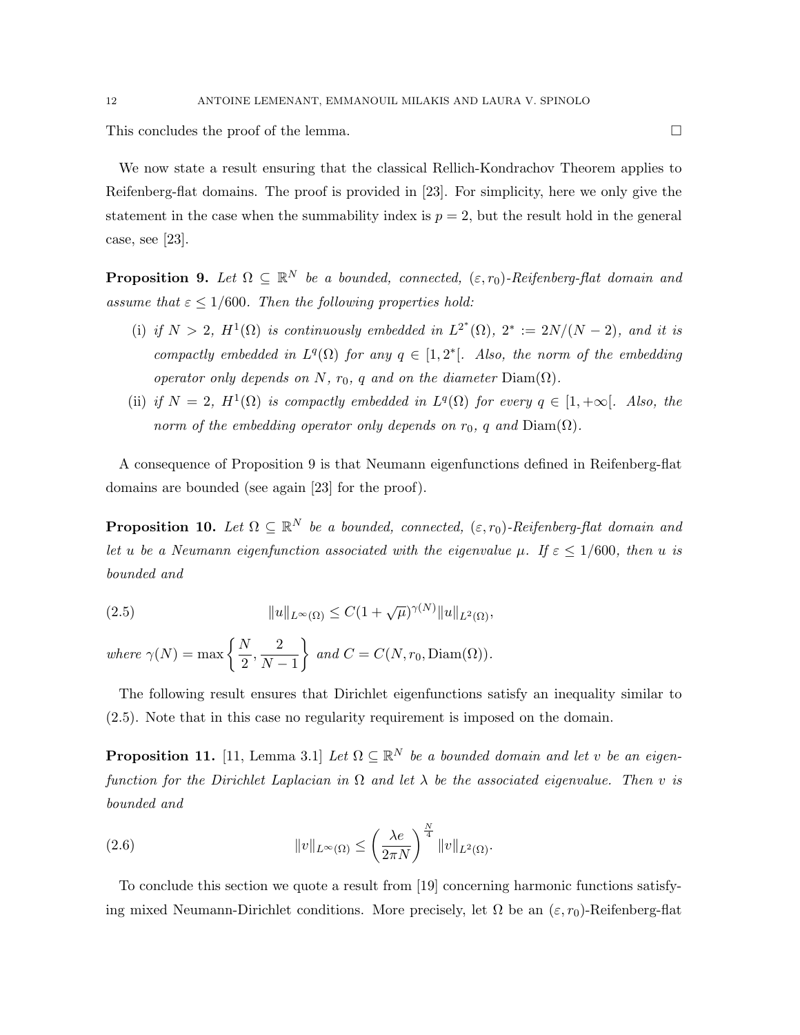This concludes the proof of the lemma.

We now state a result ensuring that the classical Rellich-Kondrachov Theorem applies to Reifenberg-flat domains. The proof is provided in [23]. For simplicity, here we only give the statement in the case when the summability index is  $p = 2$ , but the result hold in the general case, see [23].

**Proposition 9.** Let  $\Omega \subseteq \mathbb{R}^N$  be a bounded, connected,  $(\varepsilon, r_0)$ -Reifenberg-flat domain and assume that  $\varepsilon \leq 1/600$ . Then the following properties hold:

- (i) if  $N > 2$ ,  $H^1(\Omega)$  is continuously embedded in  $L^{2^*}(\Omega)$ ,  $2^* := 2N/(N-2)$ , and it is compactly embedded in  $L^q(\Omega)$  for any  $q \in [1,2^*]$ . Also, the norm of the embedding operator only depends on N,  $r_0$ , q and on the diameter  $Diam(\Omega)$ .
- (ii) if  $N = 2$ ,  $H^1(\Omega)$  is compactly embedded in  $L^q(\Omega)$  for every  $q \in [1, +\infty]$ . Also, the norm of the embedding operator only depends on  $r_0$ , q and  $Diam(\Omega)$ .

A consequence of Proposition 9 is that Neumann eigenfunctions defined in Reifenberg-flat domains are bounded (see again [23] for the proof).

**Proposition 10.** Let  $\Omega \subseteq \mathbb{R}^N$  be a bounded, connected,  $(\varepsilon, r_0)$ -Reifenberg-flat domain and let u be a Neumann eigenfunction associated with the eigenvalue  $\mu$ . If  $\varepsilon \leq 1/600$ , then u is bounded and

(2.5) 
$$
||u||_{L^{\infty}(\Omega)} \leq C(1+\sqrt{\mu})^{\gamma(N)}||u||_{L^{2}(\Omega)},
$$

where  $\gamma(N) = \max \left\{ \frac{N}{2} \right\}$  $\frac{N}{2}, \frac{2}{N}$  $N-1$  $\}$  and  $C = C(N, r_0, \text{Diam}(\Omega)).$ 

The following result ensures that Dirichlet eigenfunctions satisfy an inequality similar to (2.5). Note that in this case no regularity requirement is imposed on the domain.

**Proposition 11.** [11, Lemma 3.1] Let  $\Omega \subseteq \mathbb{R}^N$  be a bounded domain and let v be an eigenfunction for the Dirichlet Laplacian in  $\Omega$  and let  $\lambda$  be the associated eigenvalue. Then v is bounded and

(2.6) 
$$
||v||_{L^{\infty}(\Omega)} \leq \left(\frac{\lambda e}{2\pi N}\right)^{\frac{N}{4}} ||v||_{L^{2}(\Omega)}.
$$

To conclude this section we quote a result from [19] concerning harmonic functions satisfying mixed Neumann-Dirichlet conditions. More precisely, let  $\Omega$  be an  $(\varepsilon, r_0)$ -Reifenberg-flat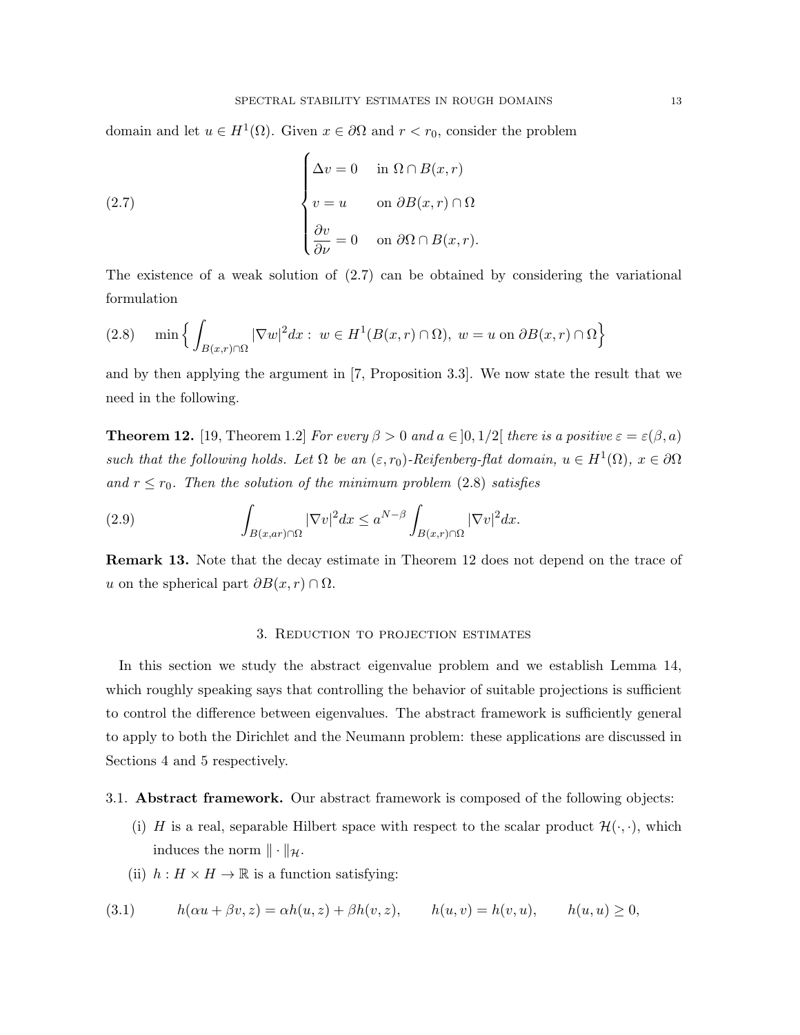domain and let  $u \in H^1(\Omega)$ . Given  $x \in \partial\Omega$  and  $r < r_0$ , consider the problem

(2.7) 
$$
\begin{cases} \Delta v = 0 & \text{in } \Omega \cap B(x, r) \\ v = u & \text{on } \partial B(x, r) \cap \Omega \\ \frac{\partial v}{\partial \nu} = 0 & \text{on } \partial \Omega \cap B(x, r). \end{cases}
$$

The existence of a weak solution of (2.7) can be obtained by considering the variational formulation

$$
(2.8) \quad \min\left\{ \int_{B(x,r)\cap\Omega} |\nabla w|^2 dx : w \in H^1(B(x,r)\cap\Omega), w = u \text{ on } \partial B(x,r)\cap\Omega \right\}
$$

and by then applying the argument in [7, Proposition 3.3]. We now state the result that we need in the following.

**Theorem 12.** [19, Theorem 1.2] For every  $\beta > 0$  and  $a \in ]0,1/2[$  there is a positive  $\varepsilon = \varepsilon(\beta, a)$ such that the following holds. Let  $\Omega$  be an  $(\varepsilon, r_0)$ -Reifenberg-flat domain,  $u \in H^1(\Omega)$ ,  $x \in \partial \Omega$ and  $r \le r_0$ . Then the solution of the minimum problem (2.8) satisfies

(2.9) 
$$
\int_{B(x, ar)\cap\Omega} |\nabla v|^2 dx \leq a^{N-\beta} \int_{B(x,r)\cap\Omega} |\nabla v|^2 dx.
$$

Remark 13. Note that the decay estimate in Theorem 12 does not depend on the trace of u on the spherical part  $\partial B(x, r) \cap \Omega$ .

### 3. Reduction to projection estimates

In this section we study the abstract eigenvalue problem and we establish Lemma 14, which roughly speaking says that controlling the behavior of suitable projections is sufficient to control the difference between eigenvalues. The abstract framework is sufficiently general to apply to both the Dirichlet and the Neumann problem: these applications are discussed in Sections 4 and 5 respectively.

#### 3.1. Abstract framework. Our abstract framework is composed of the following objects:

- (i) H is a real, separable Hilbert space with respect to the scalar product  $\mathcal{H}(\cdot, \cdot)$ , which induces the norm  $\|\cdot\|_{\mathcal{H}}$ .
- (ii)  $h: H \times H \to \mathbb{R}$  is a function satisfying:

(3.1) 
$$
h(\alpha u + \beta v, z) = \alpha h(u, z) + \beta h(v, z), \qquad h(u, v) = h(v, u), \qquad h(u, u) \ge 0,
$$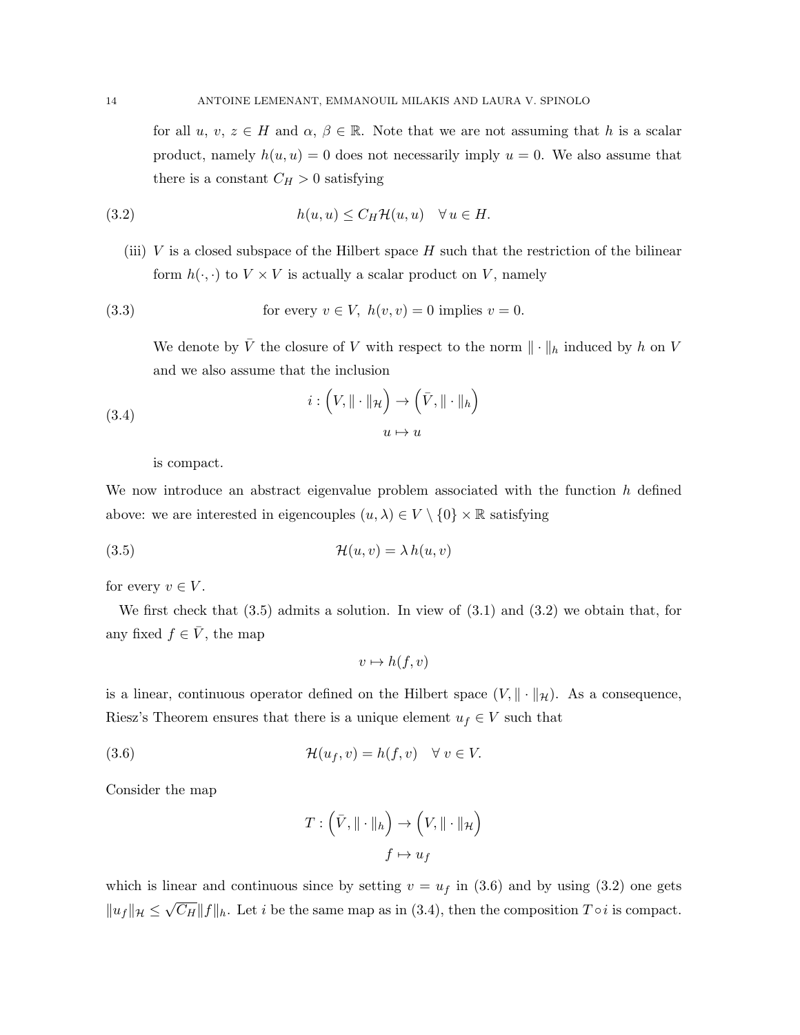for all  $u, v, z \in H$  and  $\alpha, \beta \in \mathbb{R}$ . Note that we are not assuming that h is a scalar product, namely  $h(u, u) = 0$  does not necessarily imply  $u = 0$ . We also assume that there is a constant  $C_H > 0$  satisfying

(3.2) 
$$
h(u, u) \leq C_H \mathcal{H}(u, u) \quad \forall u \in H.
$$

(iii)  $V$  is a closed subspace of the Hilbert space  $H$  such that the restriction of the bilinear form  $h(\cdot, \cdot)$  to  $V \times V$  is actually a scalar product on V, namely

(3.3) for every 
$$
v \in V
$$
,  $h(v, v) = 0$  implies  $v = 0$ .

We denote by  $\overline{V}$  the closure of V with respect to the norm  $\|\cdot\|_h$  induced by h on V and we also assume that the inclusion

(3.4) 
$$
i: (V, \|\cdot\|_{\mathcal{H}}) \to (\bar{V}, \|\cdot\|_{h})
$$

$$
u \mapsto u
$$

is compact.

We now introduce an abstract eigenvalue problem associated with the function  $h$  defined above: we are interested in eigencouples  $(u, \lambda) \in V \setminus \{0\} \times \mathbb{R}$  satisfying

(3.5) 
$$
\mathcal{H}(u,v) = \lambda h(u,v)
$$

for every  $v \in V$ .

We first check that (3.5) admits a solution. In view of (3.1) and (3.2) we obtain that, for any fixed  $f \in \overline{V}$ , the map

$$
v \mapsto h(f, v)
$$

is a linear, continuous operator defined on the Hilbert space  $(V, \|\cdot\|_{\mathcal{H}})$ . As a consequence, Riesz's Theorem ensures that there is a unique element  $u_f \in V$  such that

(3.6) 
$$
\mathcal{H}(u_f, v) = h(f, v) \quad \forall \ v \in V.
$$

Consider the map

$$
T: \left(\bar{V}, \|\cdot\|_h\right) \to \left(V, \|\cdot\|_{\mathcal{H}}\right) \\ f \mapsto u_f
$$

which is linear and continuous since by setting  $v = u_f$  in (3.6) and by using (3.2) one gets  $||u_f||_{\mathcal{H}} \leq$ √  $\overline{C_H} ||f||_h$ . Let i be the same map as in (3.4), then the composition  $T \circ i$  is compact.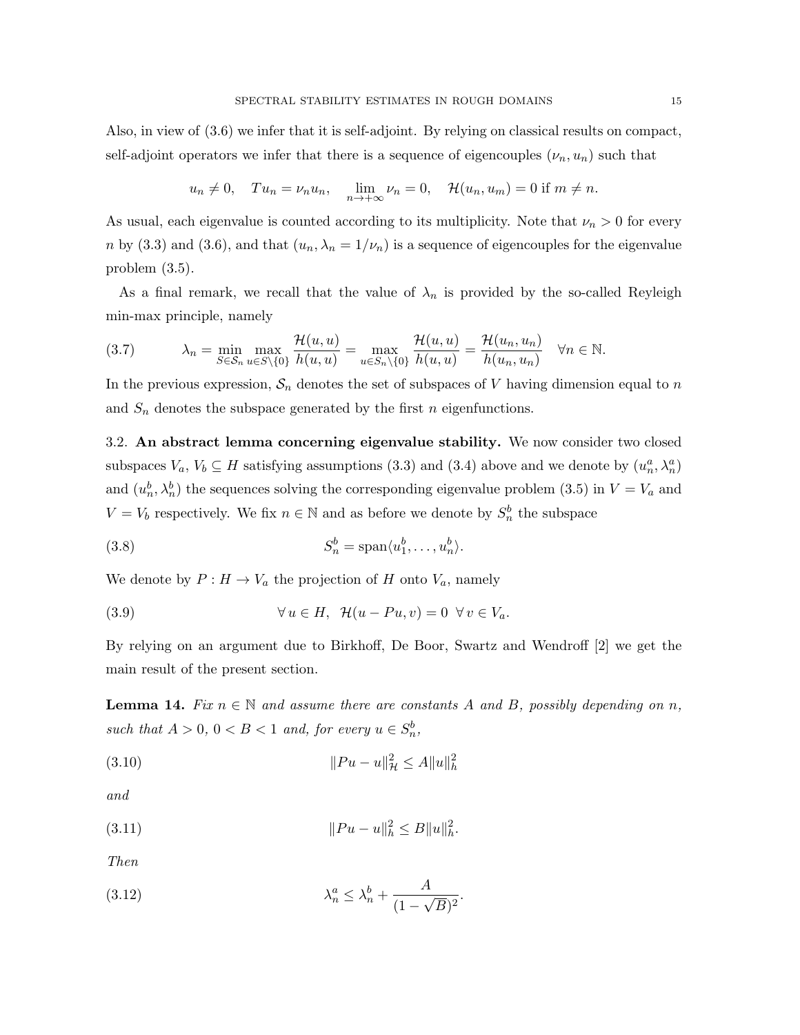$$
u_n \neq 0
$$
,  $Tu_n = \nu_n u_n$ ,  $\lim_{n \to +\infty} \nu_n = 0$ ,  $\mathcal{H}(u_n, u_m) = 0$  if  $m \neq n$ .

As usual, each eigenvalue is counted according to its multiplicity. Note that  $\nu_n > 0$  for every n by (3.3) and (3.6), and that  $(u_n, \lambda_n = 1/\nu_n)$  is a sequence of eigencouples for the eigenvalue problem (3.5).

As a final remark, we recall that the value of  $\lambda_n$  is provided by the so-called Reyleigh min-max principle, namely

$$
(3.7) \qquad \lambda_n = \min_{S \in \mathcal{S}_n} \max_{u \in S \setminus \{0\}} \frac{\mathcal{H}(u, u)}{h(u, u)} = \max_{u \in \mathcal{S}_n \setminus \{0\}} \frac{\mathcal{H}(u, u)}{h(u, u)} = \frac{\mathcal{H}(u_n, u_n)}{h(u_n, u_n)} \quad \forall n \in \mathbb{N}.
$$

In the previous expression,  $S_n$  denotes the set of subspaces of V having dimension equal to n and  $S_n$  denotes the subspace generated by the first n eigenfunctions.

3.2. An abstract lemma concerning eigenvalue stability. We now consider two closed subspaces  $V_a$ ,  $V_b \subseteq H$  satisfying assumptions (3.3) and (3.4) above and we denote by  $(u_n^a, \lambda_n^a)$ and  $(u_n^b, \lambda_n^b)$  the sequences solving the corresponding eigenvalue problem (3.5) in  $V = V_a$  and  $V = V_b$  respectively. We fix  $n \in \mathbb{N}$  and as before we denote by  $S_n^b$  the subspace

(3.8) 
$$
S_n^b = \text{span}\langle u_1^b, \dots, u_n^b \rangle.
$$

We denote by  $P: H \to V_a$  the projection of H onto  $V_a$ , namely

(3.9) 
$$
\forall u \in H, \ \mathcal{H}(u - Pu, v) = 0 \ \forall v \in V_a.
$$

By relying on an argument due to Birkhoff, De Boor, Swartz and Wendroff [2] we get the main result of the present section.

**Lemma 14.** Fix  $n \in \mathbb{N}$  and assume there are constants A and B, possibly depending on n, such that  $A > 0$ ,  $0 < B < 1$  and, for every  $u \in S_n^b$ ,

(3.10) 
$$
||Pu - u||^2_{\mathcal{H}} \le A||u||^2_h
$$

and

(3.11) 
$$
||Pu - u||_h^2 \le B||u||_h^2.
$$

Then

$$
\lambda_n^a \le \lambda_n^b + \frac{A}{(1 - \sqrt{B})^2}.
$$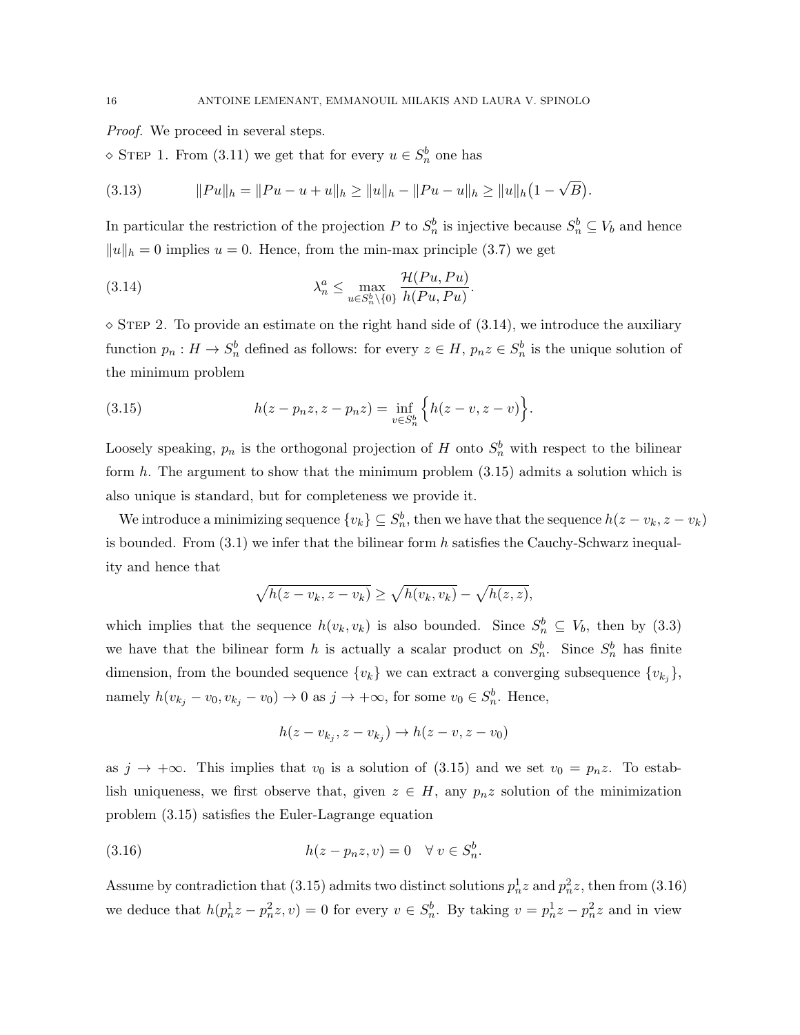*Proof.* We proceed in several steps.

 $\Diamond$  STEP 1. From (3.11) we get that for every  $u \in S_n^b$  one has

(3.13) 
$$
||Pu||_h = ||Pu - u + u||_h \ge ||u||_h - ||Pu - u||_h \ge ||u||_h (1 - \sqrt{B}).
$$

In particular the restriction of the projection P to  $S_n^b$  is injective because  $S_n^b \subseteq V_b$  and hence  $||u||_h = 0$  implies  $u = 0$ . Hence, from the min-max principle (3.7) we get

(3.14) 
$$
\lambda_n^a \leq \max_{u \in S_n^b \setminus \{0\}} \frac{\mathcal{H}(Pu, Pu)}{h(Pu, Pu)}.
$$

 $\sim$  STEP 2. To provide an estimate on the right hand side of (3.14), we introduce the auxiliary function  $p_n: H \to S_n^b$  defined as follows: for every  $z \in H$ ,  $p_n z \in S_n^b$  is the unique solution of the minimum problem

(3.15) 
$$
h(z - p_n z, z - p_n z) = \inf_{v \in S_n^b} \left\{ h(z - v, z - v) \right\}.
$$

Loosely speaking,  $p_n$  is the orthogonal projection of H onto  $S_n^b$  with respect to the bilinear form  $h$ . The argument to show that the minimum problem  $(3.15)$  admits a solution which is also unique is standard, but for completeness we provide it.

We introduce a minimizing sequence  $\{v_k\} \subseteq S_n^b$ , then we have that the sequence  $h(z - v_k, z - v_k)$ is bounded. From  $(3.1)$  we infer that the bilinear form h satisfies the Cauchy-Schwarz inequality and hence that

$$
\sqrt{h(z - v_k, z - v_k)} \ge \sqrt{h(v_k, v_k)} - \sqrt{h(z, z)},
$$

which implies that the sequence  $h(v_k, v_k)$  is also bounded. Since  $S_n^b \subseteq V_b$ , then by (3.3) we have that the bilinear form h is actually a scalar product on  $S_n^b$ . Since  $S_n^b$  has finite dimension, from the bounded sequence  $\{v_k\}$  we can extract a converging subsequence  $\{v_{k_j}\},$ namely  $h(v_{k_j} - v_0, v_{k_j} - v_0) \to 0$  as  $j \to +\infty$ , for some  $v_0 \in S_n^b$ . Hence,

$$
h(z - v_{k_j}, z - v_{k_j}) \to h(z - v, z - v_0)
$$

as  $j \to +\infty$ . This implies that  $v_0$  is a solution of (3.15) and we set  $v_0 = p_n z$ . To establish uniqueness, we first observe that, given  $z \in H$ , any  $p_n z$  solution of the minimization problem (3.15) satisfies the Euler-Lagrange equation

$$
(3.16) \qquad \qquad h(z - p_n z, v) = 0 \quad \forall \ v \in S_n^b.
$$

Assume by contradiction that (3.15) admits two distinct solutions  $p_n^1 z$  and  $p_n^2 z$ , then from (3.16) we deduce that  $h(p_n^1z - p_n^2z, v) = 0$  for every  $v \in S_n^b$ . By taking  $v = p_n^1z - p_n^2z$  and in view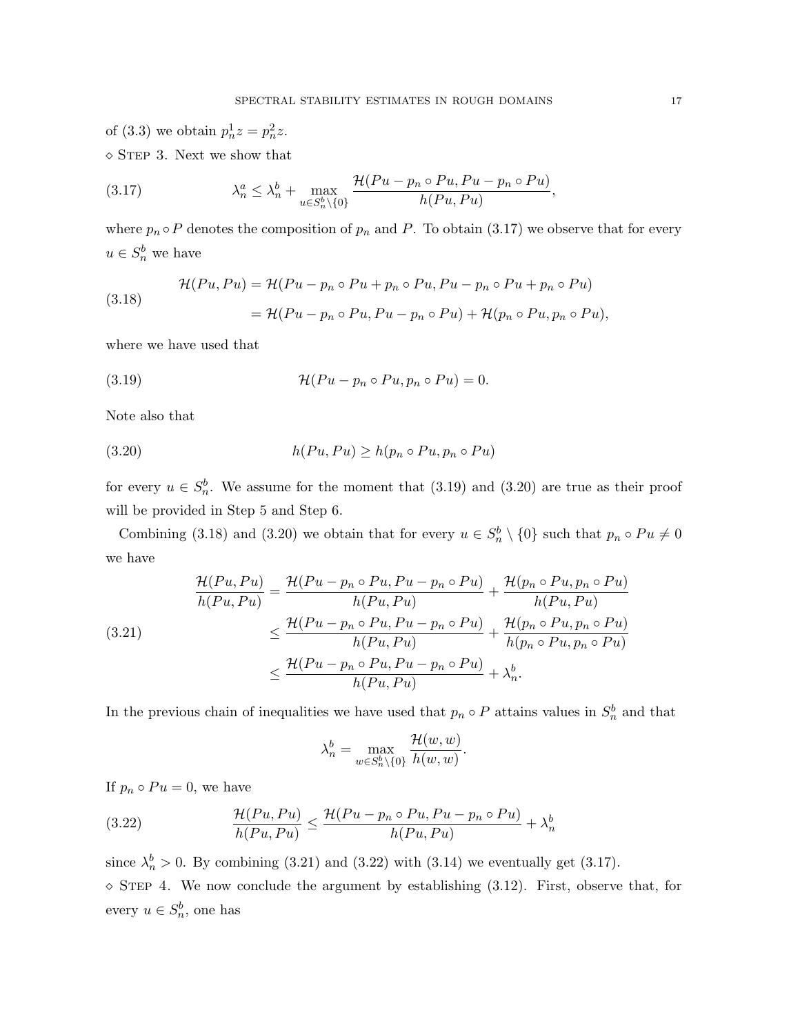of (3.3) we obtain  $p_n^1 z = p_n^2 z$ .  $\diamond$  STEP 3. Next we show that

(3.17) 
$$
\lambda_n^a \leq \lambda_n^b + \max_{u \in S_n^b \setminus \{0\}} \frac{\mathcal{H}(Pu - p_n \circ Pu, Pu - p_n \circ Pu)}{h(Pu, Pu)},
$$

where  $p_n \circ P$  denotes the composition of  $p_n$  and P. To obtain (3.17) we observe that for every  $u \in S_n^b$  we have

(3.18) 
$$
\mathcal{H}(Pu, Pu) = \mathcal{H}(Pu - p_n \circ Pu + p_n \circ Pu, Pu - p_n \circ Pu + p_n \circ Pu)
$$

$$
= \mathcal{H}(Pu - p_n \circ Pu, Pu - p_n \circ Pu) + \mathcal{H}(p_n \circ Pu, p_n \circ Pu),
$$

where we have used that

(3.19) 
$$
\mathcal{H}(Pu - p_n \circ Pu, p_n \circ Pu) = 0.
$$

Note also that

$$
(3.20) \t\t\t h(Pu, Pu) \ge h(p_n \circ Pu, p_n \circ Pu)
$$

for every  $u \in S_n^b$ . We assume for the moment that (3.19) and (3.20) are true as their proof will be provided in Step 5 and Step 6.

Combining (3.18) and (3.20) we obtain that for every  $u \in S_n^b \setminus \{0\}$  such that  $p_n \circ Pu \neq 0$ we have

$$
\frac{\mathcal{H}(Pu, Pu)}{h(Pu, Pu)} = \frac{\mathcal{H}(Pu - p_n \circ Pu, Pu - p_n \circ Pu)}{h(Pu, Pu)} + \frac{\mathcal{H}(p_n \circ Pu, p_n \circ Pu)}{h(Pu, Pu)}
$$
\n
$$
\leq \frac{\mathcal{H}(Pu - p_n \circ Pu, Pu - p_n \circ Pu)}{h(Pu, Pu)} + \frac{\mathcal{H}(p_n \circ Pu, p_n \circ Pu)}{h(p_n \circ Pu, p_n \circ Pu)}
$$
\n
$$
\leq \frac{\mathcal{H}(Pu - p_n \circ Pu, Pu - p_n \circ Pu)}{h(Pu, Pu)} + \lambda_n^b.
$$

In the previous chain of inequalities we have used that  $p_n \circ P$  attains values in  $S_n^b$  and that

$$
\lambda_n^b = \max_{w \in S_n^b \setminus \{0\}} \frac{\mathcal{H}(w, w)}{h(w, w)}.
$$

If  $p_n \circ Pu = 0$ , we have

(3.22) 
$$
\frac{\mathcal{H}(Pu, Pu)}{h(Pu, Pu)} \leq \frac{\mathcal{H}(Pu - p_n \circ Pu, Pu - p_n \circ Pu)}{h(Pu, Pu)} + \lambda_n^b
$$

since  $\lambda_n^b > 0$ . By combining (3.21) and (3.22) with (3.14) we eventually get (3.17).  $\circ$  STEP 4. We now conclude the argument by establishing (3.12). First, observe that, for every  $u \in S_n^b$ , one has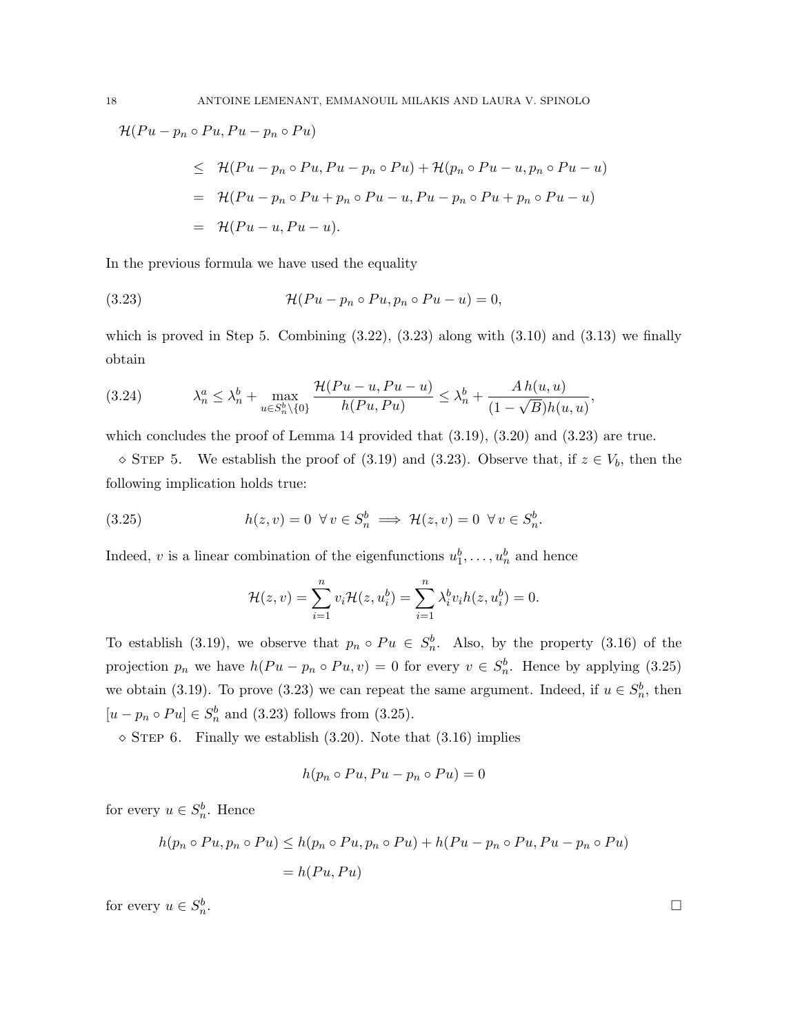$$
\mathcal{H}(Pu - p_n \circ Pu, Pu - p_n \circ Pu)
$$
  
\n
$$
\leq \mathcal{H}(Pu - p_n \circ Pu, Pu - p_n \circ Pu) + \mathcal{H}(p_n \circ Pu - u, p_n \circ Pu - u)
$$
  
\n
$$
= \mathcal{H}(Pu - p_n \circ Pu + p_n \circ Pu - u, Pu - p_n \circ Pu + p_n \circ Pu - u)
$$
  
\n
$$
= \mathcal{H}(Pu - u, Pu - u).
$$

In the previous formula we have used the equality

(3.23) 
$$
\mathcal{H}(Pu - p_n \circ Pu, p_n \circ Pu - u) = 0,
$$

which is proved in Step 5. Combining  $(3.22)$ ,  $(3.23)$  along with  $(3.10)$  and  $(3.13)$  we finally obtain

$$
(3.24) \qquad \lambda_n^a \le \lambda_n^b + \max_{u \in S_n^b \setminus \{0\}} \frac{\mathcal{H}(Pu - u, Pu - u)}{h(Pu, Pu)} \le \lambda_n^b + \frac{Ah(u, u)}{(1 - \sqrt{B})h(u, u)},
$$

which concludes the proof of Lemma 14 provided that  $(3.19)$ ,  $(3.20)$  and  $(3.23)$  are true.

 $\infty$  STEP 5. We establish the proof of (3.19) and (3.23). Observe that, if  $z \in V_b$ , then the following implication holds true:

(3.25) 
$$
h(z,v) = 0 \quad \forall v \in S_n^b \implies \mathcal{H}(z,v) = 0 \quad \forall v \in S_n^b.
$$

Indeed, v is a linear combination of the eigenfunctions  $u_1^b, \ldots, u_n^b$  and hence

$$
\mathcal{H}(z,v) = \sum_{i=1}^n v_i \mathcal{H}(z,u_i^b) = \sum_{i=1}^n \lambda_i^b v_i h(z,u_i^b) = 0.
$$

To establish (3.19), we observe that  $p_n \circ Pu \in S_n^b$ . Also, by the property (3.16) of the projection  $p_n$  we have  $h(Pu - p_n \circ Pu, v) = 0$  for every  $v \in S_n^b$ . Hence by applying (3.25) we obtain (3.19). To prove (3.23) we can repeat the same argument. Indeed, if  $u \in S_n^b$ , then  $[u - p_n \circ Pu] \in S_n^b$  and (3.23) follows from (3.25).

 $\circ$  STEP 6. Finally we establish (3.20). Note that (3.16) implies

$$
h(p_n \circ Pu, Pu - p_n \circ Pu) = 0
$$

for every  $u \in S_n^b$ . Hence

$$
h(p_n \circ Pu, p_n \circ Pu) \le h(p_n \circ Pu, p_n \circ Pu) + h(Pu - p_n \circ Pu, Pu - p_n \circ Pu)
$$
  
=  $h(Pu, Pu)$ 

for every  $u \in S_n^b$ 

. В последните последните последните последните последните последните последните последните последните последн<br>В 1990 година от селото на селото на селото на селото на селото на селото на селото на селото на селото на сел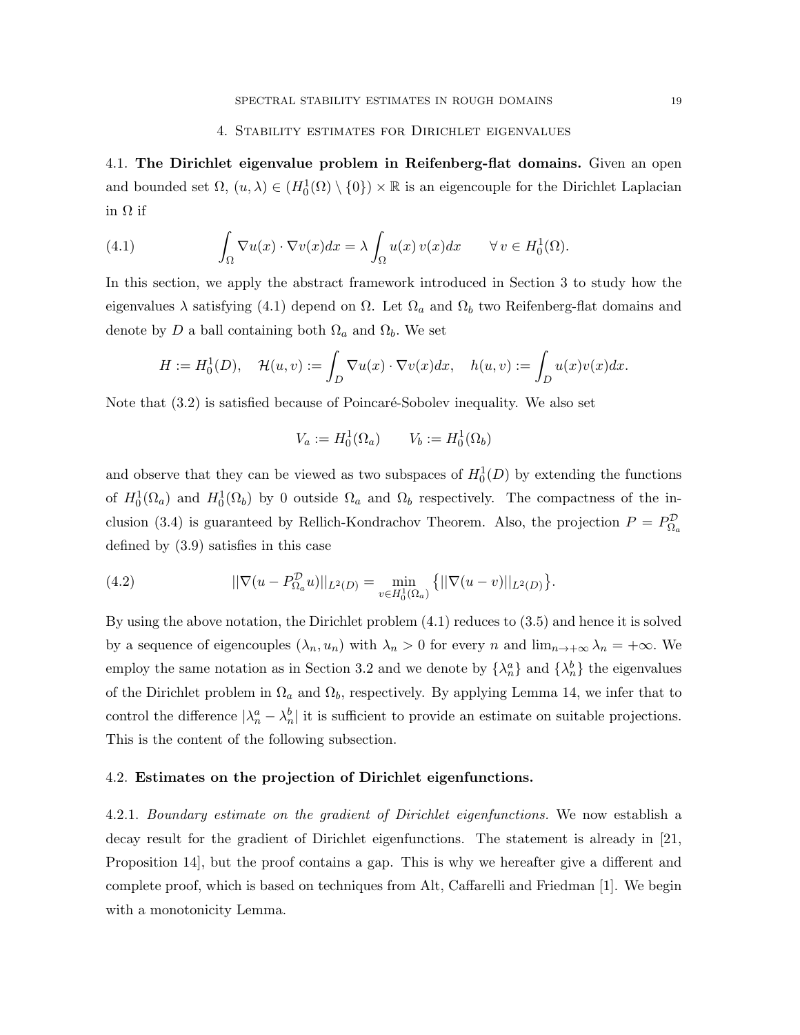#### 4. Stability estimates for Dirichlet eigenvalues

4.1. The Dirichlet eigenvalue problem in Reifenberg-flat domains. Given an open and bounded set  $\Omega$ ,  $(u, \lambda) \in (H_0^1(\Omega) \setminus \{0\}) \times \mathbb{R}$  is an eigencouple for the Dirichlet Laplacian in Ω if

(4.1) 
$$
\int_{\Omega} \nabla u(x) \cdot \nabla v(x) dx = \lambda \int_{\Omega} u(x) v(x) dx \quad \forall v \in H_0^1(\Omega).
$$

In this section, we apply the abstract framework introduced in Section 3 to study how the eigenvalues  $\lambda$  satisfying (4.1) depend on  $\Omega$ . Let  $\Omega_a$  and  $\Omega_b$  two Reifenberg-flat domains and denote by D a ball containing both  $\Omega_a$  and  $\Omega_b$ . We set

$$
H:=H_0^1(D),\quad \mathcal{H}(u,v):=\int_D \nabla u(x)\cdot \nabla v(x)dx,\quad h(u,v):=\int_D u(x)v(x)dx.
$$

Note that  $(3.2)$  is satisfied because of Poincaré-Sobolev inequality. We also set

$$
V_a := H_0^1(\Omega_a) \qquad V_b := H_0^1(\Omega_b)
$$

and observe that they can be viewed as two subspaces of  $H_0^1(D)$  by extending the functions of  $H_0^1(\Omega_a)$  and  $H_0^1(\Omega_b)$  by 0 outside  $\Omega_a$  and  $\Omega_b$  respectively. The compactness of the inclusion (3.4) is guaranteed by Rellich-Kondrachov Theorem. Also, the projection  $P = P_{\Omega_a}^{\mathcal{D}}$ defined by (3.9) satisfies in this case

(4.2) 
$$
||\nabla(u - P_{\Omega_a}^{\mathcal{D}}u)||_{L^2(D)} = \min_{v \in H_0^1(\Omega_a)} \{||\nabla(u - v)||_{L^2(D)}\}.
$$

By using the above notation, the Dirichlet problem (4.1) reduces to (3.5) and hence it is solved by a sequence of eigencouples  $(\lambda_n, u_n)$  with  $\lambda_n > 0$  for every n and  $\lim_{n \to +\infty} \lambda_n = +\infty$ . We employ the same notation as in Section 3.2 and we denote by  $\{\lambda_n^a\}$  and  $\{\lambda_n^b\}$  the eigenvalues of the Dirichlet problem in  $\Omega_a$  and  $\Omega_b$ , respectively. By applying Lemma 14, we infer that to control the difference  $|\lambda_n^a - \lambda_n^b|$  it is sufficient to provide an estimate on suitable projections. This is the content of the following subsection.

## 4.2. Estimates on the projection of Dirichlet eigenfunctions.

4.2.1. Boundary estimate on the gradient of Dirichlet eigenfunctions. We now establish a decay result for the gradient of Dirichlet eigenfunctions. The statement is already in [21, Proposition 14], but the proof contains a gap. This is why we hereafter give a different and complete proof, which is based on techniques from Alt, Caffarelli and Friedman [1]. We begin with a monotonicity Lemma.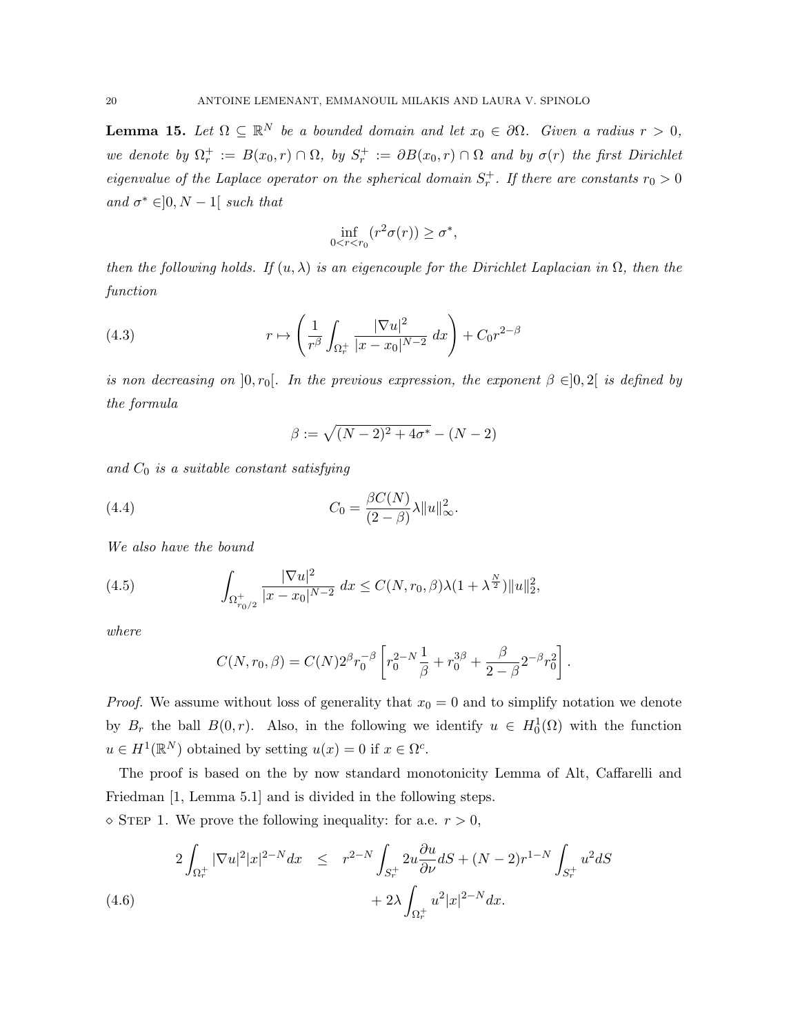**Lemma 15.** Let  $\Omega \subseteq \mathbb{R}^N$  be a bounded domain and let  $x_0 \in \partial \Omega$ . Given a radius  $r > 0$ , we denote by  $\Omega_r^+ := B(x_0, r) \cap \Omega$ , by  $S_r^+ := \partial B(x_0, r) \cap \Omega$  and by  $\sigma(r)$  the first Dirichlet eigenvalue of the Laplace operator on the spherical domain  $S_r^+$ . If there are constants  $r_0 > 0$ and  $\sigma^* \in ]0, N-1[$  such that

$$
\inf_{0 < r < r_0} (r^2 \sigma(r)) \ge \sigma^*,
$$

then the following holds. If  $(u, \lambda)$  is an eigencouple for the Dirichlet Laplacian in  $\Omega$ , then the function

(4.3) 
$$
r \mapsto \left(\frac{1}{r^{\beta}} \int_{\Omega_r^+} \frac{|\nabla u|^2}{|x - x_0|^{N-2}} dx\right) + C_0 r^{2-\beta}
$$

is non decreasing on  $[0, r_0]$ . In the previous expression, the exponent  $\beta \in ]0, 2]$  is defined by the formula

$$
\beta := \sqrt{(N-2)^2 + 4\sigma^*} - (N-2)
$$

and  $C_0$  is a suitable constant satisfying

(4.4) 
$$
C_0 = \frac{\beta C(N)}{(2-\beta)} \lambda ||u||_{\infty}^2.
$$

We also have the bound

(4.5) 
$$
\int_{\Omega_{r_0/2}^+} \frac{|\nabla u|^2}{|x - x_0|^{N-2}} dx \le C(N, r_0, \beta) \lambda (1 + \lambda^{\frac{N}{2}}) \|u\|_2^2,
$$

where

$$
C(N,r_0,\beta) = C(N)2^{\beta}r_0^{-\beta}\left[r_0^{2-N}\frac{1}{\beta} + r_0^{3\beta} + \frac{\beta}{2-\beta}2^{-\beta}r_0^2\right].
$$

*Proof.* We assume without loss of generality that  $x_0 = 0$  and to simplify notation we denote by  $B_r$  the ball  $B(0,r)$ . Also, in the following we identify  $u \in H_0^1(\Omega)$  with the function  $u \in H^1(\mathbb{R}^N)$  obtained by setting  $u(x) = 0$  if  $x \in \Omega^c$ .

The proof is based on the by now standard monotonicity Lemma of Alt, Caffarelli and Friedman [1, Lemma 5.1] and is divided in the following steps.

 $\Diamond$  STEP 1. We prove the following inequality: for a.e.  $r > 0$ ,

$$
2\int_{\Omega_r^+} |\nabla u|^2 |x|^{2-N} dx \leq r^{2-N} \int_{S_r^+} 2u \frac{\partial u}{\partial \nu} dS + (N-2)r^{1-N} \int_{S_r^+} u^2 dS
$$
  

$$
+ 2\lambda \int_{\Omega_r^+} u^2 |x|^{2-N} dx.
$$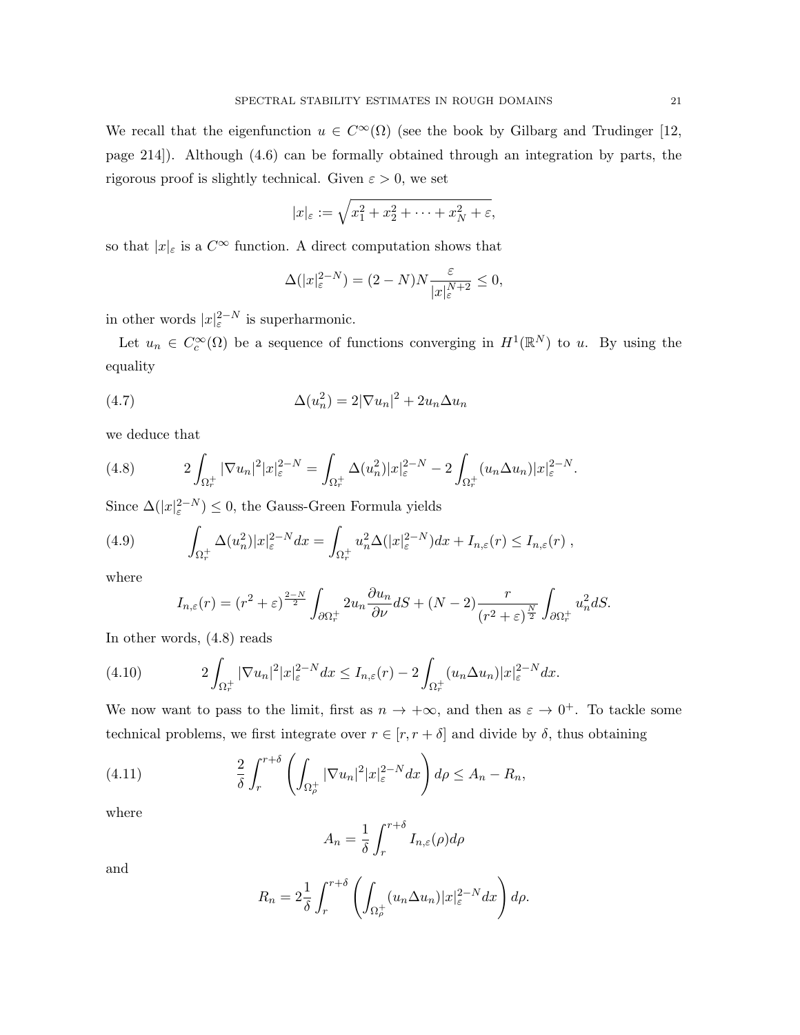We recall that the eigenfunction  $u \in C^{\infty}(\Omega)$  (see the book by Gilbarg and Trudinger [12, page 214]). Although (4.6) can be formally obtained through an integration by parts, the rigorous proof is slightly technical. Given  $\varepsilon > 0$ , we set

$$
|x|_{\varepsilon} := \sqrt{x_1^2 + x_2^2 + \dots + x_N^2 + \varepsilon},
$$

so that  $|x|_{\varepsilon}$  is a  $C^{\infty}$  function. A direct computation shows that

$$
\Delta(|x|_{\varepsilon}^{2-N}) = (2-N)N \frac{\varepsilon}{|x|_{\varepsilon}^{N+2}} \le 0,
$$

in other words  $|x|_{\varepsilon}^{2-N}$  is superharmonic.

Let  $u_n \in C_c^{\infty}(\Omega)$  be a sequence of functions converging in  $H^1(\mathbb{R}^N)$  to u. By using the equality

(4.7) 
$$
\Delta(u_n^2) = 2|\nabla u_n|^2 + 2u_n \Delta u_n
$$

we deduce that

(4.8) 
$$
2\int_{\Omega_r^+} |\nabla u_n|^2 |x|_{\varepsilon}^{2-N} = \int_{\Omega_r^+} \Delta(u_n^2) |x|_{\varepsilon}^{2-N} - 2\int_{\Omega_r^+} (u_n \Delta u_n) |x|_{\varepsilon}^{2-N}.
$$

Since  $\Delta(|x|_{\varepsilon}^{2-N}) \leq 0$ , the Gauss-Green Formula yields

(4.9) 
$$
\int_{\Omega_r^+} \Delta(u_n^2)|x|_{\varepsilon}^{2-N} dx = \int_{\Omega_r^+} u_n^2 \Delta(|x|_{\varepsilon}^{2-N}) dx + I_{n,\varepsilon}(r) \leq I_{n,\varepsilon}(r) ,
$$

where

$$
I_{n,\varepsilon}(r) = (r^2 + \varepsilon)^{\frac{2-N}{2}} \int_{\partial \Omega_r^+} 2u_n \frac{\partial u_n}{\partial \nu} dS + (N-2) \frac{r}{(r^2 + \varepsilon)^{\frac{N}{2}}} \int_{\partial \Omega_r^+} u_n^2 dS.
$$

In other words, (4.8) reads

(4.10) 
$$
2\int_{\Omega_r^+} |\nabla u_n|^2 |x|_{\varepsilon}^{2-N} dx \leq I_{n,\varepsilon}(r) - 2\int_{\Omega_r^+} (u_n \Delta u_n) |x|_{\varepsilon}^{2-N} dx.
$$

We now want to pass to the limit, first as  $n \to +\infty$ , and then as  $\varepsilon \to 0^+$ . To tackle some technical problems, we first integrate over  $r \in [r, r + \delta]$  and divide by  $\delta$ , thus obtaining

(4.11) 
$$
\frac{2}{\delta} \int_{r}^{r+\delta} \left( \int_{\Omega_{\rho}^+} |\nabla u_n|^2 |x|_{\varepsilon}^{2-N} dx \right) d\rho \leq A_n - R_n,
$$

where

$$
A_n = \frac{1}{\delta} \int_r^{r+\delta} I_{n,\varepsilon}(\rho) d\rho
$$

and

$$
R_n = 2\frac{1}{\delta} \int_r^{r+\delta} \left( \int_{\Omega_\rho^+} (u_n \Delta u_n) |x|_{\varepsilon}^{2-N} dx \right) d\rho.
$$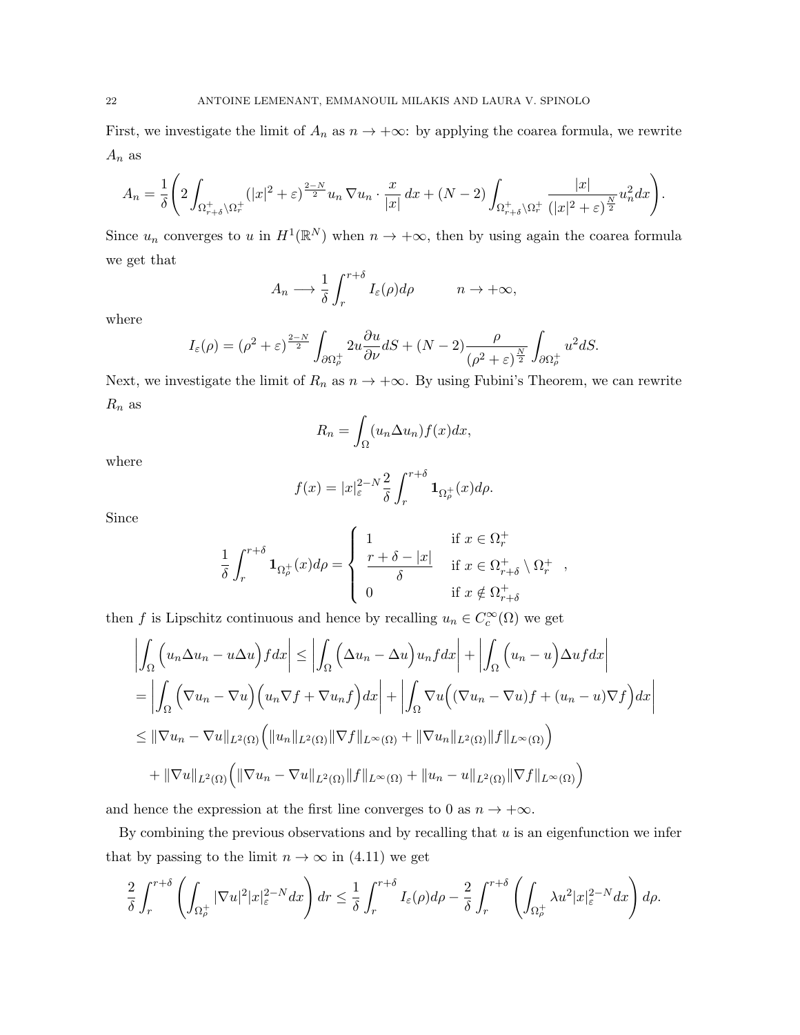First, we investigate the limit of  $A_n$  as  $n \to +\infty$ : by applying the coarea formula, we rewrite  $A_n$  as

$$
A_n = \frac{1}{\delta} \left( 2 \int_{\Omega^+_{r+\delta} \setminus \Omega^+_r} (|x|^2 + \varepsilon)^{\frac{2-N}{2}} u_n \nabla u_n \cdot \frac{x}{|x|} dx + (N-2) \int_{\Omega^+_{r+\delta} \setminus \Omega^+_r} \frac{|x|}{(|x|^2 + \varepsilon)^{\frac{N}{2}}} u_n^2 dx \right).
$$

Since  $u_n$  converges to u in  $H^1(\mathbb{R}^N)$  when  $n \to +\infty$ , then by using again the coarea formula we get that

$$
A_n \longrightarrow \frac{1}{\delta} \int_r^{r+\delta} I_{\varepsilon}(\rho) d\rho \qquad n \to +\infty,
$$

where

$$
I_{\varepsilon}(\rho) = (\rho^2 + \varepsilon)^{\frac{2-N}{2}} \int_{\partial \Omega_{\rho}^+} 2u \frac{\partial u}{\partial \nu} dS + (N-2) \frac{\rho}{(\rho^2 + \varepsilon)^{\frac{N}{2}}} \int_{\partial \Omega_{\rho}^+} u^2 dS.
$$

Next, we investigate the limit of  $R_n$  as  $n \to +\infty$ . By using Fubini's Theorem, we can rewrite  $R_n$  as

$$
R_n = \int_{\Omega} (u_n \Delta u_n) f(x) dx,
$$

where

$$
f(x) = |x|_{\varepsilon}^{2-N} \frac{2}{\delta} \int_{r}^{r+\delta} \mathbf{1}_{\Omega_{\rho}^{+}}(x) d\rho.
$$

Since

$$
\frac{1}{\delta} \int_r^{r+\delta} \mathbf{1}_{\Omega_p^+}(x) d\rho = \begin{cases} 1 & \text{if } x \in \Omega_r^+ \\ \frac{r+\delta-|x|}{\delta} & \text{if } x \in \Omega_{r+\delta}^+ \setminus \Omega_r^+ \\ 0 & \text{if } x \notin \Omega_{r+\delta}^+ \end{cases}
$$

then f is Lipschitz continuous and hence by recalling  $u_n \in C_c^{\infty}(\Omega)$  we get

$$
\left| \int_{\Omega} \left( u_n \Delta u_n - u \Delta u \right) f dx \right| \leq \left| \int_{\Omega} \left( \Delta u_n - \Delta u \right) u_n f dx \right| + \left| \int_{\Omega} \left( u_n - u \right) \Delta u f dx \right|
$$
  
\n
$$
= \left| \int_{\Omega} \left( \nabla u_n - \nabla u \right) \left( u_n \nabla f + \nabla u_n f \right) dx \right| + \left| \int_{\Omega} \nabla u \left( (\nabla u_n - \nabla u) f + (u_n - u) \nabla f \right) dx \right|
$$
  
\n
$$
\leq ||\nabla u_n - \nabla u||_{L^2(\Omega)} \left( ||u_n||_{L^2(\Omega)} ||\nabla f||_{L^\infty(\Omega)} + ||\nabla u_n||_{L^2(\Omega)} ||f||_{L^\infty(\Omega)} \right)
$$
  
\n
$$
+ ||\nabla u||_{L^2(\Omega)} \left( ||\nabla u_n - \nabla u||_{L^2(\Omega)} ||f||_{L^\infty(\Omega)} + ||u_n - u||_{L^2(\Omega)} ||\nabla f||_{L^\infty(\Omega)} \right)
$$

and hence the expression at the first line converges to 0 as  $n \to +\infty$ .

By combining the previous observations and by recalling that  $u$  is an eigenfunction we infer that by passing to the limit  $n \to \infty$  in (4.11) we get

$$
\frac{2}{\delta} \int_r^{r+\delta} \left( \int_{\Omega_\rho^+} |\nabla u|^2 |x|_{\varepsilon}^{2-N} dx \right) dr \leq \frac{1}{\delta} \int_r^{r+\delta} I_\varepsilon(\rho) d\rho - \frac{2}{\delta} \int_r^{r+\delta} \left( \int_{\Omega_\rho^+} \lambda u^2 |x|_{\varepsilon}^{2-N} dx \right) d\rho.
$$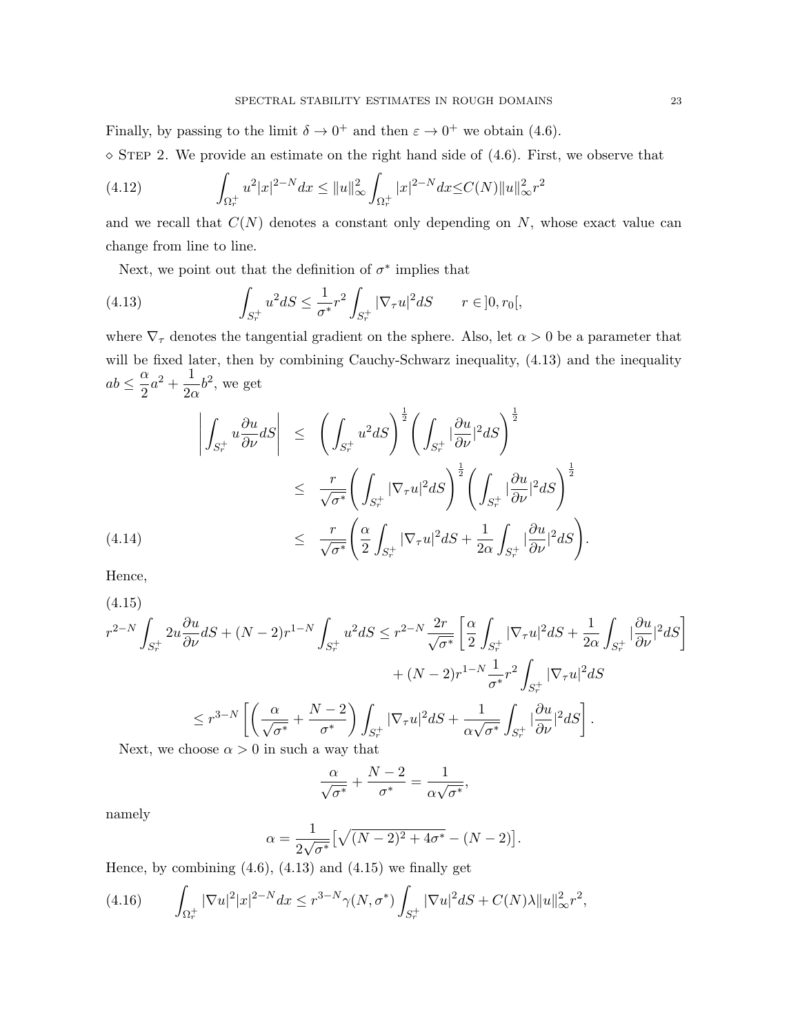Finally, by passing to the limit  $\delta \to 0^+$  and then  $\varepsilon \to 0^+$  we obtain (4.6).  $\Diamond$  STEP 2. We provide an estimate on the right hand side of (4.6). First, we observe that

(4.12) 
$$
\int_{\Omega_r^+} u^2 |x|^{2-N} dx \le ||u||_{\infty}^2 \int_{\Omega_r^+} |x|^{2-N} dx \le C(N) ||u||_{\infty}^2 r^2
$$

and we recall that  $C(N)$  denotes a constant only depending on N, whose exact value can change from line to line.

Next, we point out that the definition of  $\sigma^*$  implies that

(4.13) 
$$
\int_{S_r^+} u^2 dS \leq \frac{1}{\sigma^*} r^2 \int_{S_r^+} |\nabla_\tau u|^2 dS \qquad r \in ]0, r_0[,
$$

where  $\nabla_{\tau}$  denotes the tangential gradient on the sphere. Also, let  $\alpha > 0$  be a parameter that will be fixed later, then by combining Cauchy-Schwarz inequality,  $(4.13)$  and the inequality  $ab \leq \frac{\alpha}{2}$  $\frac{\alpha}{2}a^2 + \frac{1}{2a}$  $rac{1}{2\alpha}b^2$ , we get

$$
\left| \int_{S_r^+} u \frac{\partial u}{\partial \nu} dS \right| \leq \left( \int_{S_r^+} u^2 dS \right)^{\frac{1}{2}} \left( \int_{S_r^+} |\frac{\partial u}{\partial \nu}|^2 dS \right)^{\frac{1}{2}} \n\leq \frac{r}{\sqrt{\sigma^*}} \left( \int_{S_r^+} |\nabla_\tau u|^2 dS \right)^{\frac{1}{2}} \left( \int_{S_r^+} |\frac{\partial u}{\partial \nu}|^2 dS \right)^{\frac{1}{2}} \n\leq \frac{r}{\sqrt{\sigma^*}} \left( \frac{\alpha}{2} \int_{S_r^+} |\nabla_\tau u|^2 dS + \frac{1}{2\alpha} \int_{S_r^+} |\frac{\partial u}{\partial \nu}|^2 dS \right).
$$

Hence,

(4.15)

$$
r^{2-N} \int_{S_r^+} 2u \frac{\partial u}{\partial \nu} dS + (N-2)r^{1-N} \int_{S_r^+} u^2 dS \le r^{2-N} \frac{2r}{\sqrt{\sigma^*}} \left[ \frac{\alpha}{2} \int_{S_r^+} |\nabla_\tau u|^2 dS + \frac{1}{2\alpha} \int_{S_r^+} |\frac{\partial u}{\partial \nu}|^2 dS \right]
$$
  
+ 
$$
(N-2)r^{1-N} \frac{1}{\sigma^*} r^2 \int_{S_r^+} |\nabla_\tau u|^2 dS
$$
  

$$
\le r^{3-N} \left[ \left( \frac{\alpha}{\sqrt{\sigma^*}} + \frac{N-2}{\sigma^*} \right) \int_{S_r^+} |\nabla_\tau u|^2 dS + \frac{1}{\alpha \sqrt{\sigma^*}} \int_{S_r^+} |\frac{\partial u}{\partial \nu}|^2 dS \right].
$$
  
Next, we choose  $\alpha > 0$  in such a way that

Next, we choose  $\alpha > 0$  in such a way that

$$
\frac{\alpha}{\sqrt{\sigma^*}} + \frac{N-2}{\sigma^*} = \frac{1}{\alpha\sqrt{\sigma^*}},
$$

namely

$$
\alpha = \frac{1}{2\sqrt{\sigma^*}} \left[ \sqrt{(N-2)^2 + 4\sigma^*} - (N-2) \right].
$$

Hence, by combining  $(4.6)$ ,  $(4.13)$  and  $(4.15)$  we finally get

$$
(4.16)\qquad \int_{\Omega_r^+} |\nabla u|^2 |x|^{2-N} dx \le r^{3-N} \gamma(N, \sigma^*) \int_{S_r^+} |\nabla u|^2 dS + C(N)\lambda \|u\|_{\infty}^2 r^2,
$$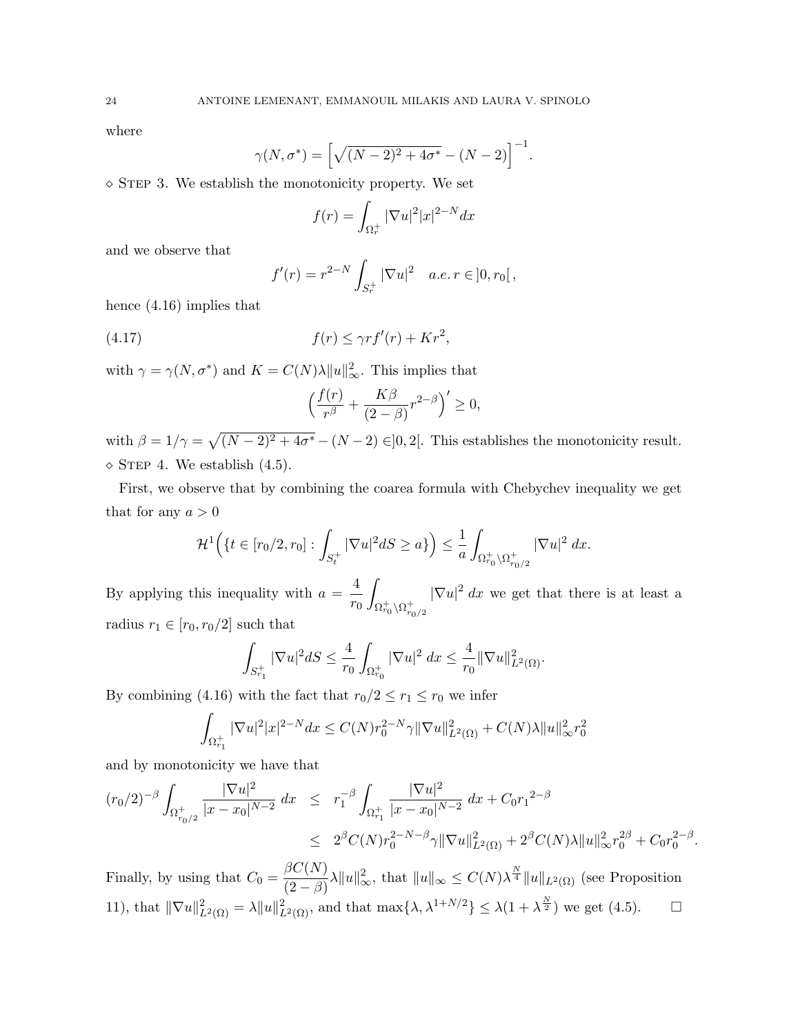where

$$
\gamma(N, \sigma^*) = \left[\sqrt{(N-2)^2 + 4\sigma^*} - (N-2)\right]^{-1}.
$$

 $\circ$  STEP 3. We establish the monotonicity property. We set

$$
f(r) = \int_{\Omega_r^+} |\nabla u|^2 |x|^{2-N} dx
$$

and we observe that

$$
f'(r) = r^{2-N} \int_{S_r^+} |\nabla u|^2 \quad a.e. \ r \in ]0, r_0[,
$$

hence (4.16) implies that

(4.17) 
$$
f(r) \leq \gamma r f'(r) + K r^2,
$$

with  $\gamma = \gamma(N, \sigma^*)$  and  $K = C(N)\lambda ||u||_{\infty}^2$ . This implies that

$$
\left(\frac{f(r)}{r^{\beta}} + \frac{K\beta}{(2-\beta)}r^{2-\beta}\right)' \ge 0,
$$

with  $\beta = 1/\gamma = \sqrt{(N-2)^2 + 4\sigma^*} - (N-2) \in ]0,2[$ . This establishes the monotonicity result.  $\Diamond$  STEP 4. We establish (4.5).

First, we observe that by combining the coarea formula with Chebychev inequality we get that for any  $a > 0$ 

$$
\mathcal{H}^1\Big(\{t\in [r_0/2,r_0]:\int_{S_t^+}|\nabla u|^2dS\geq a\}\Big)\leq \frac{1}{a}\int_{\Omega_{r_0}^+\setminus\Omega_{r_0/2}^+}|\nabla u|^2\,dx.
$$

By applying this inequality with  $a = \frac{4}{3}$  $r_0$ Z  $\Omega_{r_0}^+\backslash\Omega_{r_0/2}^+$  $|\nabla u|^2 dx$  we get that there is at least a radius  $r_1 \in [r_0, r_0/2]$  such that

$$
\int_{S_{r_1}^+} |\nabla u|^2 dS \le \frac{4}{r_0} \int_{\Omega_{r_0}^+} |\nabla u|^2 dx \le \frac{4}{r_0} ||\nabla u||^2_{L^2(\Omega)}.
$$

By combining (4.16) with the fact that  $r_0/2 \le r_1 \le r_0$  we infer

$$
\int_{\Omega_{r_1}^+} |\nabla u|^2 |x|^{2-N} dx \le C(N) r_0^{2-N} \gamma ||\nabla u||_{L^2(\Omega)}^2 + C(N)\lambda ||u||_{\infty}^2 r_0^2
$$

and by monotonicity we have that

$$
(r_0/2)^{-\beta} \int_{\Omega_{r_0/2}^+} \frac{|\nabla u|^2}{|x - x_0|^{N-2}} dx \leq r_1^{-\beta} \int_{\Omega_{r_1}^+} \frac{|\nabla u|^2}{|x - x_0|^{N-2}} dx + C_0 r_1^{-2-\beta}
$$
  

$$
\leq 2^{\beta} C(N) r_0^{2-N-\beta} \gamma \|\nabla u\|_{L^2(\Omega)}^2 + 2^{\beta} C(N) \lambda \|u\|_{\infty}^2 r_0^{2\beta} + C_0 r_0^{2-\beta}.
$$

Finally, by using that  $C_0 = \frac{\beta C(N)}{\beta N}$  $\frac{\beta C(N)}{(2-\beta)}\lambda \|u\|_{\infty}^2$ , that  $\|u\|_{\infty} \leq C(N)\lambda^{\frac{N}{4}}\|u\|_{L^2(\Omega)}$  (see Proposition 11), that  $\|\nabla u\|_{L^2(\Omega)}^2 = \lambda \|u\|_{L^2(\Omega)}^2$ , and that  $\max{\lambda, \lambda^{1+N/2}} \le \lambda(1 + \lambda^{\frac{N}{2}})$  we get (4.5).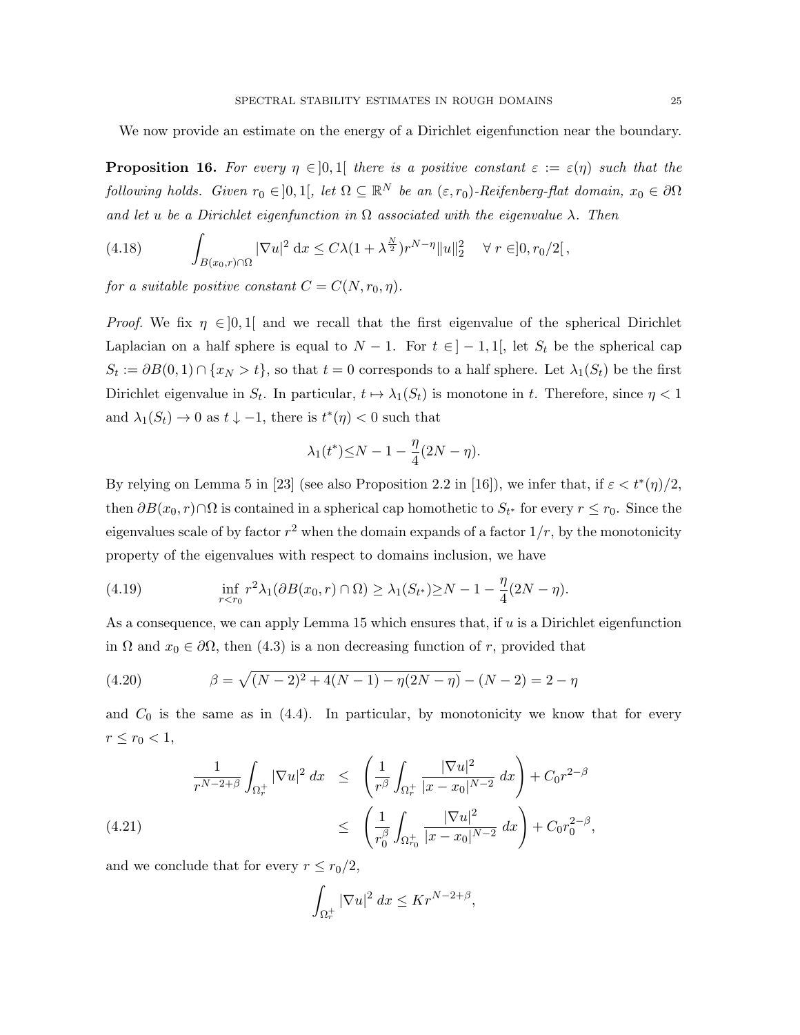We now provide an estimate on the energy of a Dirichlet eigenfunction near the boundary.

**Proposition 16.** For every  $\eta \in ]0,1[$  there is a positive constant  $\varepsilon := \varepsilon(\eta)$  such that the following holds. Given  $r_0 \in ]0,1[$ , let  $\Omega \subseteq \mathbb{R}^N$  be an  $(\varepsilon,r_0)$ -Reifenberg-flat domain,  $x_0 \in \partial \Omega$ and let u be a Dirichlet eigenfunction in  $\Omega$  associated with the eigenvalue  $\lambda$ . Then

(4.18) 
$$
\int_{B(x_0,r)\cap\Omega} |\nabla u|^2 dx \le C\lambda (1+\lambda^{\frac{N}{2}})r^{N-\eta}||u||_2^2 \quad \forall r \in ]0, r_0/2[,
$$

for a suitable positive constant  $C = C(N, r_0, \eta)$ .

*Proof.* We fix  $\eta \in ]0,1]$  and we recall that the first eigenvalue of the spherical Dirichlet Laplacian on a half sphere is equal to  $N-1$ . For  $t \in ]-1,1[$ , let  $S_t$  be the spherical cap  $S_t := \partial B(0,1) \cap \{x_N > t\}$ , so that  $t = 0$  corresponds to a half sphere. Let  $\lambda_1(S_t)$  be the first Dirichlet eigenvalue in  $S_t$ . In particular,  $t \mapsto \lambda_1(S_t)$  is monotone in t. Therefore, since  $\eta < 1$ and  $\lambda_1(S_t) \to 0$  as  $t \downarrow -1$ , there is  $t^*(\eta) < 0$  such that

$$
\lambda_1(t^*) \leq N - 1 - \frac{\eta}{4}(2N - \eta).
$$

By relying on Lemma 5 in [23] (see also Proposition 2.2 in [16]), we infer that, if  $\varepsilon < t^*(\eta)/2$ , then  $\partial B(x_0, r) \cap \Omega$  is contained in a spherical cap homothetic to  $S_{t^*}$  for every  $r \le r_0$ . Since the eigenvalues scale of by factor  $r^2$  when the domain expands of a factor  $1/r$ , by the monotonicity property of the eigenvalues with respect to domains inclusion, we have

(4.19) 
$$
\inf_{r < r_0} r^2 \lambda_1(\partial B(x_0, r) \cap \Omega) \ge \lambda_1(S_{t^*}) \ge N - 1 - \frac{\eta}{4}(2N - \eta).
$$

As a consequence, we can apply Lemma 15 which ensures that, if  $u$  is a Dirichlet eigenfunction in  $\Omega$  and  $x_0 \in \partial\Omega$ , then (4.3) is a non decreasing function of r, provided that

(4.20) 
$$
\beta = \sqrt{(N-2)^2 + 4(N-1) - \eta(2N-\eta)} - (N-2) = 2-\eta
$$

and  $C_0$  is the same as in (4.4). In particular, by monotonicity we know that for every  $r \le r_0 < 1,$ 

$$
\frac{1}{r^{N-2+\beta}} \int_{\Omega_r^+} |\nabla u|^2 dx \le \left( \frac{1}{r^{\beta}} \int_{\Omega_r^+} \frac{|\nabla u|^2}{|x - x_0|^{N-2}} dx \right) + C_0 r^{2-\beta}
$$
\n
$$
\le \left( \frac{1}{r_0^{\beta}} \int_{\Omega_{r_0}^+} \frac{|\nabla u|^2}{|x - x_0|^{N-2}} dx \right) + C_0 r_0^{2-\beta},
$$
\n(4.21)

and we conclude that for every  $r \leq r_0/2$ ,

$$
\int_{\Omega_r^+} |\nabla u|^2 \ dx \leq K r^{N-2+\beta},
$$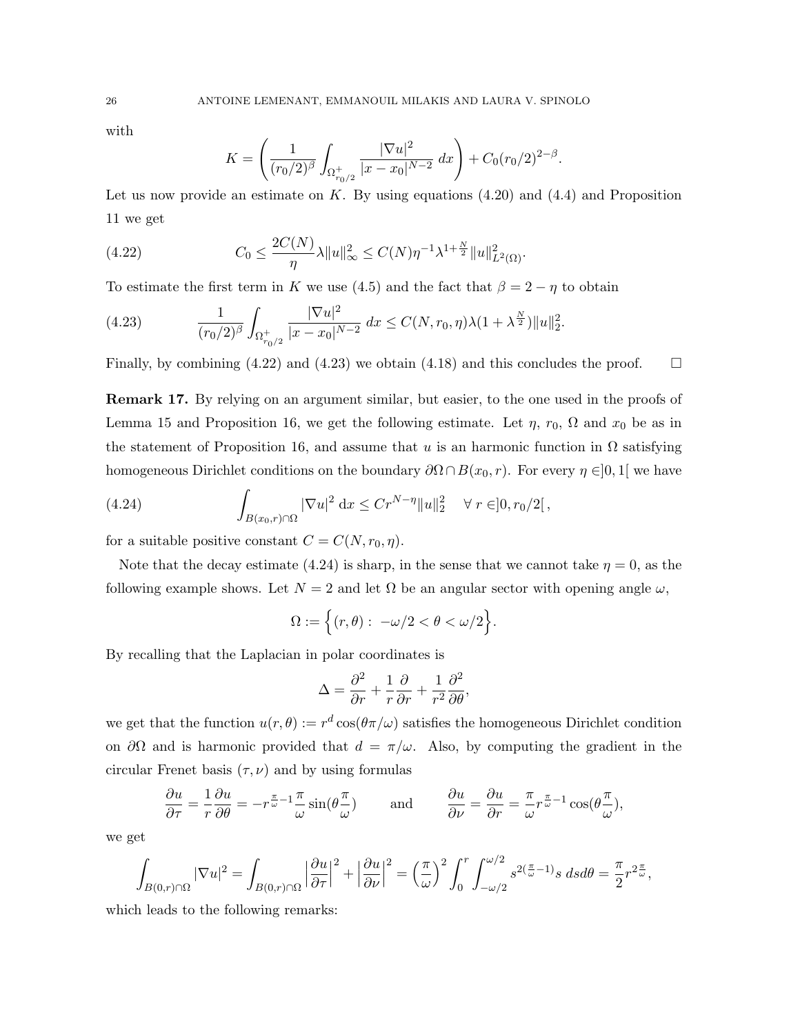with

$$
K = \left(\frac{1}{(r_0/2)^{\beta}} \int_{\Omega_{r_0/2}^+} \frac{|\nabla u|^2}{|x - x_0|^{N-2}} dx\right) + C_0 (r_0/2)^{2-\beta}.
$$

Let us now provide an estimate on K. By using equations  $(4.20)$  and  $(4.4)$  and Proposition 11 we get

(4.22) 
$$
C_0 \leq \frac{2C(N)}{\eta} \lambda \|u\|_{\infty}^2 \leq C(N)\eta^{-1} \lambda^{1+\frac{N}{2}} \|u\|_{L^2(\Omega)}^2.
$$

To estimate the first term in K we use (4.5) and the fact that  $\beta = 2 - \eta$  to obtain

(4.23) 
$$
\frac{1}{(r_0/2)^{\beta}} \int_{\Omega_{r_0/2}^+} \frac{|\nabla u|^2}{|x - x_0|^{N-2}} dx \leq C(N, r_0, \eta) \lambda (1 + \lambda^{\frac{N}{2}}) \|u\|_2^2.
$$

Finally, by combining (4.22) and (4.23) we obtain (4.18) and this concludes the proof.  $\square$ 

Remark 17. By relying on an argument similar, but easier, to the one used in the proofs of Lemma 15 and Proposition 16, we get the following estimate. Let  $\eta$ ,  $r_0$ ,  $\Omega$  and  $x_0$  be as in the statement of Proposition 16, and assume that u is an harmonic function in  $\Omega$  satisfying homogeneous Dirichlet conditions on the boundary  $\partial\Omega \cap B(x_0, r)$ . For every  $\eta \in ]0,1[$  we have

(4.24) 
$$
\int_{B(x_0,r)\cap\Omega} |\nabla u|^2 dx \leq Cr^{N-\eta} ||u||_2^2 \quad \forall r \in ]0, r_0/2[,
$$

for a suitable positive constant  $C = C(N, r_0, \eta)$ .

Note that the decay estimate (4.24) is sharp, in the sense that we cannot take  $\eta = 0$ , as the following example shows. Let  $N = 2$  and let  $\Omega$  be an angular sector with opening angle  $\omega$ ,

$$
\Omega := \Big\{ (r,\theta): \ -\omega/2 < \theta < \omega/2 \Big\}.
$$

By recalling that the Laplacian in polar coordinates is

$$
\Delta = \frac{\partial^2}{\partial r} + \frac{1}{r} \frac{\partial}{\partial r} + \frac{1}{r^2} \frac{\partial^2}{\partial \theta},
$$

we get that the function  $u(r, \theta) := r^d \cos(\theta \pi/\omega)$  satisfies the homogeneous Dirichlet condition on  $\partial\Omega$  and is harmonic provided that  $d = \pi/\omega$ . Also, by computing the gradient in the circular Frenet basis  $(\tau, \nu)$  and by using formulas

$$
\frac{\partial u}{\partial \tau} = -\frac{1}{r} \frac{\partial u}{\partial \theta} = -r^{\frac{\pi}{\omega}-1} \frac{\pi}{\omega} \sin(\theta \frac{\pi}{\omega}) \quad \text{and} \quad \frac{\partial u}{\partial \nu} = \frac{\partial u}{\partial r} = \frac{\pi}{\omega} r^{\frac{\pi}{\omega}-1} \cos(\theta \frac{\pi}{\omega}),
$$

we get

$$
\int_{B(0,r)\cap\Omega}|\nabla u|^2=\int_{B(0,r)\cap\Omega}\left|\frac{\partial u}{\partial\tau}\right|^2+\left|\frac{\partial u}{\partial\nu}\right|^2=\left(\frac{\pi}{\omega}\right)^2\int_0^r\int_{-\omega/2}^{\omega/2}s^{2(\frac{\pi}{\omega}-1)}s\ dsd\theta=\frac{\pi}{2}r^{2\frac{\pi}{\omega}},
$$

which leads to the following remarks: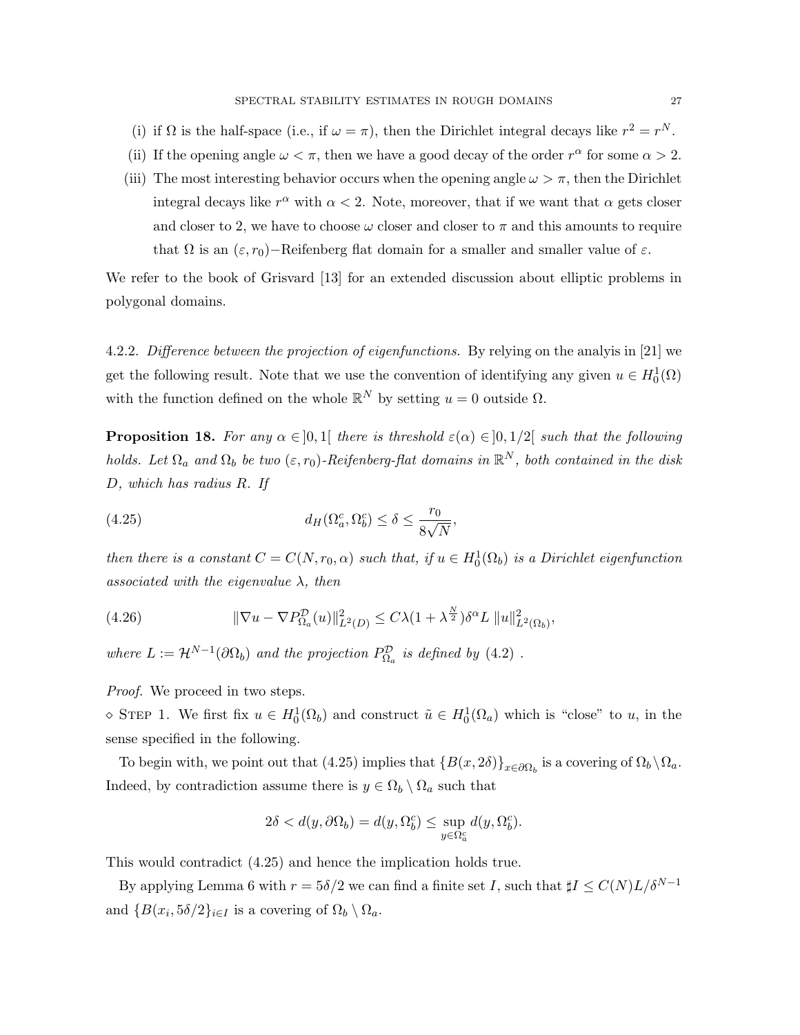- (i) if  $\Omega$  is the half-space (i.e., if  $\omega = \pi$ ), then the Dirichlet integral decays like  $r^2 = r^N$ .
- (ii) If the opening angle  $\omega < \pi$ , then we have a good decay of the order  $r^{\alpha}$  for some  $\alpha > 2$ .
- (iii) The most interesting behavior occurs when the opening angle  $\omega > \pi$ , then the Dirichlet integral decays like  $r^{\alpha}$  with  $\alpha < 2$ . Note, moreover, that if we want that  $\alpha$  gets closer and closer to 2, we have to choose  $\omega$  closer and closer to  $\pi$  and this amounts to require that  $\Omega$  is an  $(\varepsilon, r_0)$ −Reifenberg flat domain for a smaller and smaller value of  $\varepsilon$ .

We refer to the book of Grisvard [13] for an extended discussion about elliptic problems in polygonal domains.

4.2.2. Difference between the projection of eigenfunctions. By relying on the analyis in [21] we get the following result. Note that we use the convention of identifying any given  $u \in H_0^1(\Omega)$ with the function defined on the whole  $\mathbb{R}^N$  by setting  $u = 0$  outside  $\Omega$ .

**Proposition 18.** For any  $\alpha \in [0,1]$  there is threshold  $\varepsilon(\alpha) \in [0,1/2]$  such that the following holds. Let  $\Omega_a$  and  $\Omega_b$  be two  $(\varepsilon, r_0)$ -Reifenberg-flat domains in  $\mathbb{R}^N$ , both contained in the disk D, which has radius R. If

(4.25) 
$$
d_H(\Omega_a^c, \Omega_b^c) \le \delta \le \frac{r_0}{8\sqrt{N}},
$$

then there is a constant  $C = C(N, r_0, \alpha)$  such that, if  $u \in H_0^1(\Omega_b)$  is a Dirichlet eigenfunction associated with the eigenvalue  $\lambda$ , then

(4.26) 
$$
\|\nabla u - \nabla P_{\Omega_a}^{\mathcal{D}}(u)\|_{L^2(D)}^2 \leq C\lambda (1 + \lambda^{\frac{N}{2}}) \delta^{\alpha} L \|u\|_{L^2(\Omega_b)}^2,
$$

where  $L := \mathcal{H}^{N-1}(\partial \Omega_b)$  and the projection  $P_{\Omega_a}^{\mathcal{D}}$  is defined by (4.2).

Proof. We proceed in two steps.

 $\infty$  STEP 1. We first fix  $u \in H_0^1(\Omega_b)$  and construct  $\tilde{u} \in H_0^1(\Omega_a)$  which is "close" to u, in the sense specified in the following.

To begin with, we point out that (4.25) implies that  ${B(x, 2\delta)}_{x \in \partial \Omega_b}$  is a covering of  $\Omega_b \setminus \Omega_a$ . Indeed, by contradiction assume there is  $y \in \Omega_b \setminus \Omega_a$  such that

$$
2\delta < d(y, \partial \Omega_b) = d(y, \Omega_b^c) \le \sup_{y \in \Omega_a^c} d(y, \Omega_b^c).
$$

This would contradict (4.25) and hence the implication holds true.

By applying Lemma 6 with  $r = 5\delta/2$  we can find a finite set I, such that  $\sharp I \leq C(N)L/\delta^{N-1}$ and  $\{B(x_i, 5\delta/2\}_{i\in I}$  is a covering of  $\Omega_b \setminus \Omega_a$ .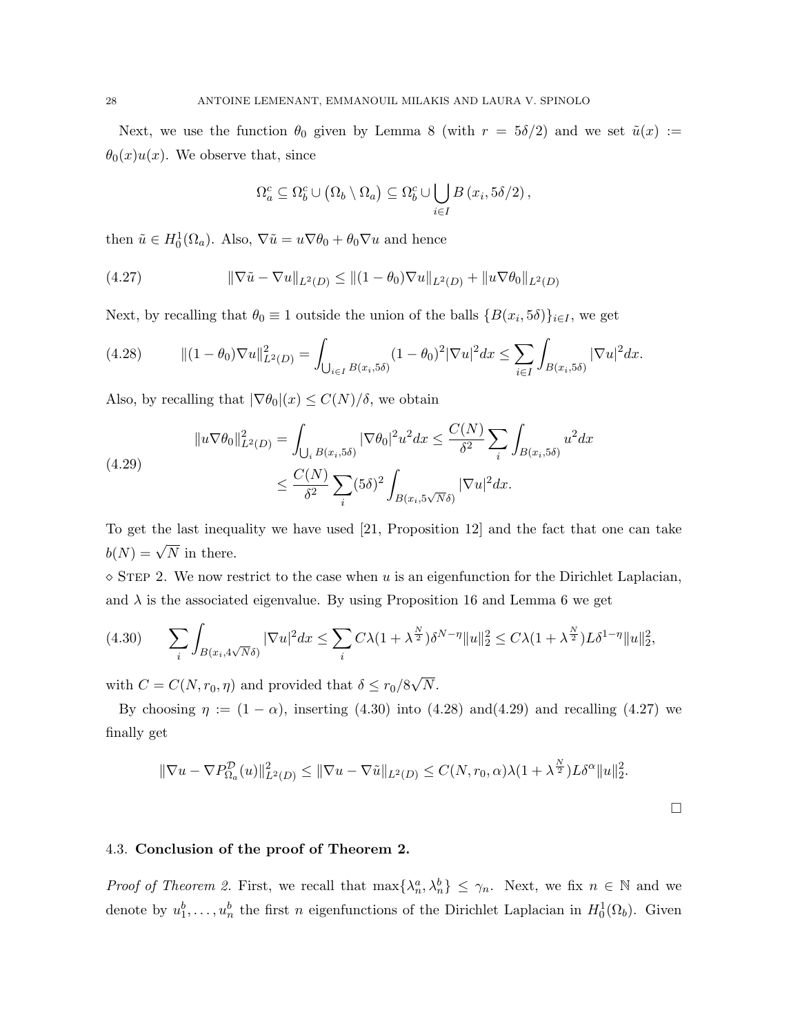Next, we use the function  $\theta_0$  given by Lemma 8 (with  $r = 5\delta/2$ ) and we set  $\tilde{u}(x) :=$  $\theta_0(x)u(x)$ . We observe that, since

$$
\Omega_a^c \subseteq \Omega_b^c \cup (\Omega_b \setminus \Omega_a) \subseteq \Omega_b^c \cup \bigcup_{i \in I} B(x_i, 5\delta/2),
$$

then  $\tilde{u} \in H_0^1(\Omega_a)$ . Also,  $\nabla \tilde{u} = u \nabla \theta_0 + \theta_0 \nabla u$  and hence

(4.27) 
$$
\|\nabla \tilde{u} - \nabla u\|_{L^2(D)} \leq \|(1 - \theta_0)\nabla u\|_{L^2(D)} + \|u\nabla \theta_0\|_{L^2(D)}
$$

Next, by recalling that  $\theta_0 \equiv 1$  outside the union of the balls  $\{B(x_i, 5\delta)\}_{i \in I}$ , we get

$$
(4.28) \t\t\t\t\t\|(1-\theta_0)\nabla u\|_{L^2(D)}^2 = \int_{\bigcup_{i\in I} B(x_i,5\delta)} (1-\theta_0)^2 |\nabla u|^2 dx \le \sum_{i\in I} \int_{B(x_i,5\delta)} |\nabla u|^2 dx.
$$

Also, by recalling that  $|\nabla \theta_0|(x) \leq C(N)/\delta$ , we obtain

(4.29) 
$$
||u \nabla \theta_0||_{L^2(D)}^2 = \int_{\bigcup_i B(x_i, 5\delta)} |\nabla \theta_0|^2 u^2 dx \le \frac{C(N)}{\delta^2} \sum_i \int_{B(x_i, 5\delta)} u^2 dx
$$

$$
\le \frac{C(N)}{\delta^2} \sum_i (5\delta)^2 \int_{B(x_i, 5\sqrt{N}\delta)} |\nabla u|^2 dx.
$$

To get the last inequality we have used [21, Proposition 12] and the fact that one can take  $b(N) = \sqrt{N}$  in there.

 $\Diamond$  STEP 2. We now restrict to the case when u is an eigenfunction for the Dirichlet Laplacian, and  $\lambda$  is the associated eigenvalue. By using Proposition 16 and Lemma 6 we get

$$
(4.30) \qquad \sum_{i} \int_{B(x_i, 4\sqrt{N}\delta)} |\nabla u|^2 dx \le \sum_{i} C\lambda (1 + \lambda^{\frac{N}{2}}) \delta^{N-\eta} \|u\|_2^2 \le C\lambda (1 + \lambda^{\frac{N}{2}}) L\delta^{1-\eta} \|u\|_2^2,
$$

with  $C = C(N, r_0, \eta)$  and provided that  $\delta \le r_0/8$ √  $N$ .

By choosing  $\eta := (1 - \alpha)$ , inserting (4.30) into (4.28) and(4.29) and recalling (4.27) we finally get

$$
\|\nabla u - \nabla P_{\Omega_a}^{\mathcal{D}}(u)\|_{L^2(D)}^2 \le \|\nabla u - \nabla \tilde{u}\|_{L^2(D)} \le C(N, r_0, \alpha)\lambda(1 + \lambda^{\frac{N}{2}})L\delta^{\alpha}\|u\|_2^2.
$$

## 4.3. Conclusion of the proof of Theorem 2.

Proof of Theorem 2. First, we recall that  $\max\{\lambda_n^a, \lambda_n^b\} \leq \gamma_n$ . Next, we fix  $n \in \mathbb{N}$  and we denote by  $u_1^b, \ldots, u_n^b$  the first n eigenfunctions of the Dirichlet Laplacian in  $H_0^1(\Omega_b)$ . Given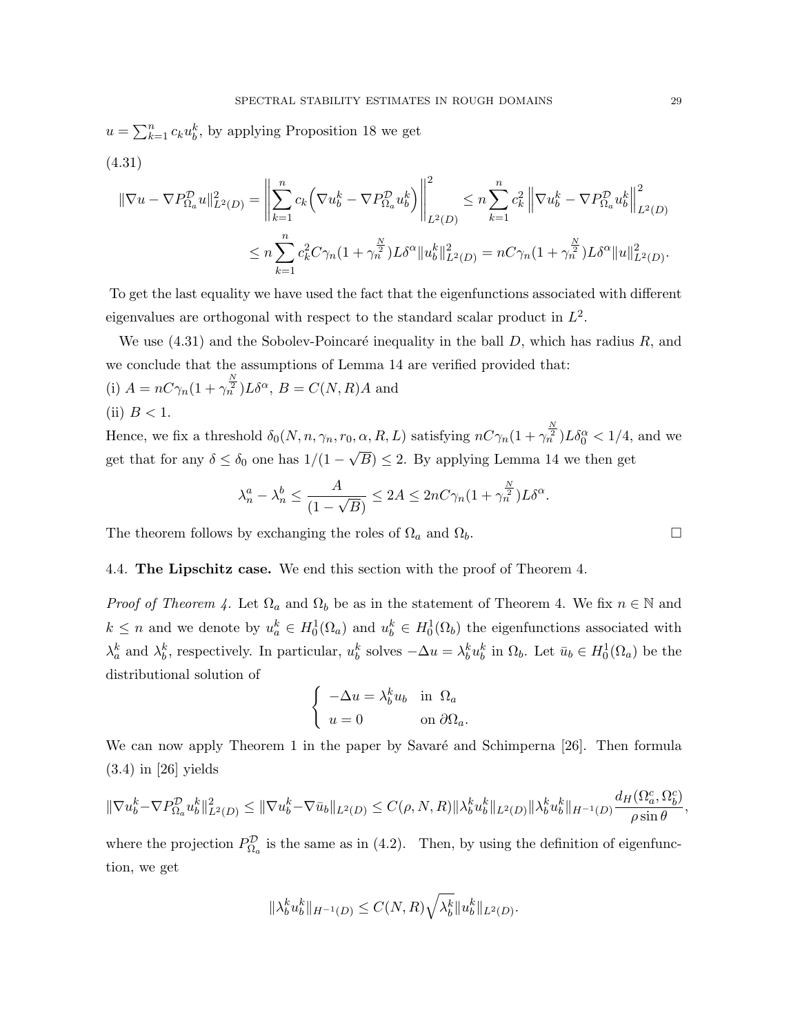$u = \sum_{k=1}^{n} c_k u_b^k$ , by applying Proposition 18 we get (4.31)

$$
\begin{split} \|\nabla u - \nabla P_{\Omega_a}^{\mathcal{D}} u\|_{L^2(D)}^2 &= \left\| \sum_{k=1}^n c_k \left( \nabla u_b^k - \nabla P_{\Omega_a}^{\mathcal{D}} u_b^k \right) \right\|_{L^2(D)}^2 \le n \sum_{k=1}^n c_k^2 \left\| \nabla u_b^k - \nabla P_{\Omega_a}^{\mathcal{D}} u_b^k \right\|_{L^2(D)}^2 \\ &\le n \sum_{k=1}^n c_k^2 C \gamma_n (1 + \gamma_n^{\frac{N}{2}}) L \delta^{\alpha} \|u_b^k\|_{L^2(D)}^2 = n C \gamma_n (1 + \gamma_n^{\frac{N}{2}}) L \delta^{\alpha} \|u\|_{L^2(D)}^2. \end{split}
$$

To get the last equality we have used the fact that the eigenfunctions associated with different eigenvalues are orthogonal with respect to the standard scalar product in  $L^2$ .

We use  $(4.31)$  and the Sobolev-Poincaré inequality in the ball D, which has radius R, and we conclude that the assumptions of Lemma 14 are verified provided that:

(i)  $A = nC\gamma_n(1 + \gamma_n^{\frac{N}{2}})L\delta^{\alpha}, B = C(N, R)A$  and (ii)  $B < 1$ .

Hence, we fix a threshold  $\delta_0(N, n, \gamma_n, r_0, \alpha, R, L)$  satisfying  $nC\gamma_n(1+\gamma_n^{\frac{N}{2}})L\delta_0^{\alpha} < 1/4$ , and we get that for any  $\delta \leq \delta_0$  one has  $1/(1 -$ √  $B \leq 2$ . By applying Lemma 14 we then get

$$
\lambda_n^a - \lambda_n^b \le \frac{A}{(1 - \sqrt{B})} \le 2A \le 2nC\gamma_n(1 + \gamma_n^{\frac{N}{2}})L\delta^{\alpha}.
$$

The theorem follows by exchanging the roles of  $\Omega_a$  and  $\Omega_b$ .

## 4.4. The Lipschitz case. We end this section with the proof of Theorem 4.

*Proof of Theorem 4.* Let  $\Omega_a$  and  $\Omega_b$  be as in the statement of Theorem 4. We fix  $n \in \mathbb{N}$  and  $k \leq n$  and we denote by  $u_a^k \in H_0^1(\Omega_a)$  and  $u_b^k \in H_0^1(\Omega_b)$  the eigenfunctions associated with  $\lambda_a^k$  and  $\lambda_b^k$ , respectively. In particular,  $u_b^k$  solves  $-\Delta u = \lambda_b^k u_b^k$  in  $\Omega_b$ . Let  $\bar{u}_b \in H_0^1(\Omega_a)$  be the distributional solution of

$$
\begin{cases}\n-\Delta u = \lambda_b^k u_b & \text{in } \Omega_a \\
u = 0 & \text{on } \partial \Omega_a.\n\end{cases}
$$

We can now apply Theorem 1 in the paper by Savaré and Schimperna [26]. Then formula (3.4) in [26] yields

$$
\|\nabla u_b^k - \nabla P_{\Omega_a}^{\mathcal{D}} u_b^k\|_{L^2(D)}^2 \le \|\nabla u_b^k - \nabla \bar u_b\|_{L^2(D)} \le C(\rho, N, R) \|\lambda_b^k u_b^k\|_{L^2(D)} \|\lambda_b^k u_b^k\|_{H^{-1}(D)} \frac{d_H(\Omega_a^c, \Omega_b^c)}{\rho \sin \theta},
$$

where the projection  $P_{\Omega_a}^{\mathcal{D}}$  is the same as in (4.2). Then, by using the definition of eigenfunction, we get

$$
\|\lambda_b^k u_b^k\|_{H^{-1}(D)} \le C(N,R)\sqrt{\lambda_b^k} \|u_b^k\|_{L^2(D)}.
$$

$$
\Box
$$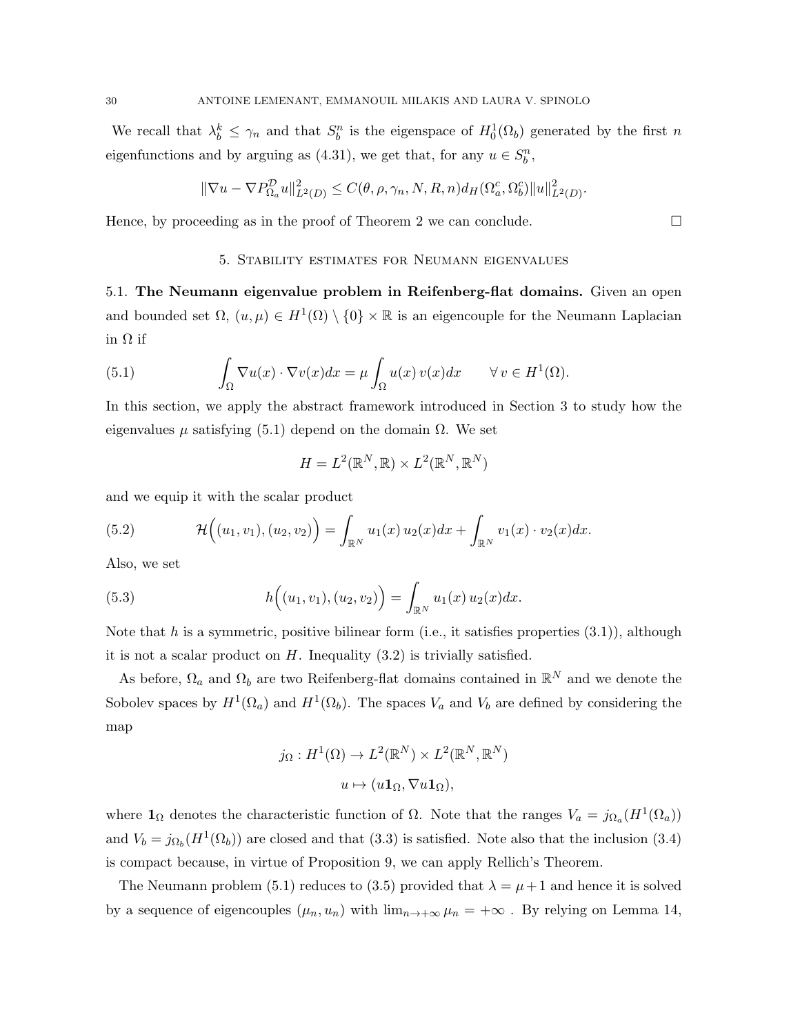We recall that  $\lambda_b^k \leq \gamma_n$  and that  $S_b^n$  is the eigenspace of  $H_0^1(\Omega_b)$  generated by the first n eigenfunctions and by arguing as (4.31), we get that, for any  $u \in S_b^n$ ,

$$
\|\nabla u - \nabla P_{\Omega_a}^{\mathcal{D}} u\|_{L^2(D)}^2 \le C(\theta, \rho, \gamma_n, N, R, n) d_H(\Omega_a^c, \Omega_b^c) \|u\|_{L^2(D)}^2.
$$

Hence, by proceeding as in the proof of Theorem 2 we can conclude.  $\Box$ 

## 5. Stability estimates for Neumann eigenvalues

5.1. The Neumann eigenvalue problem in Reifenberg-flat domains. Given an open and bounded set  $\Omega$ ,  $(u, \mu) \in H^1(\Omega) \setminus \{0\} \times \mathbb{R}$  is an eigencouple for the Neumann Laplacian in Ω if

(5.1) 
$$
\int_{\Omega} \nabla u(x) \cdot \nabla v(x) dx = \mu \int_{\Omega} u(x) v(x) dx \quad \forall v \in H^{1}(\Omega).
$$

In this section, we apply the abstract framework introduced in Section 3 to study how the eigenvalues  $\mu$  satisfying (5.1) depend on the domain  $\Omega$ . We set

$$
H = L^2(\mathbb{R}^N, \mathbb{R}) \times L^2(\mathbb{R}^N, \mathbb{R}^N)
$$

and we equip it with the scalar product

(5.2) 
$$
\mathcal{H}\Big((u_1,v_1),(u_2,v_2)\Big)=\int_{\mathbb{R}^N}u_1(x)\,u_2(x)dx+\int_{\mathbb{R}^N}v_1(x)\cdot v_2(x)dx.
$$

Also, we set

(5.3) 
$$
h\Big((u_1,v_1),(u_2,v_2)\Big)=\int_{\mathbb{R}^N}u_1(x)\,u_2(x)dx.
$$

Note that h is a symmetric, positive bilinear form (i.e., it satisfies properties  $(3.1)$ ), although it is not a scalar product on  $H$ . Inequality  $(3.2)$  is trivially satisfied.

As before,  $\Omega_a$  and  $\Omega_b$  are two Reifenberg-flat domains contained in  $\mathbb{R}^N$  and we denote the Sobolev spaces by  $H^1(\Omega_a)$  and  $H^1(\Omega_b)$ . The spaces  $V_a$  and  $V_b$  are defined by considering the map

$$
j_{\Omega}: H^{1}(\Omega) \to L^{2}(\mathbb{R}^{N}) \times L^{2}(\mathbb{R}^{N}, \mathbb{R}^{N})
$$

$$
u \mapsto (u\mathbf{1}_{\Omega}, \nabla u\mathbf{1}_{\Omega}),
$$

where  $\mathbf{1}_{\Omega}$  denotes the characteristic function of  $\Omega$ . Note that the ranges  $V_a = j_{\Omega_a}(H^1(\Omega_a))$ and  $V_b = j_{\Omega_b}(H^1(\Omega_b))$  are closed and that (3.3) is satisfied. Note also that the inclusion (3.4) is compact because, in virtue of Proposition 9, we can apply Rellich's Theorem.

The Neumann problem (5.1) reduces to (3.5) provided that  $\lambda = \mu + 1$  and hence it is solved by a sequence of eigencouples  $(\mu_n, u_n)$  with  $\lim_{n\to+\infty} \mu_n = +\infty$ . By relying on Lemma 14,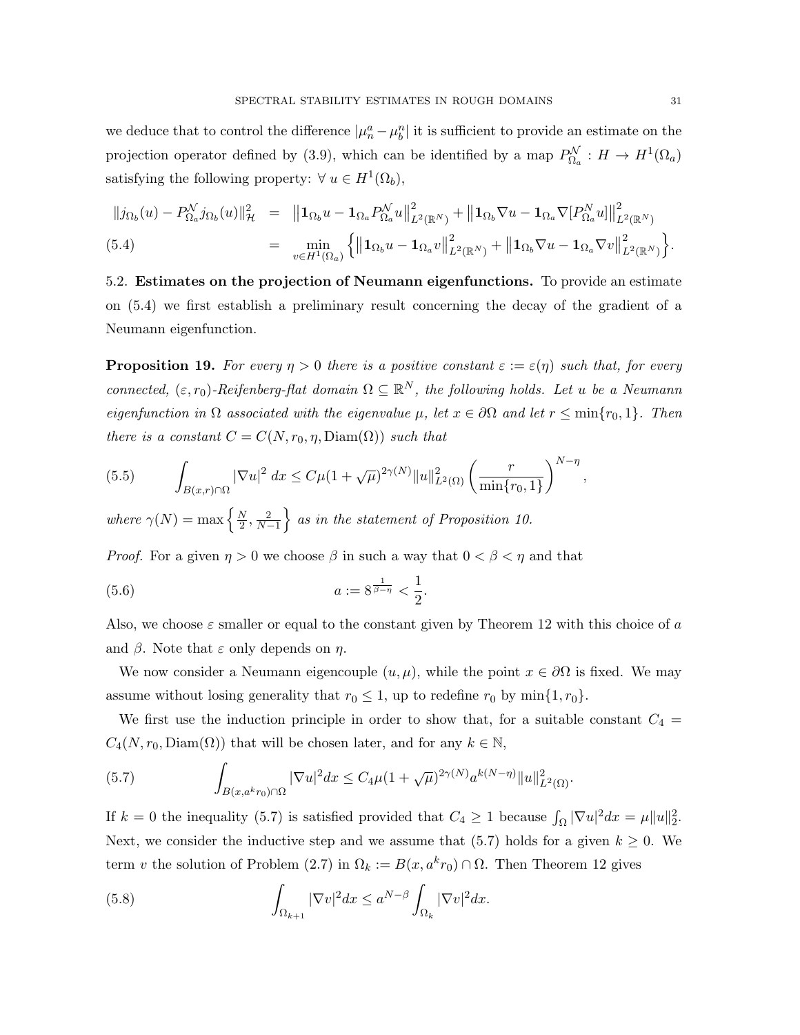we deduce that to control the difference  $|\mu_n^a - \mu_b^n|$  it is sufficient to provide an estimate on the projection operator defined by (3.9), which can be identified by a map  $P_{\Omega_a}^{\mathcal{N}}: H \to H^1(\Omega_a)$ satisfying the following property:  $\forall u \in H^1(\Omega_b)$ ,

$$
||j_{\Omega_b}(u) - P_{\Omega_a}^{\mathcal{N}} j_{\Omega_b}(u)||_{\mathcal{H}}^2 = ||\mathbf{1}_{\Omega_b} u - \mathbf{1}_{\Omega_a} P_{\Omega_a}^{\mathcal{N}} u||_{L^2(\mathbb{R}^N)}^2 + ||\mathbf{1}_{\Omega_b} \nabla u - \mathbf{1}_{\Omega_a} \nabla [P_{\Omega_a}^N u]||_{L^2(\mathbb{R}^N)}^2
$$
\n
$$
\left( \begin{array}{cc} |u_1| & |u_2| & |u_3| \end{array} \right)^2 + ||\mathbf{1}_{\Omega_b} \nabla u - \mathbf{1}_{\Omega_a} \nabla [P_{\Omega_a}^N u]||_{L^2(\mathbb{R}^N)}^2
$$

(5.4) = 
$$
\min_{v \in H^1(\Omega_a)} \left\{ \left\| \mathbf{1}_{\Omega_b} u - \mathbf{1}_{\Omega_a} v \right\|_{L^2(\mathbb{R}^N)}^2 + \left\| \mathbf{1}_{\Omega_b} \nabla u - \mathbf{1}_{\Omega_a} \nabla v \right\|_{L^2(\mathbb{R}^N)}^2 \right\}.
$$

5.2. Estimates on the projection of Neumann eigenfunctions. To provide an estimate on (5.4) we first establish a preliminary result concerning the decay of the gradient of a Neumann eigenfunction.

**Proposition 19.** For every  $\eta > 0$  there is a positive constant  $\varepsilon := \varepsilon(\eta)$  such that, for every connected,  $(\varepsilon, r_0)$ -Reifenberg-flat domain  $\Omega \subseteq \mathbb{R}^N$ , the following holds. Let u be a Neumann eigenfunction in  $\Omega$  associated with the eigenvalue  $\mu$ , let  $x \in \partial \Omega$  and let  $r \le \min\{r_0, 1\}$ . Then there is a constant  $C = C(N, r_0, \eta, \text{Diam}(\Omega))$  such that

(5.5) 
$$
\int_{B(x,r)\cap\Omega} |\nabla u|^2 dx \leq C\mu (1+\sqrt{\mu})^{2\gamma(N)} \|u\|_{L^2(\Omega)}^2 \left(\frac{r}{\min\{r_0,1\}}\right)^{N-\eta},
$$

where  $\gamma(N) = \max \left\{ \frac{N}{2} \right\}$  $\left\{\frac{N}{2}, \frac{2}{N-1}\right\}$  as in the statement of Proposition 10.

*Proof.* For a given  $\eta > 0$  we choose  $\beta$  in such a way that  $0 < \beta < \eta$  and that

(5.6) 
$$
a := 8^{\frac{1}{\beta - \eta}} < \frac{1}{2}.
$$

Also, we choose  $\varepsilon$  smaller or equal to the constant given by Theorem 12 with this choice of a and  $\beta$ . Note that  $\varepsilon$  only depends on  $\eta$ .

We now consider a Neumann eigencouple  $(u, \mu)$ , while the point  $x \in \partial\Omega$  is fixed. We may assume without losing generality that  $r_0 \leq 1$ , up to redefine  $r_0$  by min $\{1, r_0\}$ .

We first use the induction principle in order to show that, for a suitable constant  $C_4$  =  $C_4(N, r_0, \text{Diam}(\Omega))$  that will be chosen later, and for any  $k \in \mathbb{N}$ ,

(5.7) 
$$
\int_{B(x,a^k r_0)\cap\Omega} |\nabla u|^2 dx \leq C_4 \mu (1+\sqrt{\mu})^{2\gamma(N)} a^{k(N-\eta)} \|u\|_{L^2(\Omega)}^2.
$$

If  $k = 0$  the inequality (5.7) is satisfied provided that  $C_4 \ge 1$  because  $\int_{\Omega} |\nabla u|^2 dx = \mu ||u||_2^2$ . Next, we consider the inductive step and we assume that (5.7) holds for a given  $k \geq 0$ . We term v the solution of Problem (2.7) in  $\Omega_k := B(x, a^k r_0) \cap \Omega$ . Then Theorem 12 gives

(5.8) 
$$
\int_{\Omega_{k+1}} |\nabla v|^2 dx \leq a^{N-\beta} \int_{\Omega_k} |\nabla v|^2 dx.
$$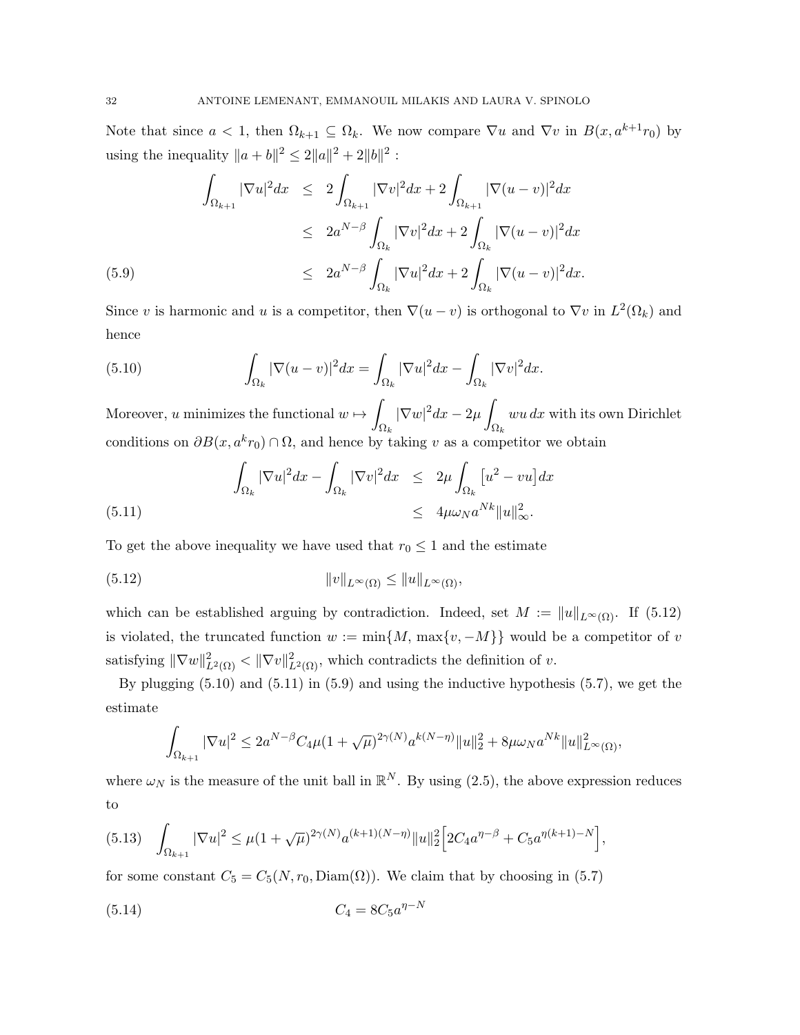Note that since  $a < 1$ , then  $\Omega_{k+1} \subseteq \Omega_k$ . We now compare  $\nabla u$  and  $\nabla v$  in  $B(x, a^{k+1}r_0)$  by using the inequality  $||a + b||^2 \le 2||a||^2 + 2||b||^2$ :

$$
\int_{\Omega_{k+1}} |\nabla u|^2 dx \leq 2 \int_{\Omega_{k+1}} |\nabla v|^2 dx + 2 \int_{\Omega_{k+1}} |\nabla (u-v)|^2 dx
$$
  
\n
$$
\leq 2a^{N-\beta} \int_{\Omega_k} |\nabla v|^2 dx + 2 \int_{\Omega_k} |\nabla (u-v)|^2 dx
$$
  
\n(5.9)  
\n
$$
\leq 2a^{N-\beta} \int_{\Omega_k} |\nabla u|^2 dx + 2 \int_{\Omega_k} |\nabla (u-v)|^2 dx.
$$

Since v is harmonic and u is a competitor, then  $\nabla(u - v)$  is orthogonal to  $\nabla v$  in  $L^2(\Omega_k)$  and hence

(5.10) 
$$
\int_{\Omega_k} |\nabla(u-v)|^2 dx = \int_{\Omega_k} |\nabla u|^2 dx - \int_{\Omega_k} |\nabla v|^2 dx.
$$

Moreover, u minimizes the functional  $w \mapsto \emptyset$  $\Omega_k$  $|\nabla w|^2 dx - 2\mu$  $\Omega_k$  $wu dx$  with its own Dirichlet conditions on  $\partial B(x, a^k r_0) \cap \Omega$ , and hence by taking v as a competitor we obtain

(5.11) 
$$
\int_{\Omega_k} |\nabla u|^2 dx - \int_{\Omega_k} |\nabla v|^2 dx \leq 2\mu \int_{\Omega_k} [u^2 - vu] dx
$$

$$
\leq 4\mu \omega_N a^{Nk} \|u\|_{\infty}^2.
$$

To get the above inequality we have used that  $r_0 \leq 1$  and the estimate

(5.12) 
$$
||v||_{L^{\infty}(\Omega)} \leq ||u||_{L^{\infty}(\Omega)},
$$

which can be established arguing by contradiction. Indeed, set  $M := ||u||_{L^{\infty}(\Omega)}$ . If (5.12) is violated, the truncated function  $w := \min\{M, \max\{v, -M\}\}\)$  would be a competitor of v satisfying  $\|\nabla w\|_{L^2(\Omega)}^2 < \|\nabla v\|_{L^2(\Omega)}^2$ , which contradicts the definition of v.

By plugging  $(5.10)$  and  $(5.11)$  in  $(5.9)$  and using the inductive hypothesis  $(5.7)$ , we get the estimate

$$
\int_{\Omega_{k+1}} |\nabla u|^2 \le 2a^{N-\beta} C_4 \mu (1+\sqrt{\mu})^{2\gamma(N)} a^{k(N-\eta)} \|u\|_2^2 + 8\mu \omega_N a^{Nk} \|u\|_{L^\infty(\Omega)}^2,
$$

where  $\omega_N$  is the measure of the unit ball in  $\mathbb{R}^N$ . By using (2.5), the above expression reduces to

$$
(5.13)\quad \int_{\Omega_{k+1}} |\nabla u|^2 \le \mu (1+\sqrt{\mu})^{2\gamma(N)} a^{(k+1)(N-\eta)} \|u\|_2^2 \Big[ 2C_4 a^{\eta-\beta} + C_5 a^{\eta(k+1)-N} \Big],
$$

for some constant  $C_5 = C_5(N, r_0, \text{Diam}(\Omega))$ . We claim that by choosing in (5.7)

(5.14) 
$$
C_4 = 8C_5 a^{\eta - N}
$$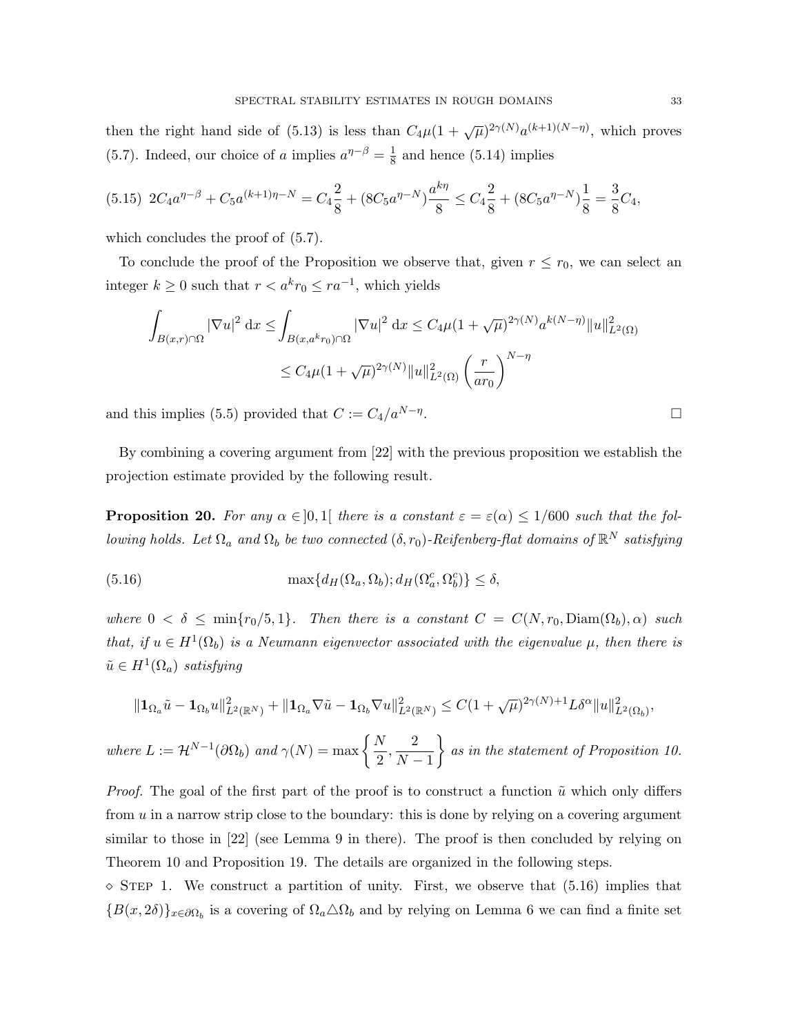then the right hand side of (5.13) is less than  $C_4\mu(1+\sqrt{\mu})^{2\gamma(N)}a^{(k+1)(N-\eta)}$ , which proves (5.7). Indeed, our choice of a implies  $a^{\eta-\beta} = \frac{1}{8}$  $\frac{1}{8}$  and hence (5.14) implies

$$
(5.15)\ 2C_4a^{\eta-\beta} + C_5a^{(k+1)\eta-N} = C_4\frac{2}{8} + (8C_5a^{\eta-N})\frac{a^{k\eta}}{8} \le C_4\frac{2}{8} + (8C_5a^{\eta-N})\frac{1}{8} = \frac{3}{8}C_4,
$$

which concludes the proof of  $(5.7)$ .

To conclude the proof of the Proposition we observe that, given  $r \leq r_0$ , we can select an integer  $k \geq 0$  such that  $r < a^k r_0 \leq r a^{-1}$ , which yields

$$
\int_{B(x,r)\cap\Omega} |\nabla u|^2 dx \le \int_{B(x,a^k r_0)\cap\Omega} |\nabla u|^2 dx \le C_4 \mu (1+\sqrt{\mu})^{2\gamma(N)} a^{k(N-\eta)} \|u\|_{L^2(\Omega)}^2
$$
  

$$
\le C_4 \mu (1+\sqrt{\mu})^{2\gamma(N)} \|u\|_{L^2(\Omega)}^2 \left(\frac{r}{ar_0}\right)^{N-\eta}
$$

and this implies (5.5) provided that  $C := C_4/a^{N-\eta}$ .

By combining a covering argument from [22] with the previous proposition we establish the projection estimate provided by the following result.

**Proposition 20.** For any  $\alpha \in ]0,1]$  there is a constant  $\varepsilon = \varepsilon(\alpha) \leq 1/600$  such that the following holds. Let  $\Omega_a$  and  $\Omega_b$  be two connected  $(\delta, r_0)$ -Reifenberg-flat domains of  $\mathbb{R}^N$  satisfying

(5.16) 
$$
\max\{d_H(\Omega_a,\Omega_b);d_H(\Omega_a^c,\Omega_b^c)\}\leq \delta,
$$

where  $0 < \delta \le \min\{r_0/5, 1\}$ . Then there is a constant  $C = C(N, r_0, \text{Diam}(\Omega_b), \alpha)$  such that, if  $u \in H^1(\Omega_b)$  is a Neumann eigenvector associated with the eigenvalue  $\mu$ , then there is  $\tilde{u} \in H^1(\Omega_a)$  satisfying

$$
\|\mathbf{1}_{\Omega_a}\tilde{u}-\mathbf{1}_{\Omega_b}u\|_{L^2(\mathbb{R}^N)}^2+\|\mathbf{1}_{\Omega_a}\nabla\tilde{u}-\mathbf{1}_{\Omega_b}\nabla u\|_{L^2(\mathbb{R}^N)}^2\leq C(1+\sqrt{\mu})^{2\gamma(N)+1}L\delta^{\alpha}\|u\|_{L^2(\Omega_b)}^2,
$$

where  $L := \mathcal{H}^{N-1}(\partial \Omega_b)$  and  $\gamma(N) = \max \left\{ \frac{N}{2} \right\}$  $\frac{N}{2}, \frac{2}{N}$  $N-1$  $\}$  as in the statement of Proposition 10.

*Proof.* The goal of the first part of the proof is to construct a function  $\tilde{u}$  which only differs from  $u$  in a narrow strip close to the boundary: this is done by relying on a covering argument similar to those in [22] (see Lemma 9 in there). The proof is then concluded by relying on Theorem 10 and Proposition 19. The details are organized in the following steps.

 $\Diamond$  STEP 1. We construct a partition of unity. First, we observe that (5.16) implies that  ${B(x, 2\delta)}x\in\partial\Omega_b$  is a covering of  $\Omega_a\Delta\Omega_b$  and by relying on Lemma 6 we can find a finite set

.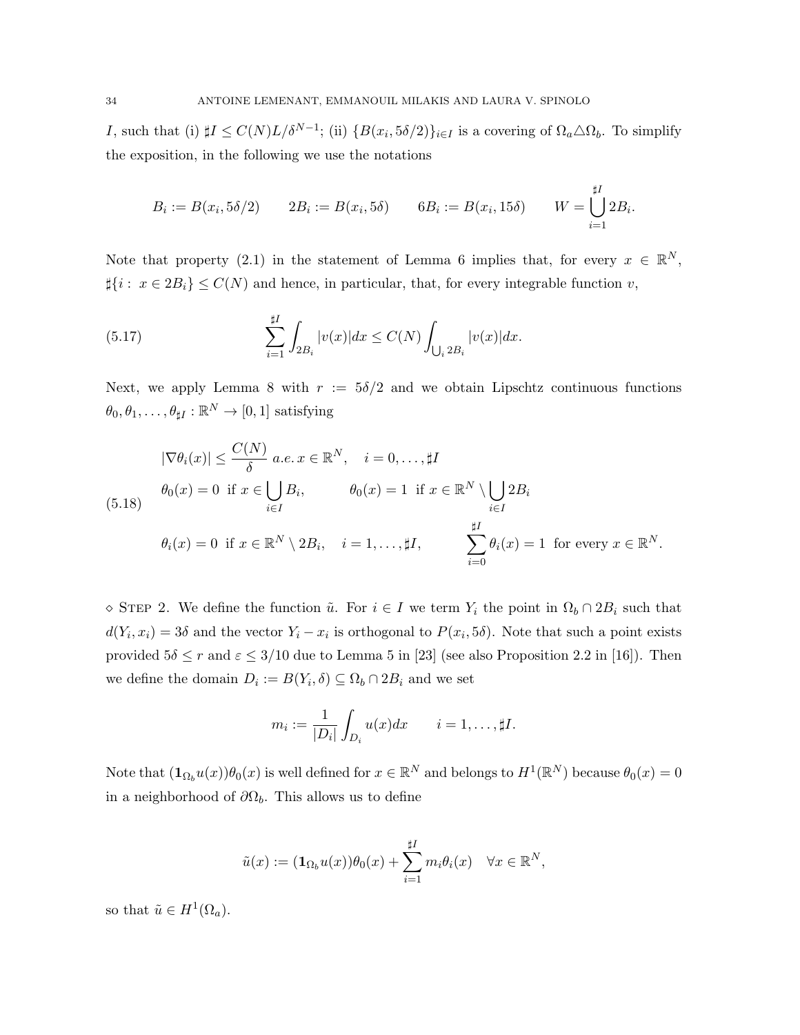I, such that (i)  $\sharp I \leq C(N)L/\delta^{N-1}$ ; (ii)  $\{B(x_i, 5\delta/2)\}_{i\in I}$  is a covering of  $\Omega_a \triangle \Omega_b$ . To simplify the exposition, in the following we use the notations

$$
B_i := B(x_i, 5\delta/2) \qquad 2B_i := B(x_i, 5\delta) \qquad 6B_i := B(x_i, 15\delta) \qquad W = \bigcup_{i=1}^{\sharp I} 2B_i.
$$

Note that property (2.1) in the statement of Lemma 6 implies that, for every  $x \in \mathbb{R}^N$ ,  $\sharp \{i : x \in 2B_i\} \leq C(N)$  and hence, in particular, that, for every integrable function v,

(5.17) 
$$
\sum_{i=1}^{\sharp I} \int_{2B_i} |v(x)| dx \le C(N) \int_{\bigcup_i 2B_i} |v(x)| dx.
$$

Next, we apply Lemma 8 with  $r := 5\delta/2$  and we obtain Lipschtz continuous functions  $\theta_0, \theta_1, \ldots, \theta_{\sharp I} : \mathbb{R}^N \to [0, 1]$  satisfying

$$
|\nabla \theta_i(x)| \leq \frac{C(N)}{\delta} \ a.e. \ x \in \mathbb{R}^N, \quad i = 0, \dots, \sharp I
$$
  
\n(5.18)  
\n
$$
\theta_0(x) = 0 \text{ if } x \in \bigcup_{i \in I} B_i, \qquad \theta_0(x) = 1 \text{ if } x \in \mathbb{R}^N \setminus \bigcup_{i \in I} 2B_i
$$
  
\n
$$
\theta_i(x) = 0 \text{ if } x \in \mathbb{R}^N \setminus 2B_i, \quad i = 1, \dots, \sharp I, \qquad \sum_{i=0}^{\sharp I} \theta_i(x) = 1 \text{ for every } x \in \mathbb{R}^N.
$$

 $\Diamond$  STEP 2. We define the function  $\tilde{u}$ . For  $i \in I$  we term  $Y_i$  the point in  $\Omega_b \cap 2B_i$  such that  $d(Y_i, x_i) = 3\delta$  and the vector  $Y_i - x_i$  is orthogonal to  $P(x_i, 5\delta)$ . Note that such a point exists provided  $5\delta \le r$  and  $\varepsilon \le 3/10$  due to Lemma 5 in [23] (see also Proposition 2.2 in [16]). Then we define the domain  $D_i := B(Y_i, \delta) \subseteq \Omega_b \cap 2B_i$  and we set

$$
m_i := \frac{1}{|D_i|} \int_{D_i} u(x) dx \qquad i = 1, \dots, \sharp I.
$$

Note that  $(\mathbf{1}_{\Omega_b}u(x))\theta_0(x)$  is well defined for  $x \in \mathbb{R}^N$  and belongs to  $H^1(\mathbb{R}^N)$  because  $\theta_0(x) = 0$ in a neighborhood of  $\partial\Omega_b$ . This allows us to define

$$
\tilde{u}(x) := (\mathbf{1}_{\Omega_b} u(x)) \theta_0(x) + \sum_{i=1}^{\sharp I} m_i \theta_i(x) \quad \forall x \in \mathbb{R}^N,
$$

so that  $\tilde{u} \in H^1(\Omega_a)$ .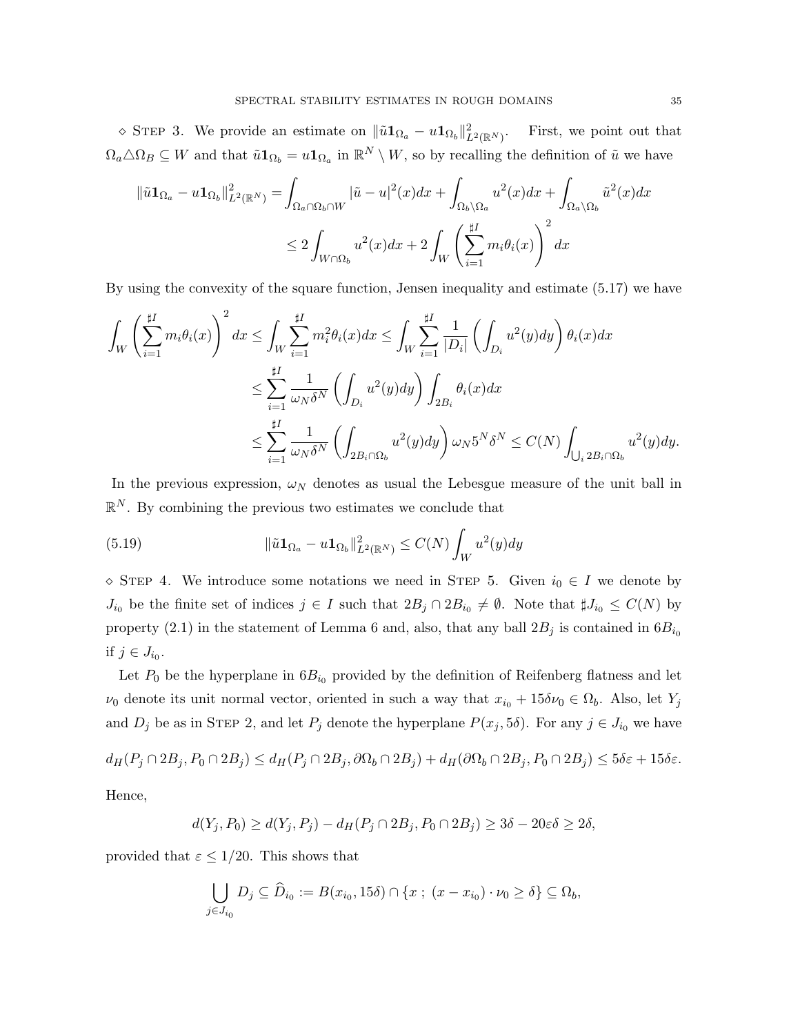$\Diamond$  STEP 3. We provide an estimate on  $\|\tilde{u}\mathbf{1}_{\Omega_a} - u\mathbf{1}_{\Omega_b}\|^2_{L^2(\mathbb{R}^N)}$ . First, we point out that  $\Omega_a \triangle \Omega_B \subseteq W$  and that  $\tilde{u} \mathbf{1}_{\Omega_b} = u \mathbf{1}_{\Omega_a}$  in  $\mathbb{R}^N \setminus W$ , so by recalling the definition of  $\tilde{u}$  we have

$$
\|\tilde{u}\mathbf{1}_{\Omega_a} - u \mathbf{1}_{\Omega_b}\|_{L^2(\mathbb{R}^N)}^2 = \int_{\Omega_a \cap \Omega_b \cap W} |\tilde{u} - u|^2(x) dx + \int_{\Omega_b \backslash \Omega_a} u^2(x) dx + \int_{\Omega_a \backslash \Omega_b} \tilde{u}^2(x) dx
$$
  

$$
\leq 2 \int_{W \cap \Omega_b} u^2(x) dx + 2 \int_W \left(\sum_{i=1}^{\sharp I} m_i \theta_i(x)\right)^2 dx
$$

By using the convexity of the square function, Jensen inequality and estimate (5.17) we have

$$
\int_{W} \left(\sum_{i=1}^{\sharp I} m_{i} \theta_{i}(x)\right)^{2} dx \leq \int_{W} \sum_{i=1}^{\sharp I} m_{i}^{2} \theta_{i}(x) dx \leq \int_{W} \sum_{i=1}^{\sharp I} \frac{1}{|D_{i}|} \left(\int_{D_{i}} u^{2}(y) dy\right) \theta_{i}(x) dx
$$
\n
$$
\leq \sum_{i=1}^{\sharp I} \frac{1}{\omega_{N} \delta^{N}} \left(\int_{D_{i}} u^{2}(y) dy\right) \int_{2B_{i}} \theta_{i}(x) dx
$$
\n
$$
\leq \sum_{i=1}^{\sharp I} \frac{1}{\omega_{N} \delta^{N}} \left(\int_{2B_{i} \cap \Omega_{b}} u^{2}(y) dy\right) \omega_{N} 5^{N} \delta^{N} \leq C(N) \int_{\bigcup_{i} 2B_{i} \cap \Omega_{b}} u^{2}(y) dy.
$$

In the previous expression,  $\omega_N$  denotes as usual the Lebesgue measure of the unit ball in  $\mathbb{R}^N$ . By combining the previous two estimates we conclude that

(5.19) 
$$
\|\tilde{u}\mathbf{1}_{\Omega_a} - u\mathbf{1}_{\Omega_b}\|_{L^2(\mathbb{R}^N)}^2 \leq C(N) \int_W u^2(y) dy
$$

 $\Diamond$  STEP 4. We introduce some notations we need in STEP 5. Given  $i_0 \in I$  we denote by  $J_{i_0}$  be the finite set of indices  $j \in I$  such that  $2B_j \cap 2B_{i_0} \neq \emptyset$ . Note that  $\sharp J_{i_0} \leq C(N)$  by property (2.1) in the statement of Lemma 6 and, also, that any ball  $2B_j$  is contained in  $6B_{i_0}$ if  $j \in J_{i_0}$ .

Let  $P_0$  be the hyperplane in  $6B_{i_0}$  provided by the definition of Reifenberg flatness and let  $\nu_0$  denote its unit normal vector, oriented in such a way that  $x_{i_0} + 15\delta \nu_0 \in \Omega_b$ . Also, let  $Y_j$ and  $D_j$  be as in STEP 2, and let  $P_j$  denote the hyperplane  $P(x_j, 5\delta)$ . For any  $j \in J_{i_0}$  we have

$$
d_H(P_j \cap 2B_j, P_0 \cap 2B_j) \leq d_H(P_j \cap 2B_j, \partial \Omega_b \cap 2B_j) + d_H(\partial \Omega_b \cap 2B_j, P_0 \cap 2B_j) \leq 5\delta\varepsilon + 15\delta\varepsilon.
$$

Hence,

$$
d(Y_j, P_0) \ge d(Y_j, P_j) - d_H(P_j \cap 2B_j, P_0 \cap 2B_j) \ge 3\delta - 20\epsilon\delta \ge 2\delta,
$$

provided that  $\varepsilon \leq 1/20$ . This shows that

$$
\bigcup_{j\in J_{i_0}} D_j \subseteq \widehat{D}_{i_0} := B(x_{i_0}, 15\delta) \cap \{x ; (x - x_{i_0}) \cdot \nu_0 \ge \delta\} \subseteq \Omega_b,
$$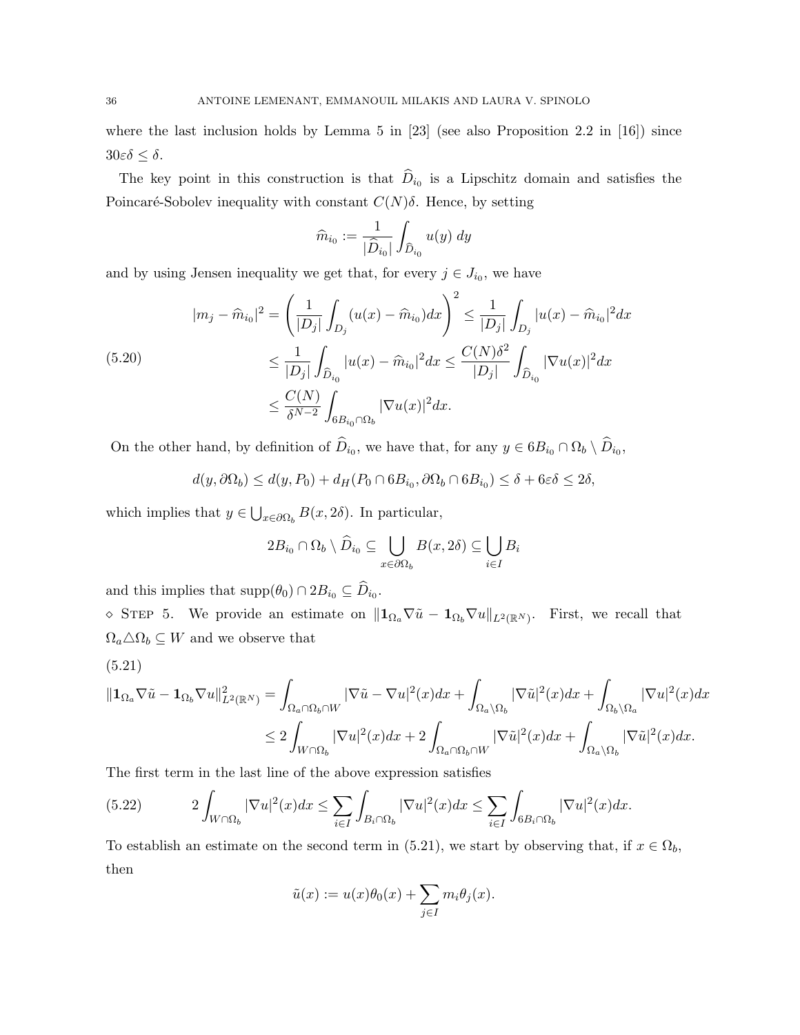where the last inclusion holds by Lemma 5 in  $[23]$  (see also Proposition 2.2 in  $[16]$ ) since  $30\varepsilon\delta \leq \delta$ .

The key point in this construction is that  $D_{i_0}$  is a Lipschitz domain and satisfies the Poincaré-Sobolev inequality with constant  $C(N)\delta$ . Hence, by setting

$$
\widehat{m}_{i_0}:=\frac{1}{|\widehat{D}_{i_0}|}\int_{\widehat{D}_{i_0}}u(y)\;dy
$$

and by using Jensen inequality we get that, for every  $j \in J_{i_0}$ , we have

$$
|m_j - \widehat{m}_{i_0}|^2 = \left(\frac{1}{|D_j|} \int_{D_j} (u(x) - \widehat{m}_{i_0}) dx\right)^2 \le \frac{1}{|D_j|} \int_{D_j} |u(x) - \widehat{m}_{i_0}|^2 dx
$$
  
(5.20)  

$$
\le \frac{1}{|D_j|} \int_{\widehat{D}_{i_0}} |u(x) - \widehat{m}_{i_0}|^2 dx \le \frac{C(N)\delta^2}{|D_j|} \int_{\widehat{D}_{i_0}} |\nabla u(x)|^2 dx
$$
  

$$
\le \frac{C(N)}{\delta^{N-2}} \int_{6B_{i_0} \cap \Omega_b} |\nabla u(x)|^2 dx.
$$

On the other hand, by definition of  $D_{i_0}$ , we have that, for any  $y \in 6B_{i_0} \cap \Omega_b \setminus D_{i_0}$ ,

$$
d(y, \partial \Omega_b) \le d(y, P_0) + d_H(P_0 \cap 6B_{i_0}, \partial \Omega_b \cap 6B_{i_0}) \le \delta + 6\varepsilon \delta \le 2\delta,
$$

which implies that  $y \in \bigcup_{x \in \partial \Omega_b} B(x, 2\delta)$ . In particular,

$$
2B_{i_0} \cap \Omega_b \setminus \widehat{D}_{i_0} \subseteq \bigcup_{x \in \partial \Omega_b} B(x, 2\delta) \subseteq \bigcup_{i \in I} B_i
$$

and this implies that  $\text{supp}(\theta_0) \cap 2B_{i_0} \subseteq D_{i_0}$ .

 $\Diamond$  STEP 5. We provide an estimate on  $||\mathbf{1}_{\Omega_a}\nabla\tilde{u} - \mathbf{1}_{\Omega_b}\nabla u||_{L^2(\mathbb{R}^N)}$ . First, we recall that  $\Omega_a \triangle \Omega_b \subseteq W$  and we observe that

$$
(5.21)
$$

$$
\begin{split} \|\mathbf{1}_{\Omega_a}\nabla\tilde{u}-\mathbf{1}_{\Omega_b}\nabla u\|_{L^2(\mathbb{R}^N)}^2 &= \int_{\Omega_a\cap\Omega_b\cap W} |\nabla\tilde{u}-\nabla u|^2(x)dx + \int_{\Omega_a\backslash\Omega_b} |\nabla\tilde{u}|^2(x)dx + \int_{\Omega_b\backslash\Omega_a} |\nabla u|^2(x)dx \\ &\le 2\int_{W\cap\Omega_b} |\nabla u|^2(x)dx + 2\int_{\Omega_a\cap\Omega_b\cap W} |\nabla\tilde{u}|^2(x)dx + \int_{\Omega_a\backslash\Omega_b} |\nabla\tilde{u}|^2(x)dx. \end{split}
$$

The first term in the last line of the above expression satisfies

$$
(5.22) \t2\int_{W\cap\Omega_b} |\nabla u|^2(x)dx \le \sum_{i\in I} \int_{B_i\cap\Omega_b} |\nabla u|^2(x)dx \le \sum_{i\in I} \int_{6B_i\cap\Omega_b} |\nabla u|^2(x)dx.
$$

To establish an estimate on the second term in (5.21), we start by observing that, if  $x \in \Omega_b$ , then

$$
\tilde{u}(x) := u(x)\theta_0(x) + \sum_{j \in I} m_i \theta_j(x).
$$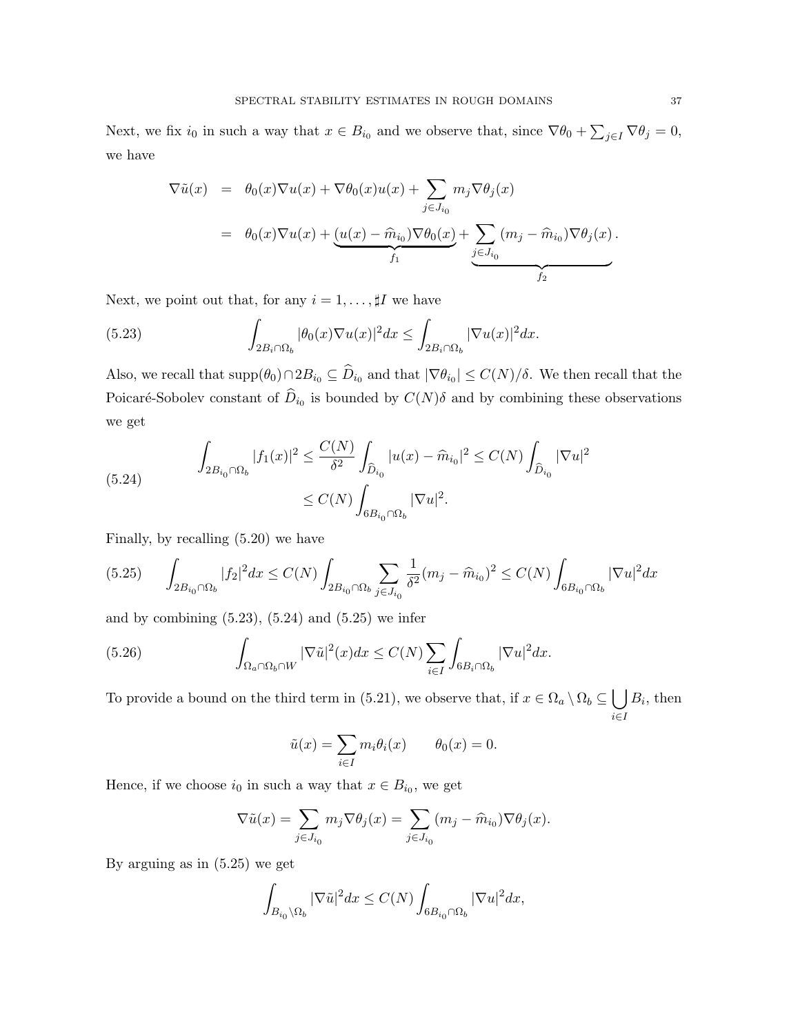Next, we fix  $i_0$  in such a way that  $x \in B_{i_0}$  and we observe that, since  $\nabla \theta_0 + \sum_{j \in I} \nabla \theta_j = 0$ , we have

$$
\nabla \tilde{u}(x) = \theta_0(x)\nabla u(x) + \nabla \theta_0(x)u(x) + \sum_{j \in J_{i_0}} m_j \nabla \theta_j(x)
$$
  
=  $\theta_0(x)\nabla u(x) + \underbrace{(u(x) - \widehat{m}_{i_0})\nabla \theta_0(x)}_{f_1} + \underbrace{\sum_{j \in J_{i_0}} (m_j - \widehat{m}_{i_0})\nabla \theta_j(x)}_{f_2}.$ 

Next, we point out that, for any  $i = 1, \ldots, \sharp I$  we have

(5.23) 
$$
\int_{2B_i \cap \Omega_b} |\theta_0(x)\nabla u(x)|^2 dx \leq \int_{2B_i \cap \Omega_b} |\nabla u(x)|^2 dx.
$$

Also, we recall that  $\text{supp}(\theta_0) \cap 2B_{i_0} \subseteq D_{i_0}$  and that  $|\nabla \theta_{i_0}| \le C(N)/\delta$ . We then recall that the Poicaré-Sobolev constant of  $D_{i_0}$  is bounded by  $C(N)\delta$  and by combining these observations we get

(5.24) 
$$
\int_{2B_{i_0}\cap\Omega_b} |f_1(x)|^2 \leq \frac{C(N)}{\delta^2} \int_{\widehat{D}_{i_0}} |u(x) - \widehat{m}_{i_0}|^2 \leq C(N) \int_{\widehat{D}_{i_0}} |\nabla u|^2
$$

$$
\leq C(N) \int_{6B_{i_0}\cap\Omega_b} |\nabla u|^2.
$$

Finally, by recalling (5.20) we have

$$
(5.25) \qquad \int_{2B_{i_0}\cap\Omega_b}|f_2|^2dx \leq C(N)\int_{2B_{i_0}\cap\Omega_b}\sum_{j\in J_{i_0}}\frac{1}{\delta^2}(m_j-\widehat{m}_{i_0})^2 \leq C(N)\int_{6B_{i_0}\cap\Omega_b}|\nabla u|^2dx
$$

and by combining  $(5.23)$ ,  $(5.24)$  and  $(5.25)$  we infer

(5.26) 
$$
\int_{\Omega_a \cap \Omega_b \cap W} |\nabla \tilde{u}|^2(x) dx \leq C(N) \sum_{i \in I} \int_{6B_i \cap \Omega_b} |\nabla u|^2 dx.
$$

To provide a bound on the third term in (5.21), we observe that, if  $x \in \Omega_a \setminus \Omega_b \subseteq \Box$ i∈I  $B_i$ , then

$$
\tilde{u}(x) = \sum_{i \in I} m_i \theta_i(x) \qquad \theta_0(x) = 0.
$$

Hence, if we choose  $i_0$  in such a way that  $x \in B_{i_0}$ , we get

$$
\nabla \tilde{u}(x) = \sum_{j \in J_{i_0}} m_j \nabla \theta_j(x) = \sum_{j \in J_{i_0}} (m_j - \hat{m}_{i_0}) \nabla \theta_j(x).
$$

By arguing as in (5.25) we get

$$
\int_{B_{i_0}\backslash\Omega_b}|\nabla\tilde{u}|^2dx\leq C(N)\int_{6B_{i_0}\cap\Omega_b}|\nabla u|^2dx,
$$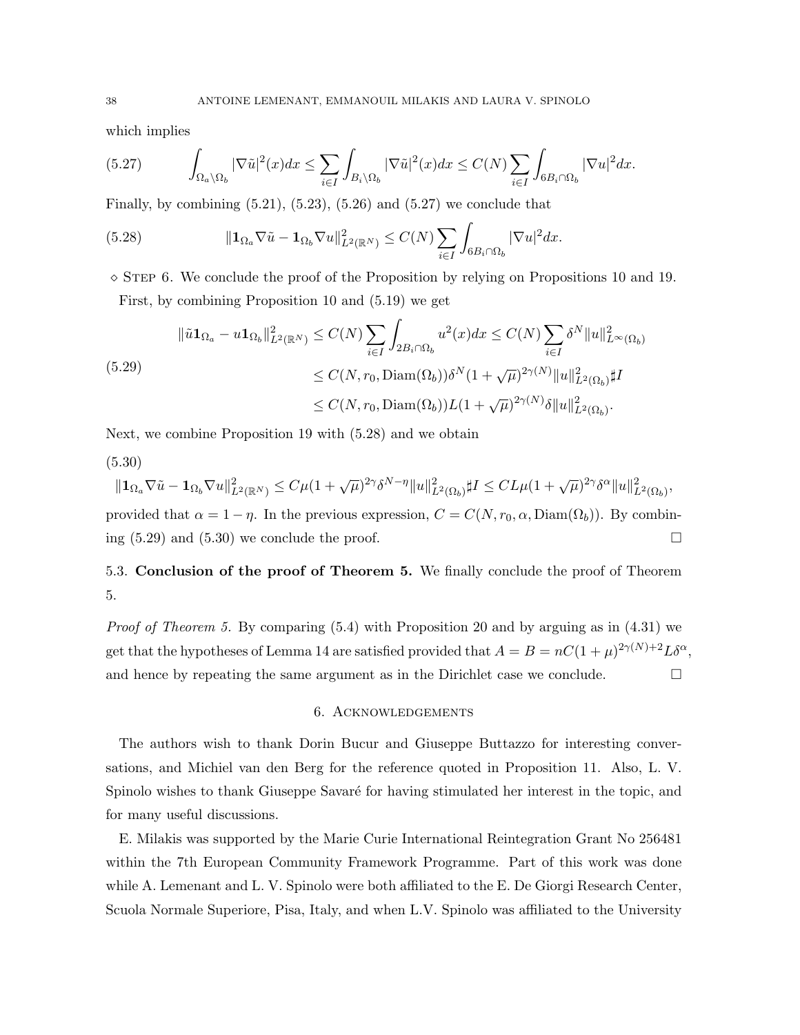which implies

$$
(5.27)\qquad \int_{\Omega_a\backslash\Omega_b} |\nabla \tilde{u}|^2(x)dx \le \sum_{i\in I} \int_{B_i\backslash\Omega_b} |\nabla \tilde{u}|^2(x)dx \le C(N)\sum_{i\in I} \int_{6B_i\cap\Omega_b} |\nabla u|^2 dx.
$$

Finally, by combining  $(5.21)$ ,  $(5.23)$ ,  $(5.26)$  and  $(5.27)$  we conclude that

(5.28) 
$$
\|\mathbf{1}_{\Omega_a}\nabla\tilde{u}-\mathbf{1}_{\Omega_b}\nabla u\|_{L^2(\mathbb{R}^N)}^2 \leq C(N)\sum_{i\in I}\int_{6B_i\cap\Omega_b}|\nabla u|^2dx.
$$

 $\Diamond$  STEP 6. We conclude the proof of the Proposition by relying on Propositions 10 and 19. First, by combining Proposition 10 and (5.19) we get

$$
\|\tilde{u}\mathbf{1}_{\Omega_a} - u \mathbf{1}_{\Omega_b}\|_{L^2(\mathbb{R}^N)}^2 \le C(N) \sum_{i \in I} \int_{2B_i \cap \Omega_b} u^2(x) dx \le C(N) \sum_{i \in I} \delta^N \|u\|_{L^\infty(\Omega_b)}^2
$$
  

$$
\le C(N, r_0, \text{Diam}(\Omega_b)) \delta^N (1 + \sqrt{\mu})^{2\gamma(N)} \|u\|_{L^2(\Omega_b)}^2 \sharp I
$$
  

$$
\le C(N, r_0, \text{Diam}(\Omega_b)) L(1 + \sqrt{\mu})^{2\gamma(N)} \delta \|u\|_{L^2(\Omega_b)}^2.
$$

Next, we combine Proposition 19 with (5.28) and we obtain

(5.30)

$$
\|\mathbf{1}_{\Omega_a}\nabla\tilde{u} - \mathbf{1}_{\Omega_b}\nabla u\|_{L^2(\mathbb{R}^N)}^2 \le C\mu(1+\sqrt{\mu})^{2\gamma}\delta^{N-\eta}\|u\|_{L^2(\Omega_b)}^2 \sharp I \le CL\mu(1+\sqrt{\mu})^{2\gamma}\delta^{\alpha}\|u\|_{L^2(\Omega_b)}^2,
$$
  
provided that  $\alpha = 1 - \eta$ . In the previous expression,  $C = C(N, r_0, \alpha, \text{Diam}(\Omega_b))$ . By combining (5.29) and (5.30) we conclude the proof.

5.3. Conclusion of the proof of Theorem 5. We finally conclude the proof of Theorem 5.

*Proof of Theorem 5.* By comparing  $(5.4)$  with Proposition 20 and by arguing as in  $(4.31)$  we get that the hypotheses of Lemma 14 are satisfied provided that  $A = B = nC(1 + \mu)^{2\gamma(N)+2}L\delta^{\alpha}$ , and hence by repeating the same argument as in the Dirichlet case we conclude.  $\Box$ 

## 6. Acknowledgements

The authors wish to thank Dorin Bucur and Giuseppe Buttazzo for interesting conversations, and Michiel van den Berg for the reference quoted in Proposition 11. Also, L. V. Spinolo wishes to thank Giuseppe Savaré for having stimulated her interest in the topic, and for many useful discussions.

E. Milakis was supported by the Marie Curie International Reintegration Grant No 256481 within the 7th European Community Framework Programme. Part of this work was done while A. Lemenant and L. V. Spinolo were both affiliated to the E. De Giorgi Research Center, Scuola Normale Superiore, Pisa, Italy, and when L.V. Spinolo was affiliated to the University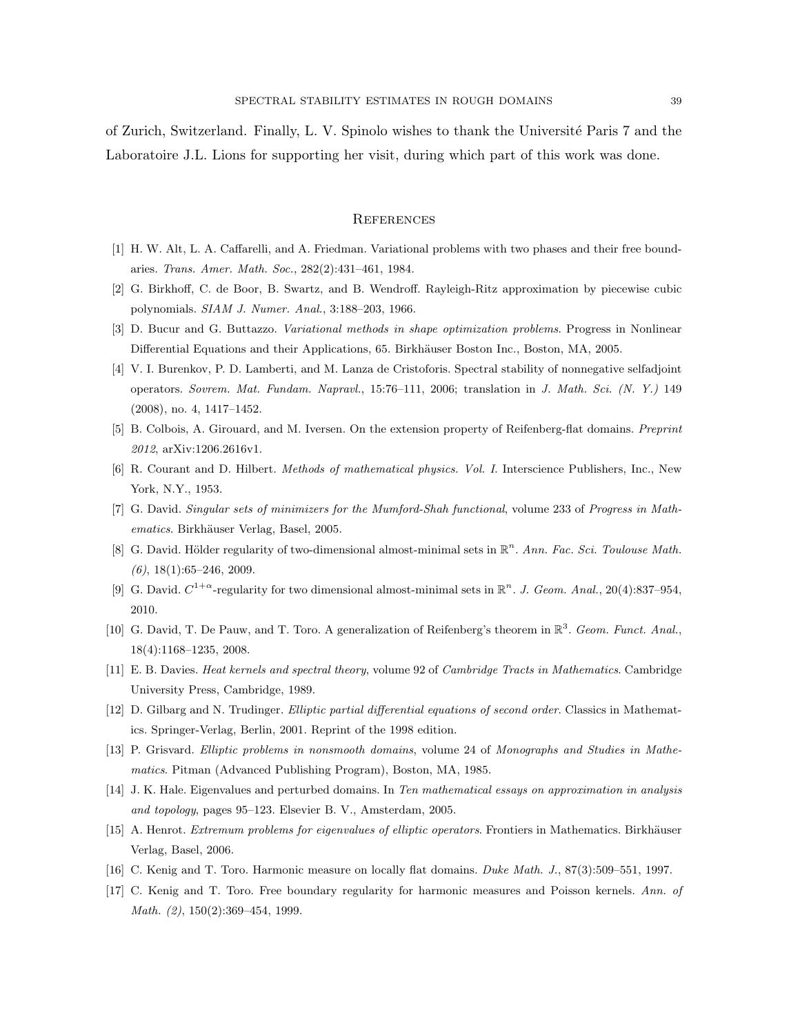of Zurich, Switzerland. Finally, L. V. Spinolo wishes to thank the Universit´e Paris 7 and the Laboratoire J.L. Lions for supporting her visit, during which part of this work was done.

#### **REFERENCES**

- [1] H. W. Alt, L. A. Caffarelli, and A. Friedman. Variational problems with two phases and their free boundaries. Trans. Amer. Math. Soc., 282(2):431–461, 1984.
- [2] G. Birkhoff, C. de Boor, B. Swartz, and B. Wendroff. Rayleigh-Ritz approximation by piecewise cubic polynomials. SIAM J. Numer. Anal., 3:188–203, 1966.
- [3] D. Bucur and G. Buttazzo. Variational methods in shape optimization problems. Progress in Nonlinear Differential Equations and their Applications, 65. Birkhäuser Boston Inc., Boston, MA, 2005.
- [4] V. I. Burenkov, P. D. Lamberti, and M. Lanza de Cristoforis. Spectral stability of nonnegative selfadjoint operators. Sovrem. Mat. Fundam. Napravl., 15:76–111, 2006; translation in J. Math. Sci. (N. Y.) 149 (2008), no. 4, 1417–1452.
- [5] B. Colbois, A. Girouard, and M. Iversen. On the extension property of Reifenberg-flat domains. Preprint 2012, arXiv:1206.2616v1.
- [6] R. Courant and D. Hilbert. Methods of mathematical physics. Vol. I. Interscience Publishers, Inc., New York, N.Y., 1953.
- [7] G. David. Singular sets of minimizers for the Mumford-Shah functional, volume 233 of Progress in Mathematics. Birkhäuser Verlag, Basel, 2005.
- [8] G. David. Hölder regularity of two-dimensional almost-minimal sets in  $\mathbb{R}^n$ . Ann. Fac. Sci. Toulouse Math.  $(6)$ , 18(1):65–246, 2009.
- [9] G. David.  $C^{1+\alpha}$ -regularity for two dimensional almost-minimal sets in  $\mathbb{R}^n$ . J. Geom. Anal., 20(4):837-954, 2010.
- [10] G. David, T. De Pauw, and T. Toro. A generalization of Reifenberg's theorem in  $\mathbb{R}^3$ . Geom. Funct. Anal., 18(4):1168–1235, 2008.
- [11] E. B. Davies. Heat kernels and spectral theory, volume 92 of Cambridge Tracts in Mathematics. Cambridge University Press, Cambridge, 1989.
- [12] D. Gilbarg and N. Trudinger. Elliptic partial differential equations of second order. Classics in Mathematics. Springer-Verlag, Berlin, 2001. Reprint of the 1998 edition.
- [13] P. Grisvard. Elliptic problems in nonsmooth domains, volume 24 of Monographs and Studies in Mathematics. Pitman (Advanced Publishing Program), Boston, MA, 1985.
- [14] J. K. Hale. Eigenvalues and perturbed domains. In Ten mathematical essays on approximation in analysis and topology, pages 95–123. Elsevier B. V., Amsterdam, 2005.
- [15] A. Henrot. Extremum problems for eigenvalues of elliptic operators. Frontiers in Mathematics. Birkhäuser Verlag, Basel, 2006.
- [16] C. Kenig and T. Toro. Harmonic measure on locally flat domains. Duke Math. J., 87(3):509–551, 1997.
- [17] C. Kenig and T. Toro. Free boundary regularity for harmonic measures and Poisson kernels. Ann. of Math. (2), 150(2):369–454, 1999.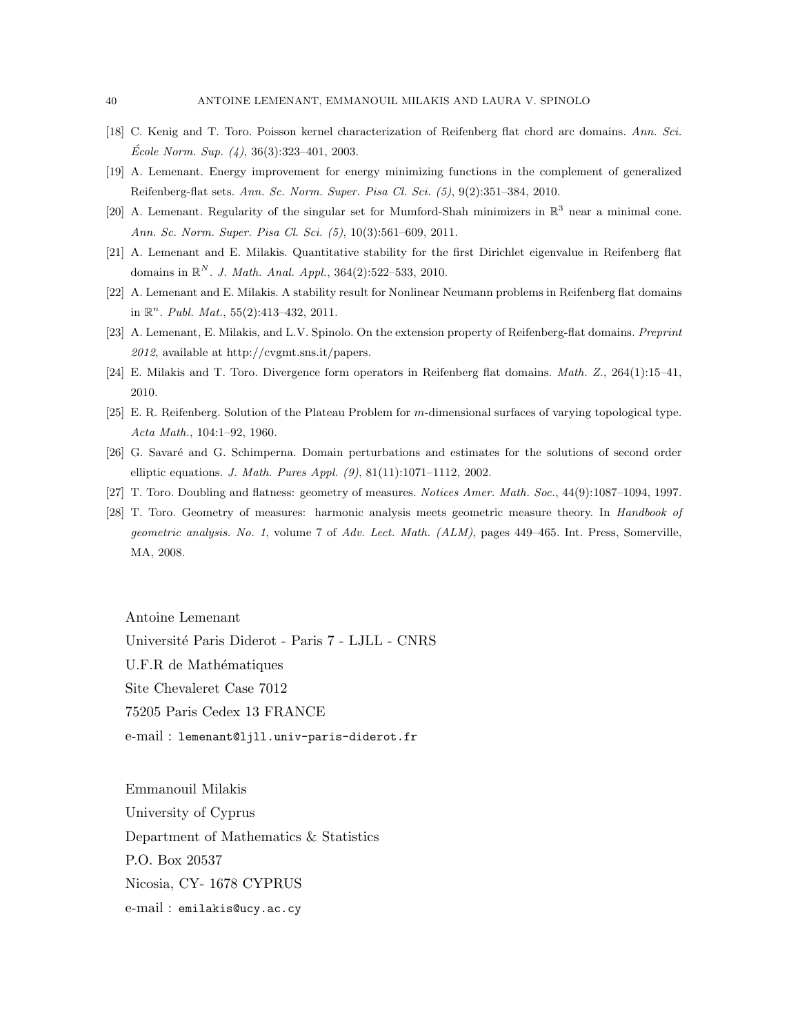- [18] C. Kenig and T. Toro. Poisson kernel characterization of Reifenberg flat chord arc domains. Ann. Sci.  $\textit{École Norm. Sup. (4), } 36(3):323-401, 2003.$
- [19] A. Lemenant. Energy improvement for energy minimizing functions in the complement of generalized Reifenberg-flat sets. Ann. Sc. Norm. Super. Pisa Cl. Sci. (5), 9(2):351–384, 2010.
- [20] A. Lemenant. Regularity of the singular set for Mumford-Shah minimizers in  $\mathbb{R}^3$  near a minimal cone. Ann. Sc. Norm. Super. Pisa Cl. Sci. (5), 10(3):561–609, 2011.
- [21] A. Lemenant and E. Milakis. Quantitative stability for the first Dirichlet eigenvalue in Reifenberg flat domains in  $\mathbb{R}^N$ . J. Math. Anal. Appl., 364(2):522-533, 2010.
- [22] A. Lemenant and E. Milakis. A stability result for Nonlinear Neumann problems in Reifenberg flat domains in  $\mathbb{R}^n$ . *Publ. Mat.*, 55(2):413-432, 2011.
- [23] A. Lemenant, E. Milakis, and L.V. Spinolo. On the extension property of Reifenberg-flat domains. Preprint 2012, available at http://cvgmt.sns.it/papers.
- [24] E. Milakis and T. Toro. Divergence form operators in Reifenberg flat domains. Math. Z., 264(1):15–41, 2010.
- [25] E. R. Reifenberg. Solution of the Plateau Problem for m-dimensional surfaces of varying topological type. Acta Math., 104:1–92, 1960.
- [26] G. Savaré and G. Schimperna. Domain perturbations and estimates for the solutions of second order elliptic equations. J. Math. Pures Appl. (9), 81(11):1071–1112, 2002.
- [27] T. Toro. Doubling and flatness: geometry of measures. Notices Amer. Math. Soc., 44(9):1087–1094, 1997.
- [28] T. Toro. Geometry of measures: harmonic analysis meets geometric measure theory. In Handbook of geometric analysis. No. 1, volume 7 of Adv. Lect. Math. (ALM), pages 449–465. Int. Press, Somerville, MA, 2008.

Antoine Lemenant Université Paris Diderot - Paris 7 - LJLL - CNRS U.F.R de Mathématiques Site Chevaleret Case 7012 75205 Paris Cedex 13 FRANCE e-mail : lemenant@ljll.univ-paris-diderot.fr

Emmanouil Milakis University of Cyprus Department of Mathematics & Statistics P.O. Box 20537 Nicosia, CY- 1678 CYPRUS e-mail : emilakis@ucy.ac.cy